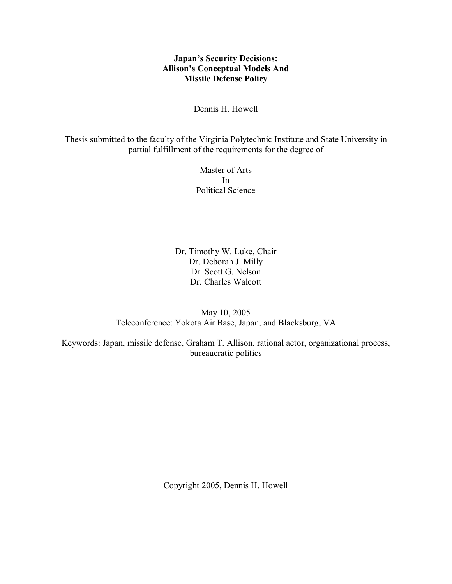# **Japan's Security Decisions: Allison's Conceptual Models And Missile Defense Policy**

Dennis H. Howell

Thesis submitted to the faculty of the Virginia Polytechnic Institute and State University in partial fulfillment of the requirements for the degree of

> Master of Arts In Political Science

Dr. Timothy W. Luke, Chair Dr. Deborah J. Milly Dr. Scott G. Nelson Dr. Charles Walcott

May 10, 2005 Teleconference: Yokota Air Base, Japan, and Blacksburg, VA

Keywords: Japan, missile defense, Graham T. Allison, rational actor, organizational process, bureaucratic politics

Copyright 2005, Dennis H. Howell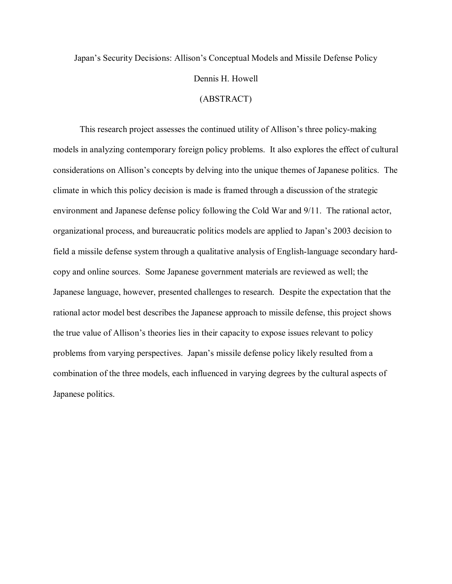# Japan's Security Decisions: Allison's Conceptual Models and Missile Defense Policy Dennis H. Howell (ABSTRACT)

This research project assesses the continued utility of Allison's three policy-making models in analyzing contemporary foreign policy problems. It also explores the effect of cultural considerations on Allison's concepts by delving into the unique themes of Japanese politics. The climate in which this policy decision is made is framed through a discussion of the strategic environment and Japanese defense policy following the Cold War and 9/11. The rational actor, organizational process, and bureaucratic politics models are applied to Japan's 2003 decision to field a missile defense system through a qualitative analysis of English-language secondary hardcopy and online sources. Some Japanese government materials are reviewed as well; the Japanese language, however, presented challenges to research. Despite the expectation that the rational actor model best describes the Japanese approach to missile defense, this project shows the true value of Allison's theories lies in their capacity to expose issues relevant to policy problems from varying perspectives. Japan's missile defense policy likely resulted from a combination of the three models, each influenced in varying degrees by the cultural aspects of Japanese politics.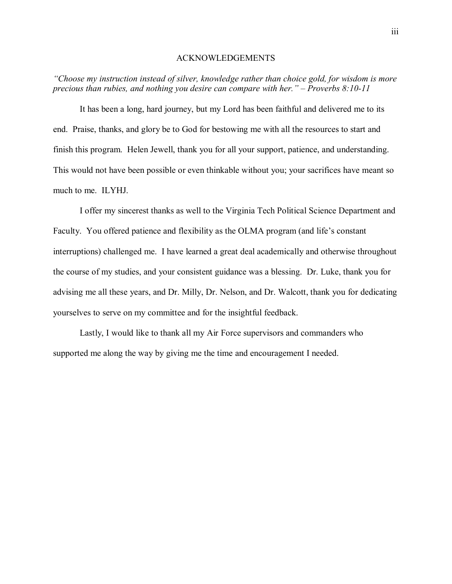#### ACKNOWLEDGEMENTS

*ìChoose my instruction instead of silver, knowledge rather than choice gold, for wisdom is more precious than rubies, and nothing you desire can compare with her.* " – *Proverbs 8:10-11* 

It has been a long, hard journey, but my Lord has been faithful and delivered me to its end. Praise, thanks, and glory be to God for bestowing me with all the resources to start and finish this program. Helen Jewell, thank you for all your support, patience, and understanding. This would not have been possible or even thinkable without you; your sacrifices have meant so much to me. ILYHJ.

I offer my sincerest thanks as well to the Virginia Tech Political Science Department and Faculty. You offered patience and flexibility as the OLMA program (and life's constant interruptions) challenged me. I have learned a great deal academically and otherwise throughout the course of my studies, and your consistent guidance was a blessing. Dr. Luke, thank you for advising me all these years, and Dr. Milly, Dr. Nelson, and Dr. Walcott, thank you for dedicating yourselves to serve on my committee and for the insightful feedback.

Lastly, I would like to thank all my Air Force supervisors and commanders who supported me along the way by giving me the time and encouragement I needed.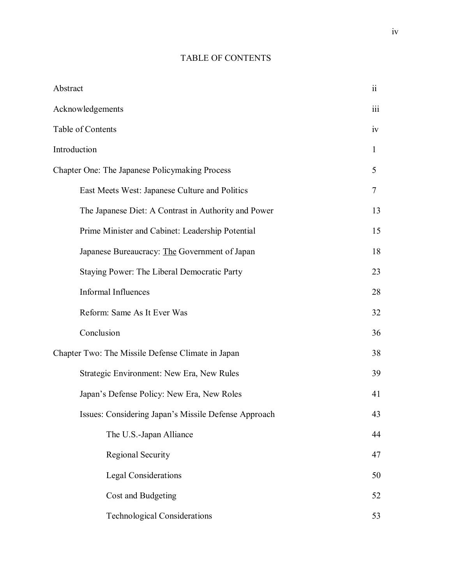# TABLE OF CONTENTS

| Abstract                                             | $\ddot{\rm{11}}$ |
|------------------------------------------------------|------------------|
| Acknowledgements                                     | $\overline{111}$ |
| Table of Contents                                    | iv               |
| Introduction                                         | 1                |
| Chapter One: The Japanese Policymaking Process       | 5                |
| East Meets West: Japanese Culture and Politics       | $\tau$           |
| The Japanese Diet: A Contrast in Authority and Power | 13               |
| Prime Minister and Cabinet: Leadership Potential     | 15               |
| Japanese Bureaucracy: The Government of Japan        | 18               |
| Staying Power: The Liberal Democratic Party          | 23               |
| <b>Informal Influences</b>                           | 28               |
| Reform: Same As It Ever Was                          | 32               |
| Conclusion                                           | 36               |
| Chapter Two: The Missile Defense Climate in Japan    | 38               |
| Strategic Environment: New Era, New Rules            | 39               |
| Japan's Defense Policy: New Era, New Roles           | 41               |
| Issues: Considering Japan's Missile Defense Approach | 43               |
| The U.S.-Japan Alliance                              | 44               |
| Regional Security                                    | 47               |
| <b>Legal Considerations</b>                          | 50               |
| Cost and Budgeting                                   | 52               |
| <b>Technological Considerations</b>                  | 53               |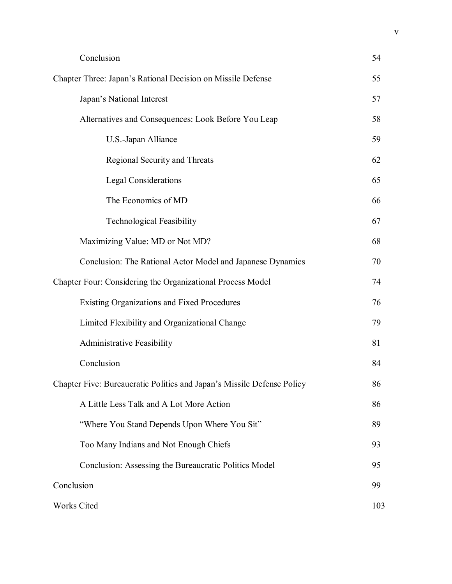| Conclusion                                                             | 54  |
|------------------------------------------------------------------------|-----|
| Chapter Three: Japan's Rational Decision on Missile Defense            | 55  |
| Japan's National Interest                                              | 57  |
| Alternatives and Consequences: Look Before You Leap                    | 58  |
| U.S.-Japan Alliance                                                    | 59  |
| Regional Security and Threats                                          | 62  |
| <b>Legal Considerations</b>                                            | 65  |
| The Economics of MD                                                    | 66  |
| <b>Technological Feasibility</b>                                       | 67  |
| Maximizing Value: MD or Not MD?                                        | 68  |
| Conclusion: The Rational Actor Model and Japanese Dynamics             | 70  |
| Chapter Four: Considering the Organizational Process Model             | 74  |
| <b>Existing Organizations and Fixed Procedures</b>                     | 76  |
| Limited Flexibility and Organizational Change                          | 79  |
| <b>Administrative Feasibility</b>                                      | 81  |
| Conclusion                                                             | 84  |
| Chapter Five: Bureaucratic Politics and Japan's Missile Defense Policy | 86  |
| A Little Less Talk and A Lot More Action                               | 86  |
| "Where You Stand Depends Upon Where You Sit"                           | 89  |
| Too Many Indians and Not Enough Chiefs                                 | 93  |
| Conclusion: Assessing the Bureaucratic Politics Model                  | 95  |
| Conclusion                                                             | 99  |
| <b>Works Cited</b>                                                     | 103 |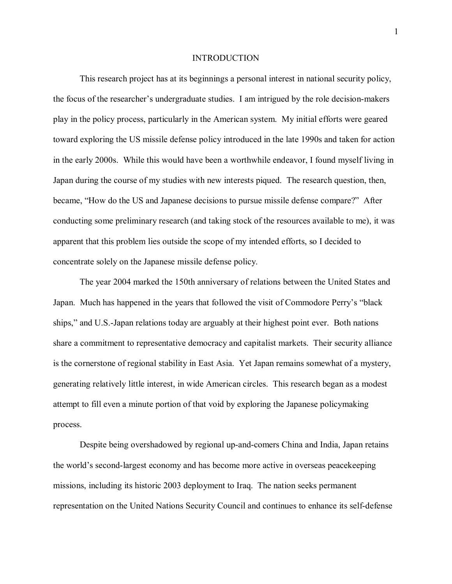#### **INTRODUCTION**

This research project has at its beginnings a personal interest in national security policy, the focus of the researcher's undergraduate studies. I am intrigued by the role decision-makers play in the policy process, particularly in the American system. My initial efforts were geared toward exploring the US missile defense policy introduced in the late 1990s and taken for action in the early 2000s. While this would have been a worthwhile endeavor, I found myself living in Japan during the course of my studies with new interests piqued. The research question, then, became, "How do the US and Japanese decisions to pursue missile defense compare?" After conducting some preliminary research (and taking stock of the resources available to me), it was apparent that this problem lies outside the scope of my intended efforts, so I decided to concentrate solely on the Japanese missile defense policy.

The year 2004 marked the 150th anniversary of relations between the United States and Japan. Much has happened in the years that followed the visit of Commodore Perry's "black ships," and U.S.-Japan relations today are arguably at their highest point ever. Both nations share a commitment to representative democracy and capitalist markets. Their security alliance is the cornerstone of regional stability in East Asia. Yet Japan remains somewhat of a mystery, generating relatively little interest, in wide American circles. This research began as a modest attempt to fill even a minute portion of that void by exploring the Japanese policymaking process.

Despite being overshadowed by regional up-and-comers China and India, Japan retains the world's second-largest economy and has become more active in overseas peace keeping missions, including its historic 2003 deployment to Iraq. The nation seeks permanent representation on the United Nations Security Council and continues to enhance its self-defense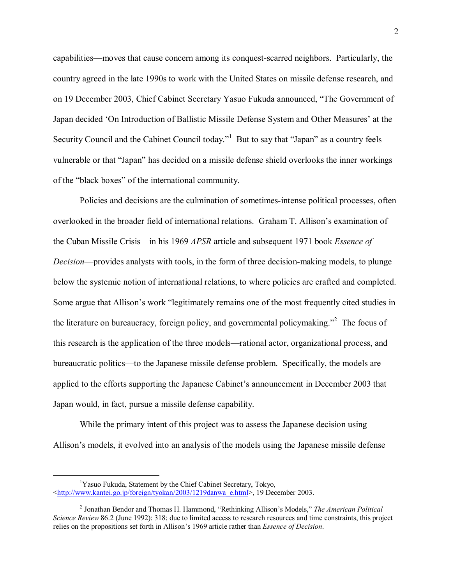capabilities—moves that cause concern among its conquest-scarred neighbors. Particularly, the country agreed in the late 1990s to work with the United States on missile defense research, and on 19 December 2003, Chief Cabinet Secretary Yasuo Fukuda announced, "The Government of Japan decided 'On Introduction of Ballistic Missile Defense System and Other Measures' at the Security Council and the Cabinet Council today."<sup>1</sup> But to say that "Japan" as a country feels vulnerable or that "Japan" has decided on a missile defense shield overlooks the inner workings of the "black boxes" of the international community.

Policies and decisions are the culmination of sometimes-intense political processes, often overlooked in the broader field of international relations. Graham T. Allison's examination of the Cuban Missile Crisis—in his 1969 *APSR* article and subsequent 1971 book *Essence of Decision*—provides analysts with tools, in the form of three decision-making models, to plunge below the systemic notion of international relations, to where policies are crafted and completed. Some argue that Allison's work "legitimately remains one of the most frequently cited studies in the literature on bureaucracy, foreign policy, and governmental policymaking.<sup> $2$ </sup> The focus of this research is the application of the three models—rational actor, organizational process, and bureaucratic politics—to the Japanese missile defense problem. Specifically, the models are applied to the efforts supporting the Japanese Cabinet's announcement in December 2003 that Japan would, in fact, pursue a missile defense capability.

While the primary intent of this project was to assess the Japanese decision using Allison's models, it evolved into an analysis of the models using the Japanese missile defense

 $\begin{array}{c|c}\n\hline\n\end{array}$ <sup>1</sup>Yasuo Fukuda, Statement by the Chief Cabinet Secretary, Tokyo, <http://www.kantei.go.jp/foreign/tyokan/2003/1219danwa\_e.html>, 19 December 2003.

<sup>&</sup>lt;sup>2</sup> Jonathan Bendor and Thomas H. Hammond, "Rethinking Allison's Models," *The American Political Science Review* 86.2 (June 1992): 318; due to limited access to research resources and time constraints, this project relies on the propositions set forth in Allison's 1969 article rather than *Essence of Decision*.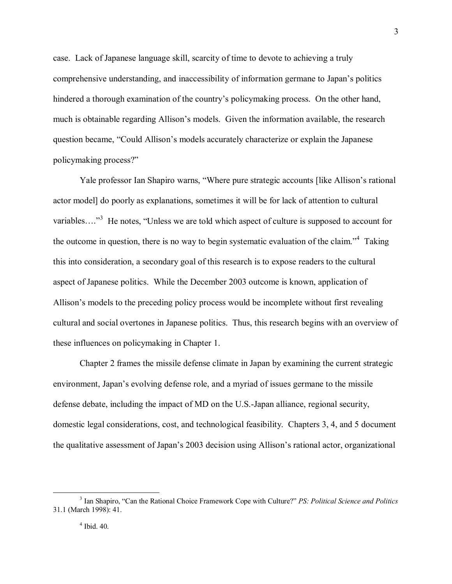case. Lack of Japanese language skill, scarcity of time to devote to achieving a truly comprehensive understanding, and inaccessibility of information germane to Japan's politics hindered a thorough examination of the country's policymaking process. On the other hand, much is obtainable regarding Allison's models. Given the information available, the research question became, "Could Allison's models accurately characterize or explain the Japanese policymaking process?"

Yale professor Ian Shapiro warns, "Where pure strategic accounts [like Allison's rational actor model] do poorly as explanations, sometimes it will be for lack of attention to cultural variables...."<sup>3</sup> He notes, "Unless we are told which aspect of culture is supposed to account for the outcome in question, there is no way to begin systematic evaluation of the claim.<sup> $4$ </sup> Taking this into consideration, a secondary goal of this research is to expose readers to the cultural aspect of Japanese politics. While the December 2003 outcome is known, application of Allison's models to the preceding policy process would be incomplete without first revealing cultural and social overtones in Japanese politics. Thus, this research begins with an overview of these influences on policymaking in Chapter 1.

Chapter 2 frames the missile defense climate in Japan by examining the current strategic environment, Japan's evolving defense role, and a myriad of issues germane to the missile defense debate, including the impact of MD on the U.S.-Japan alliance, regional security, domestic legal considerations, cost, and technological feasibility. Chapters 3, 4, and 5 document the qualitative assessment of Japan's 2003 decision using Allison's rational actor, organizational

 <sup>3</sup> <sup>3</sup> Ian Shapiro, "Can the Rational Choice Framework Cope with Culture?" *PS: Political Science and Politics* 31.1 (March 1998): 41.

<sup>4</sup> Ibid. 40.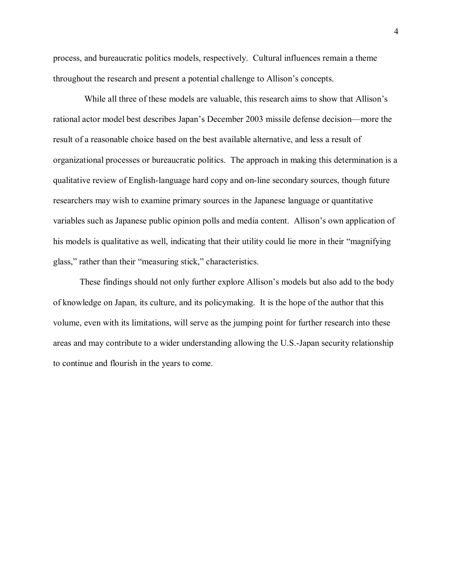process, and bureaucratic politics models, respectively. Cultural influences remain a theme throughout the research and present a potential challenge to Allison's concepts.

While all three of these models are valuable, this research aims to show that Allison's rational actor model best describes Japan's December 2003 missile defense decision—more the result of a reasonable choice based on the best available alternative, and less a result of organizational processes or bureaucratic politics. The approach in making this determination is a qualitative review of English-language hard copy and on-line secondary sources, though future researchers may wish to examine primary sources in the Japanese language or quantitative variables such as Japanese public opinion polls and media content. Allison's own application of his models is qualitative as well, indicating that their utility could lie more in their "magnifying" glass," rather than their "measuring stick," characteristics.

These findings should not only further explore Allison's models but also add to the body of knowledge on Japan, its culture, and its policymaking. It is the hope of the author that this volume, even with its limitations, will serve as the jumping point for further research into these areas and may contribute to a wider understanding allowing the U.S.-Japan security relationship to continue and flourish in the years to come.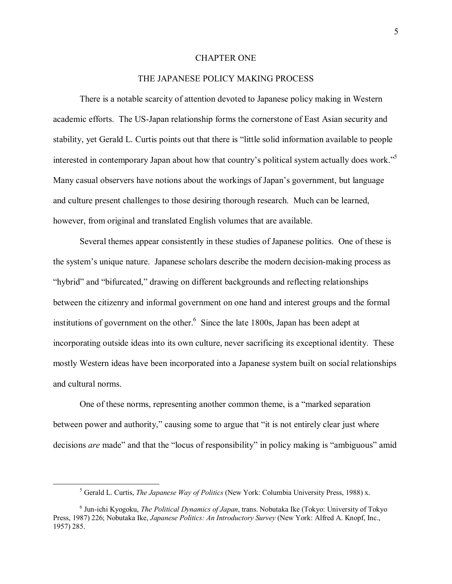#### CHAPTER ONE

#### THE JAPANESE POLICY MAKING PROCESS

There is a notable scarcity of attention devoted to Japanese policy making in Western academic efforts. The US-Japan relationship forms the cornerstone of East Asian security and stability, yet Gerald L. Curtis points out that there is "little solid information available to people interested in contemporary Japan about how that country's political system actually does work.<sup>35</sup> Many casual observers have notions about the workings of Japan's government, but language and culture present challenges to those desiring thorough research. Much can be learned, however, from original and translated English volumes that are available.

Several themes appear consistently in these studies of Japanese politics. One of these is the system's unique nature. Japanese scholars describe the modern decision-making process as "hybrid" and "bifurcated," drawing on different backgrounds and reflecting relationships between the citizenry and informal government on one hand and interest groups and the formal institutions of government on the other. $6$  Since the late 1800s, Japan has been adept at incorporating outside ideas into its own culture, never sacrificing its exceptional identity. These mostly Western ideas have been incorporated into a Japanese system built on social relationships and cultural norms.

One of these norms, representing another common theme, is a "marked separation" between power and authority," causing some to argue that "it is not entirely clear just where decisions *are* made" and that the "locus of responsibility" in policy making is "ambiguous" amid

 $rac{1}{5}$ Gerald L. Curtis, *The Japanese Way of Politics* (New York: Columbia University Press, 1988) x.

<sup>6</sup> Jun-ichi Kyogoku, *The Political Dynamics of Japan*, trans. Nobutaka Ike (Tokyo: University of Tokyo Press, 1987) 226; Nobutaka Ike, *Japanese Politics: An Introductory Survey* (New York: Alfred A. Knopf, Inc., 1957) 285.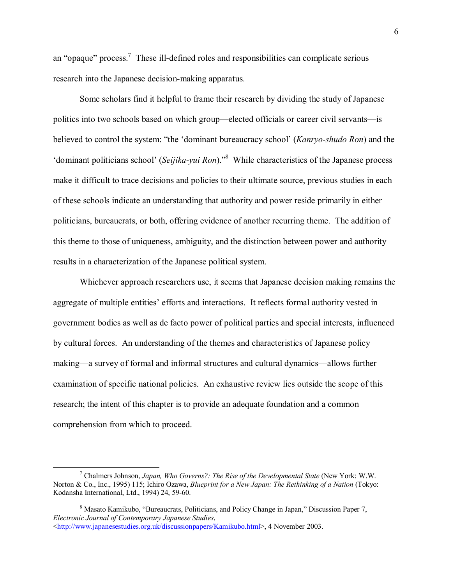an "opaque" process.<sup>7</sup> These ill-defined roles and responsibilities can complicate serious research into the Japanese decision-making apparatus.

Some scholars find it helpful to frame their research by dividing the study of Japanese politics into two schools based on which group—elected officials or career civil servants—is believed to control the system: "the 'dominant bureaucracy school' (*Kanryo-shudo Ron*) and the 'dominant politicians school' (*Seijika-yui Ron*).<sup>88</sup> While characteristics of the Japanese process make it difficult to trace decisions and policies to their ultimate source, previous studies in each of these schools indicate an understanding that authority and power reside primarily in either politicians, bureaucrats, or both, offering evidence of another recurring theme. The addition of this theme to those of uniqueness, ambiguity, and the distinction between power and authority results in a characterization of the Japanese political system.

Whichever approach researchers use, it seems that Japanese decision making remains the aggregate of multiple entities' efforts and interactions. It reflects formal authority vested in government bodies as well as de facto power of political parties and special interests, influenced by cultural forces. An understanding of the themes and characteristics of Japanese policy making—a survey of formal and informal structures and cultural dynamics—allows further examination of specific national policies. An exhaustive review lies outside the scope of this research; the intent of this chapter is to provide an adequate foundation and a common comprehension from which to proceed.

 $\overline{\phantom{a}}$  Chalmers Johnson, *Japan, Who Governs?: The Rise of the Developmental State* (New York: W.W. Norton & Co., Inc., 1995) 115; Ichiro Ozawa, *Blueprint for a New Japan: The Rethinking of a Nation* (Tokyo: Kodansha International, Ltd., 1994) 24, 59-60.

 $8$  Masato Kamikubo, "Bureaucrats, Politicians, and Policy Change in Japan," Discussion Paper 7, *Electronic Journal of Contemporary Japanese Studies*, <http://www.japanesestudies.org.uk/discussionpapers/Kamikubo.html>, 4 November 2003.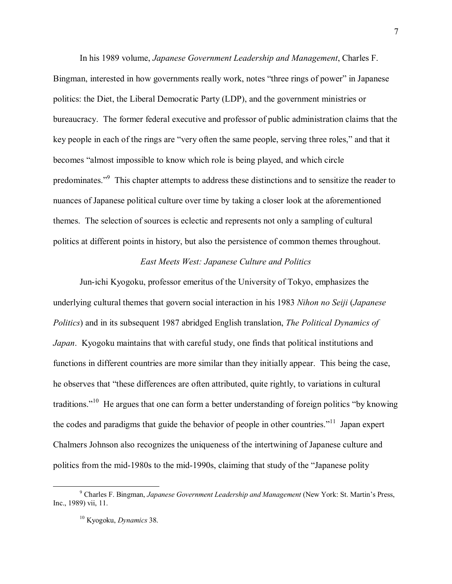In his 1989 volume, *Japanese Government Leadership and Management*, Charles F. Bingman, interested in how governments really work, notes "three rings of power" in Japanese politics: the Diet, the Liberal Democratic Party (LDP), and the government ministries or bureaucracy. The former federal executive and professor of public administration claims that the key people in each of the rings are "very often the same people, serving three roles," and that it becomes "almost impossible to know which role is being played, and which circle predominates."<sup>9</sup> This chapter attempts to address these distinctions and to sensitize the reader to nuances of Japanese political culture over time by taking a closer look at the aforementioned themes. The selection of sources is eclectic and represents not only a sampling of cultural politics at different points in history, but also the persistence of common themes throughout.

#### *East Meets West: Japanese Culture and Politics*

Jun-ichi Kyogoku, professor emeritus of the University of Tokyo, emphasizes the underlying cultural themes that govern social interaction in his 1983 *Nihon no Seiji* (*Japanese Politics*) and in its subsequent 1987 abridged English translation, *The Political Dynamics of Japan*. Kyogoku maintains that with careful study, one finds that political institutions and functions in different countries are more similar than they initially appear. This being the case, he observes that "these differences are often attributed, quite rightly, to variations in cultural traditions."<sup>10</sup> He argues that one can form a better understanding of foreign politics "by knowing the codes and paradigms that guide the behavior of people in other countries.<sup> $11$ </sup> Japan expert Chalmers Johnson also recognizes the uniqueness of the intertwining of Japanese culture and politics from the mid-1980s to the mid-1990s, claiming that study of the "Japanese polity"

 $\frac{1}{9}$  Charles F. Bingman, *Japanese Government Leadership and Management* (New York: St. Martinís Press, Inc., 1989) vii, 11.

<sup>10</sup> Kyogoku, *Dynamics* 38.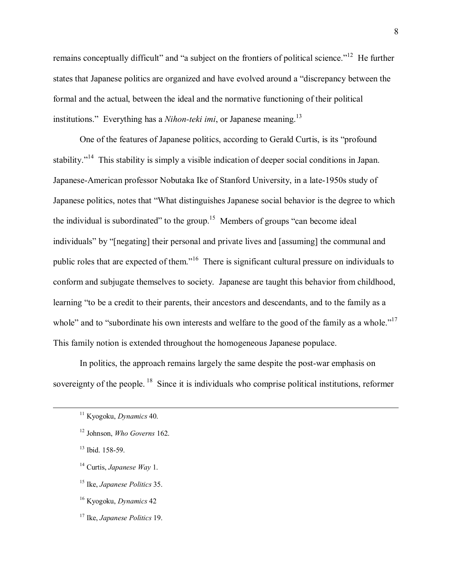remains conceptually difficult" and "a subject on the frontiers of political science.<sup>"12</sup> He further states that Japanese politics are organized and have evolved around a "discrepancy between the formal and the actual, between the ideal and the normative functioning of their political institutions." Everything has a *Nihon-teki imi*, or Japanese meaning.<sup>13</sup>

One of the features of Japanese politics, according to Gerald Curtis, is its "profound stability.<sup>n14</sup> This stability is simply a visible indication of deeper social conditions in Japan. Japanese-American professor Nobutaka Ike of Stanford University, in a late-1950s study of Japanese politics, notes that "What distinguishes Japanese social behavior is the degree to which the individual is subordinated" to the group.<sup>15</sup> Members of groups "can become ideal individuals" by "[negating] their personal and private lives and [assuming] the communal and public roles that are expected of them.<sup>16</sup> There is significant cultural pressure on individuals to conform and subjugate themselves to society. Japanese are taught this behavior from childhood, learning "to be a credit to their parents, their ancestors and descendants, and to the family as a whole" and to "subordinate his own interests and welfare to the good of the family as a whole." $17$ This family notion is extended throughout the homogeneous Japanese populace.

In politics, the approach remains largely the same despite the post-war emphasis on sovereignty of the people. <sup>18</sup> Since it is individuals who comprise political institutions, reformer

13 Ibid. 158-59.

- 14 Curtis, *Japanese Way* 1.
- 15 Ike, *Japanese Politics* 35.
- 16 Kyogoku, *Dynamics* 42
- 17 Ike, *Japanese Politics* 19.

 <sup>11</sup> Kyogoku, *Dynamics* 40.

<sup>12</sup> Johnson, *Who Governs* 162.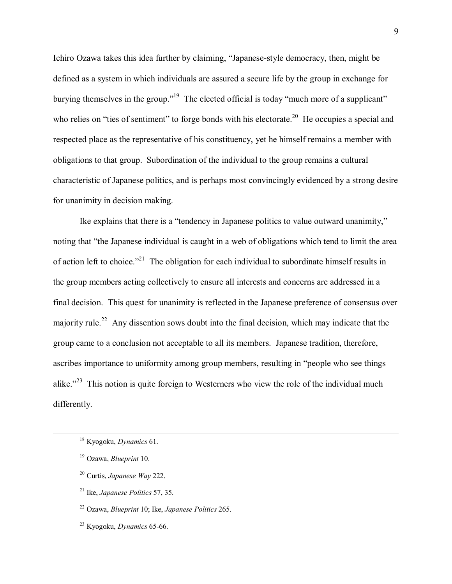Ichiro Ozawa takes this idea further by claiming, "Japanese-style democracy, then, might be defined as a system in which individuals are assured a secure life by the group in exchange for burying themselves in the group.<sup> $19$ </sup> The elected official is today "much more of a supplicant" who relies on "ties of sentiment" to forge bonds with his electorate.<sup>20</sup> He occupies a special and respected place as the representative of his constituency, yet he himself remains a member with obligations to that group. Subordination of the individual to the group remains a cultural characteristic of Japanese politics, and is perhaps most convincingly evidenced by a strong desire for unanimity in decision making.

Ike explains that there is a "tendency in Japanese politics to value outward unanimity," noting that "the Japanese individual is caught in a web of obligations which tend to limit the area of action left to choice.<sup> $21$ </sup> The obligation for each individual to subordinate himself results in the group members acting collectively to ensure all interests and concerns are addressed in a final decision. This quest for unanimity is reflected in the Japanese preference of consensus over majority rule.<sup>22</sup> Any dissention sows doubt into the final decision, which may indicate that the group came to a conclusion not acceptable to all its members. Japanese tradition, therefore, ascribes importance to uniformity among group members, resulting in "people who see things alike.<sup> $23$ </sup> This notion is quite foreign to Westerners who view the role of the individual much differently.

 <sup>18</sup> Kyogoku, *Dynamics* 61.

<sup>19</sup> Ozawa, *Blueprint* 10.

<sup>20</sup> Curtis, *Japanese Way* 222.

<sup>21</sup> Ike, *Japanese Politics* 57, 35.

<sup>22</sup> Ozawa, *Blueprint* 10; Ike, *Japanese Politics* 265.

<sup>23</sup> Kyogoku, *Dynamics* 65-66.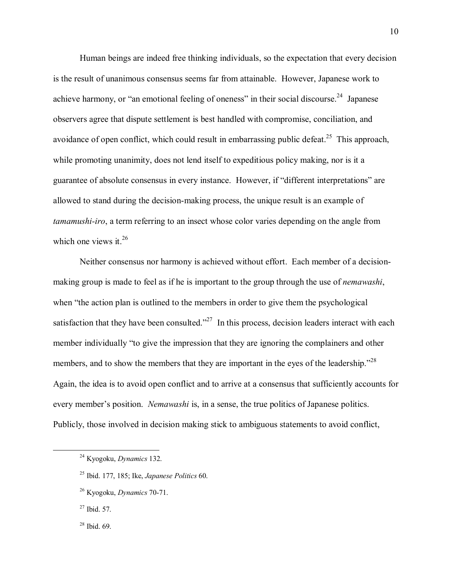Human beings are indeed free thinking individuals, so the expectation that every decision is the result of unanimous consensus seems far from attainable. However, Japanese work to achieve harmony, or "an emotional feeling of oneness" in their social discourse.<sup>24</sup> Japanese observers agree that dispute settlement is best handled with compromise, conciliation, and avoidance of open conflict, which could result in embarrassing public defeat.<sup>25</sup> This approach, while promoting unanimity, does not lend itself to expeditious policy making, nor is it a guarantee of absolute consensus in every instance. However, if "different interpretations" are allowed to stand during the decision-making process, the unique result is an example of *tamamushi-iro*, a term referring to an insect whose color varies depending on the angle from which one views it.<sup>26</sup>

Neither consensus nor harmony is achieved without effort. Each member of a decisionmaking group is made to feel as if he is important to the group through the use of *nemawashi*, when "the action plan is outlined to the members in order to give them the psychological satisfaction that they have been consulted.<sup> $227$ </sup> In this process, decision leaders interact with each member individually "to give the impression that they are ignoring the complainers and other members, and to show the members that they are important in the eyes of the leadership.<sup>728</sup> Again, the idea is to avoid open conflict and to arrive at a consensus that sufficiently accounts for every member's position. *Nemawashi* is, in a sense, the true politics of Japanese politics. Publicly, those involved in decision making stick to ambiguous statements to avoid conflict,

 <sup>24</sup> Kyogoku, *Dynamics* 132.

<sup>25</sup> Ibid. 177, 185; Ike, *Japanese Politics* 60.

<sup>26</sup> Kyogoku, *Dynamics* 70-71.

 $27$  Ibid. 57.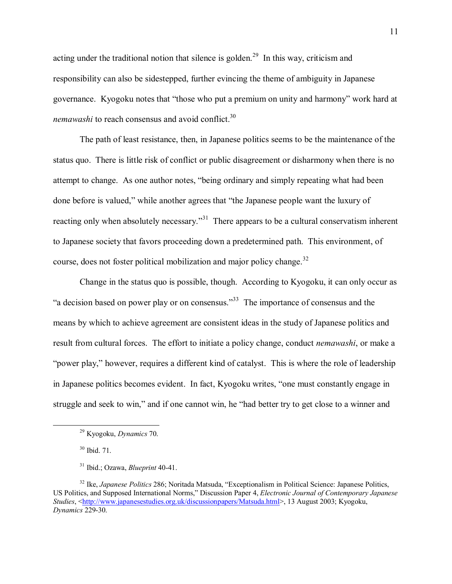acting under the traditional notion that silence is golden.<sup>29</sup> In this way, criticism and responsibility can also be sidestepped, further evincing the theme of ambiguity in Japanese governance. Kyogoku notes that "those who put a premium on unity and harmony" work hard at *nemawashi* to reach consensus and avoid conflict.<sup>30</sup>

The path of least resistance, then, in Japanese politics seems to be the maintenance of the status quo. There is little risk of conflict or public disagreement or disharmony when there is no attempt to change. As one author notes, "being ordinary and simply repeating what had been done before is valued," while another agrees that "the Japanese people want the luxury of reacting only when absolutely necessary.<sup>31</sup> There appears to be a cultural conservatism inherent to Japanese society that favors proceeding down a predetermined path. This environment, of course, does not foster political mobilization and major policy change.<sup>32</sup>

Change in the status quo is possible, though. According to Kyogoku, it can only occur as  $\degree$ a decision based on power play or on consensus.<sup>33</sup> The importance of consensus and the means by which to achieve agreement are consistent ideas in the study of Japanese politics and result from cultural forces. The effort to initiate a policy change, conduct *nemawashi*, or make a "power play," however, requires a different kind of catalyst. This is where the role of leadership in Japanese politics becomes evident. In fact, Kyogoku writes, "one must constantly engage in struggle and seek to win," and if one cannot win, he "had better try to get close to a winner and

 <sup>29</sup> Kyogoku, *Dynamics* 70.

<sup>30</sup> Ibid. 71.

<sup>31</sup> Ibid.; Ozawa, *Blueprint* 40-41.

<sup>&</sup>lt;sup>32</sup> Ike, *Japanese Politics* 286; Noritada Matsuda, "Exceptionalism in Political Science: Japanese Politics, US Politics, and Supposed International Norms,î Discussion Paper 4, *Electronic Journal of Contemporary Japanese Studies*, <http://www.japanesestudies.org.uk/discussionpapers/Matsuda.html>, 13 August 2003; Kyogoku, *Dynamics* 229-30.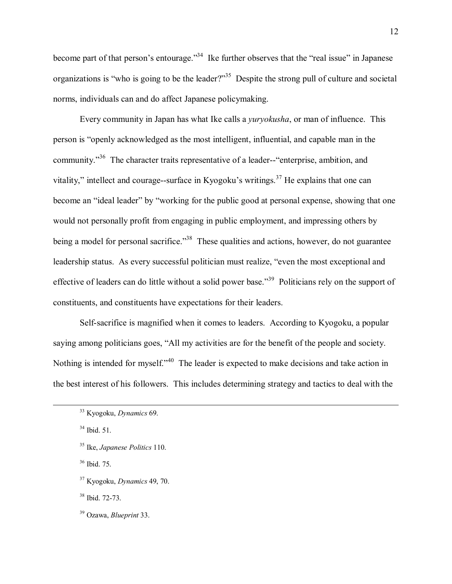become part of that person's entourage.<sup>34</sup> Ike further observes that the "real issue" in Japanese organizations is "who is going to be the leader?"<sup>35</sup> Despite the strong pull of culture and societal norms, individuals can and do affect Japanese policymaking.

Every community in Japan has what Ike calls a *yuryokusha*, or man of influence. This person is "openly acknowledged as the most intelligent, influential, and capable man in the community.<sup>36</sup> The character traits representative of a leader--"enterprise, ambition, and vitality," intellect and courage--surface in Kyogoku's writings.<sup>37</sup> He explains that one can become an "ideal leader" by "working for the public good at personal expense, showing that one would not personally profit from engaging in public employment, and impressing others by being a model for personal sacrifice.<sup>338</sup> These qualities and actions, however, do not guarantee leadership status. As every successful politician must realize, "even the most exceptional and effective of leaders can do little without a solid power base.<sup>39</sup> Politicians rely on the support of constituents, and constituents have expectations for their leaders.

Self-sacrifice is magnified when it comes to leaders. According to Kyogoku, a popular saying among politicians goes, "All my activities are for the benefit of the people and society. Nothing is intended for myself.<sup>40</sup> The leader is expected to make decisions and take action in the best interest of his followers. This includes determining strategy and tactics to deal with the

36 Ibid. 75.

38 Ibid. 72-73.

 <sup>33</sup> Kyogoku, *Dynamics* 69.

 $34$  Ibid. 51.

<sup>35</sup> Ike, *Japanese Politics* 110.

<sup>37</sup> Kyogoku, *Dynamics* 49, 70.

<sup>39</sup> Ozawa, *Blueprint* 33.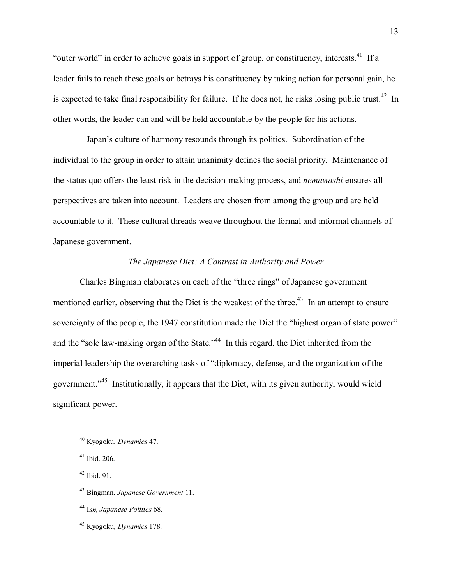"outer world" in order to achieve goals in support of group, or constituency, interests.<sup>41</sup> If a leader fails to reach these goals or betrays his constituency by taking action for personal gain, he is expected to take final responsibility for failure. If he does not, he risks losing public trust.<sup>42</sup> In other words, the leader can and will be held accountable by the people for his actions.

Japan's culture of harmony resounds through its politics. Subordination of the individual to the group in order to attain unanimity defines the social priority. Maintenance of the status quo offers the least risk in the decision-making process, and *nemawashi* ensures all perspectives are taken into account. Leaders are chosen from among the group and are held accountable to it. These cultural threads weave throughout the formal and informal channels of Japanese government.

#### *The Japanese Diet: A Contrast in Authority and Power*

Charles Bingman elaborates on each of the "three rings" of Japanese government mentioned earlier, observing that the Diet is the weakest of the three.<sup>43</sup> In an attempt to ensure sovereignty of the people, the 1947 constitution made the Diet the "highest organ of state power" and the "sole law-making organ of the State.<sup> $344$ </sup> In this regard, the Diet inherited from the imperial leadership the overarching tasks of "diplomacy, defense, and the organization of the government.<sup>45</sup> Institutionally, it appears that the Diet, with its given authority, would wield significant power.

 <sup>40</sup> Kyogoku, *Dynamics* 47.

 $41$  Ibid. 206.

 $42$  Ibid. 91.

<sup>43</sup> Bingman, *Japanese Government* 11.

<sup>44</sup> Ike, *Japanese Politics* 68.

<sup>45</sup> Kyogoku, *Dynamics* 178.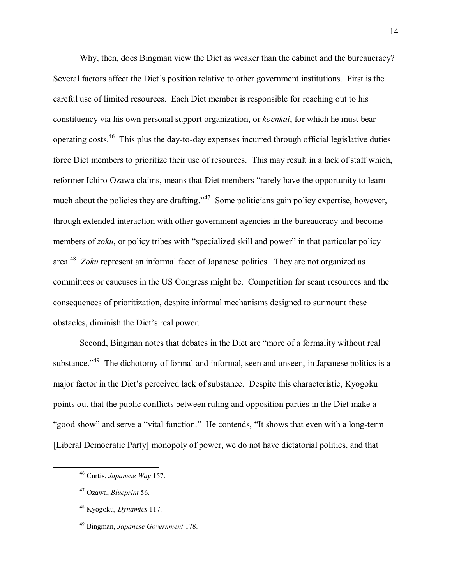Why, then, does Bingman view the Diet as weaker than the cabinet and the bureaucracy? Several factors affect the Diet's position relative to other government institutions. First is the careful use of limited resources. Each Diet member is responsible for reaching out to his constituency via his own personal support organization, or *koenkai*, for which he must bear operating costs.46 This plus the day-to-day expenses incurred through official legislative duties force Diet members to prioritize their use of resources. This may result in a lack of staff which, reformer Ichiro Ozawa claims, means that Diet members "rarely have the opportunity to learn much about the policies they are drafting.<sup> $347$ </sup> Some politicians gain policy expertise, however, through extended interaction with other government agencies in the bureaucracy and become members of *zoku*, or policy tribes with "specialized skill and power" in that particular policy area.48 *Zoku* represent an informal facet of Japanese politics. They are not organized as committees or caucuses in the US Congress might be. Competition for scant resources and the consequences of prioritization, despite informal mechanisms designed to surmount these obstacles, diminish the Diet's real power.

Second, Bingman notes that debates in the Diet are "more of a formality without real substance.<sup> $149$ </sup> The dichotomy of formal and informal, seen and unseen, in Japanese politics is a major factor in the Diet's perceived lack of substance. Despite this characteristic, Kyogoku points out that the public conflicts between ruling and opposition parties in the Diet make a "good show" and serve a "vital function." He contends, "It shows that even with a long-term [Liberal Democratic Party] monopoly of power, we do not have dictatorial politics, and that

 <sup>46</sup> Curtis, *Japanese Way* 157.

<sup>47</sup> Ozawa, *Blueprint* 56.

<sup>48</sup> Kyogoku, *Dynamics* 117.

<sup>49</sup> Bingman, *Japanese Government* 178.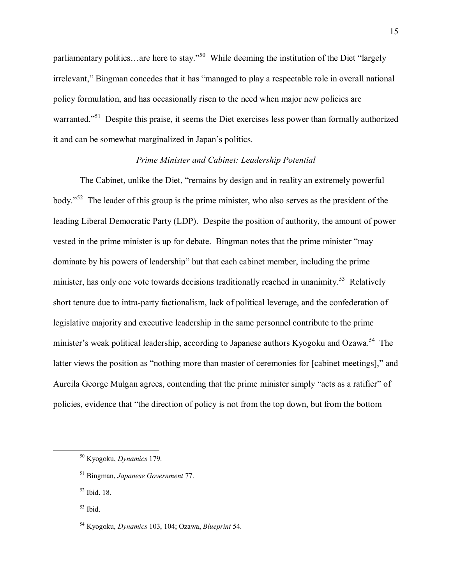parliamentary politics...are here to stay.<sup> $50$ </sup> While deeming the institution of the Diet "largely irrelevant," Bingman concedes that it has "managed to play a respectable role in overall national policy formulation, and has occasionally risen to the need when major new policies are warranted.<sup>51</sup> Despite this praise, it seems the Diet exercises less power than formally authorized it and can be somewhat marginalized in Japan's politics.

#### *Prime Minister and Cabinet: Leadership Potential*

The Cabinet, unlike the Diet, "remains by design and in reality an extremely powerful body.<sup> $52$ </sup> The leader of this group is the prime minister, who also serves as the president of the leading Liberal Democratic Party (LDP). Despite the position of authority, the amount of power vested in the prime minister is up for debate. Bingman notes that the prime minister "may dominate by his powers of leadership" but that each cabinet member, including the prime minister, has only one vote towards decisions traditionally reached in unanimity.<sup>53</sup> Relatively short tenure due to intra-party factionalism, lack of political leverage, and the confederation of legislative majority and executive leadership in the same personnel contribute to the prime minister's weak political leadership, according to Japanese authors Kyogoku and Ozawa.<sup>54</sup> The latter views the position as "nothing more than master of ceremonies for [cabinet meetings]," and Aureila George Mulgan agrees, contending that the prime minister simply "acts as a ratifier" of policies, evidence that "the direction of policy is not from the top down, but from the bottom

 <sup>50</sup> Kyogoku, *Dynamics* 179.

<sup>51</sup> Bingman, *Japanese Government* 77.

 $52$  Ibid. 18.

 $53$  Ibid.

<sup>54</sup> Kyogoku, *Dynamics* 103, 104; Ozawa, *Blueprint* 54.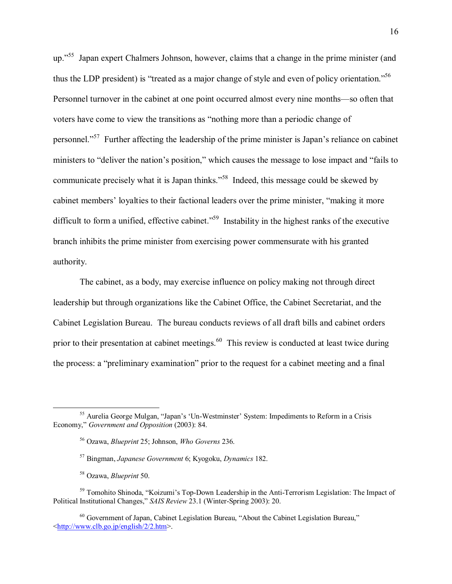up.<sup>755</sup> Japan expert Chalmers Johnson, however, claims that a change in the prime minister (and thus the LDP president) is "treated as a major change of style and even of policy orientation.<sup>556</sup> Personnel turnover in the cabinet at one point occurred almost every nine months—so often that voters have come to view the transitions as "nothing more than a periodic change of personnel.<sup>57</sup> Further affecting the leadership of the prime minister is Japan's reliance on cabinet ministers to "deliver the nation's position," which causes the message to lose impact and "fails to communicate precisely what it is Japan thinks.<sup>558</sup> Indeed, this message could be skewed by cabinet members' loyalties to their factional leaders over the prime minister, "making it more difficult to form a unified, effective cabinet.<sup> $559$ </sup> Instability in the highest ranks of the executive branch inhibits the prime minister from exercising power commensurate with his granted authority.

The cabinet, as a body, may exercise influence on policy making not through direct leadership but through organizations like the Cabinet Office, the Cabinet Secretariat, and the Cabinet Legislation Bureau. The bureau conducts reviews of all draft bills and cabinet orders prior to their presentation at cabinet meetings.<sup>60</sup> This review is conducted at least twice during the process: a "preliminary examination" prior to the request for a cabinet meeting and a final

<sup>59</sup> Tomohito Shinoda, "Koizumi's Top-Down Leadership in the Anti-Terrorism Legislation: The Impact of Political Institutional Changes," *SAIS Review* 23.1 (Winter-Spring 2003): 20.

<sup>&</sup>lt;sup>55</sup> Aurelia George Mulgan, "Japan's 'Un-Westminster' System: Impediments to Reform in a Crisis Economy," *Government and Opposition* (2003): 84.

<sup>56</sup> Ozawa, *Blueprint* 25; Johnson, *Who Governs* 236.

<sup>57</sup> Bingman, *Japanese Government* 6; Kyogoku, *Dynamics* 182.

<sup>58</sup> Ozawa, *Blueprint* 50.

 $60$  Government of Japan, Cabinet Legislation Bureau, "About the Cabinet Legislation Bureau," <http://www.clb.go.jp/english/2/2.htm>.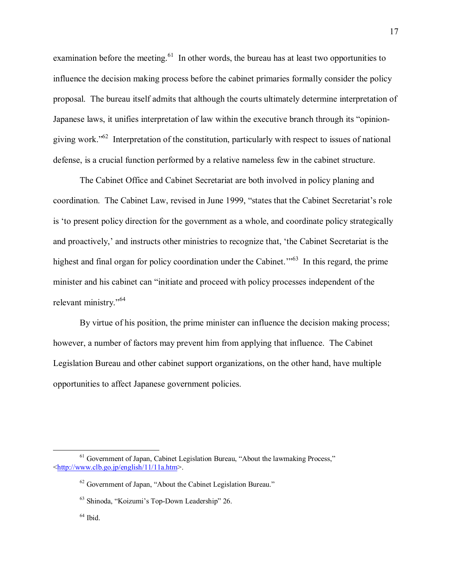examination before the meeting.<sup>61</sup> In other words, the bureau has at least two opportunities to influence the decision making process before the cabinet primaries formally consider the policy proposal. The bureau itself admits that although the courts ultimately determine interpretation of Japanese laws, it unifies interpretation of law within the executive branch through its "opiniongiving work.<sup> $562$ </sup> Interpretation of the constitution, particularly with respect to issues of national defense, is a crucial function performed by a relative nameless few in the cabinet structure.

The Cabinet Office and Cabinet Secretariat are both involved in policy planing and coordination. The Cabinet Law, revised in June 1999, "states that the Cabinet Secretariat's role is ëto present policy direction for the government as a whole, and coordinate policy strategically and proactively, and instructs other ministries to recognize that, 'the Cabinet Secretariat is the highest and final organ for policy coordination under the Cabinet.<sup> $10^{63}$ </sup> In this regard, the prime minister and his cabinet can "initiate and proceed with policy processes independent of the relevant ministry."<sup>64</sup>

By virtue of his position, the prime minister can influence the decision making process; however, a number of factors may prevent him from applying that influence. The Cabinet Legislation Bureau and other cabinet support organizations, on the other hand, have multiple opportunities to affect Japanese government policies.

 $61$  Government of Japan, Cabinet Legislation Bureau, "About the lawmaking Process," <http://www.clb.go.jp/english/11/11a.htm>.

 $62$  Government of Japan, "About the Cabinet Legislation Bureau."

 $63$  Shinoda, "Koizumi's Top-Down Leadership" 26.

 $^{64}$  Ibid.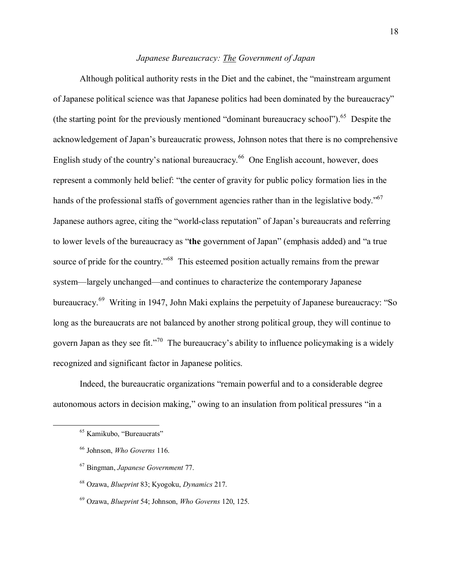# Japanese Bureaucracy: The Government of Japan

Although political authority rests in the Diet and the cabinet, the "mainstream argument" of Japanese political science was that Japanese politics had been dominated by the bureaucracy" (the starting point for the previously mentioned "dominant bureaucracy school"). <sup>65</sup> Despite the acknowledgement of Japan's bureaucratic prowess, Johnson notes that there is no comprehensive English study of the country's national bureaucracy.<sup>66</sup> One English account, however, does represent a commonly held belief: "the center of gravity for public policy formation lies in the hands of the professional staffs of government agencies rather than in the legislative body."<sup>67</sup> Japanese authors agree, citing the "world-class reputation" of Japan's bureaucrats and referring to lower levels of the bureaucracy as "the government of Japan" (emphasis added) and "a true source of pride for the country."<sup>68</sup> This esteemed position actually remains from the prewar system-largely unchanged-and continues to characterize the contemporary Japanese bureaucracy.<sup>69</sup> Writing in 1947, John Maki explains the perpetuity of Japanese bureaucracy: "So long as the bureaucrats are not balanced by another strong political group, they will continue to govern Japan as they see fit."<sup>70</sup> The bureaucracy's ability to influence policymaking is a widely recognized and significant factor in Japanese politics.

Indeed, the bureaucratic organizations "remain powerful and to a considerable degree autonomous actors in decision making," owing to an insulation from political pressures "in a

<sup>&</sup>lt;sup>65</sup> Kamikubo, "Bureaucrats"

<sup>&</sup>lt;sup>66</sup> Johnson, Who Governs 116.

 $67$  Bingman, Japanese Government 77.

<sup>68</sup> Ozawa, Blueprint 83; Kyogoku, Dynamics 217.

 $^{69}$  Ozawa, *Blueprint* 54; Johnson, *Who Governs* 120, 125.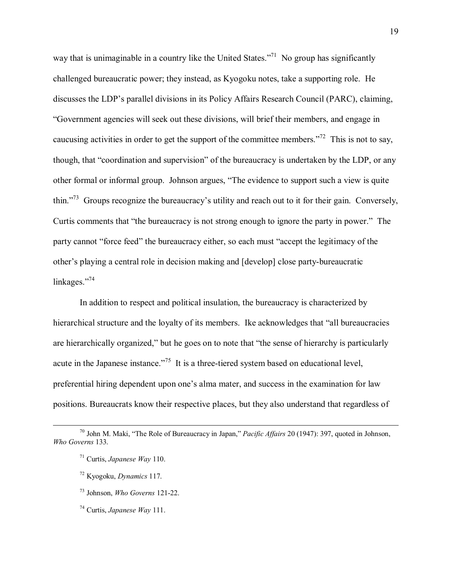way that is unimaginable in a country like the United States.<sup> $71$ </sup> No group has significantly challenged bureaucratic power; they instead, as Kyogoku notes, take a supporting role. He discusses the LDP's parallel divisions in its Policy Affairs Research Council (PARC), claiming, ìGovernment agencies will seek out these divisions, will brief their members, and engage in caucusing activities in order to get the support of the committee members.<sup> $72$ </sup> This is not to say, though, that "coordination and supervision" of the bureaucracy is undertaken by the LDP, or any other formal or informal group. Johnson argues, "The evidence to support such a view is quite thin.<sup>773</sup> Groups recognize the bureaucracy's utility and reach out to it for their gain. Conversely, Curtis comments that "the bureaucracy is not strong enough to ignore the party in power." The party cannot "force feed" the bureaucracy either, so each must "accept the legitimacy of the other's playing a central role in decision making and [develop] close party-bureaucratic linkages. $\frac{1}{2}$ <sup>74</sup>

In addition to respect and political insulation, the bureaucracy is characterized by hierarchical structure and the loyalty of its members. Ike acknowledges that "all bureaucracies" are hierarchically organized," but he goes on to note that "the sense of hierarchy is particularly acute in the Japanese instance.<sup> $75$ </sup> It is a three-tiered system based on educational level, preferential hiring dependent upon one's alma mater, and success in the examination for law positions. Bureaucrats know their respective places, but they also understand that regardless of

<sup>&</sup>lt;sup>70</sup> John M. Maki, "The Role of Bureaucracy in Japan," *Pacific Affairs* 20 (1947): 397, quoted in Johnson, *Who Governs* 133.

<sup>71</sup> Curtis, *Japanese Way* 110.

<sup>72</sup> Kyogoku, *Dynamics* 117.

<sup>73</sup> Johnson, *Who Governs* 121-22.

<sup>74</sup> Curtis, *Japanese Way* 111.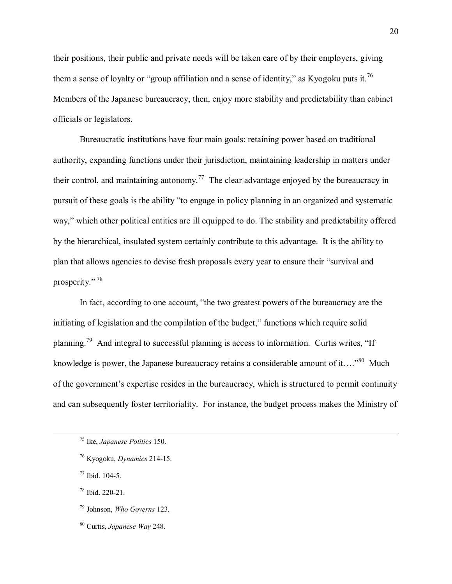their positions, their public and private needs will be taken care of by their employers, giving them a sense of loyalty or "group affiliation and a sense of identity," as Kyogoku puts it.<sup>76</sup> Members of the Japanese bureaucracy, then, enjoy more stability and predictability than cabinet officials or legislators.

Bureaucratic institutions have four main goals: retaining power based on traditional authority, expanding functions under their jurisdiction, maintaining leadership in matters under their control, and maintaining autonomy.<sup>77</sup> The clear advantage enjoyed by the bureaucracy in pursuit of these goals is the ability "to engage in policy planning in an organized and systematic way," which other political entities are ill equipped to do. The stability and predictability offered by the hierarchical, insulated system certainly contribute to this advantage. It is the ability to plan that allows agencies to devise fresh proposals every year to ensure their "survival and prosperity." $78$ 

In fact, according to one account, "the two greatest powers of the bureaucracy are the initiating of legislation and the compilation of the budget," functions which require solid planning.<sup>79</sup> And integral to successful planning is access to information. Curtis writes, "If knowledge is power, the Japanese bureaucracy retains a considerable amount of it....<sup>80</sup> Much of the government's expertise resides in the bureaucracy, which is structured to permit continuity and can subsequently foster territoriality. For instance, the budget process makes the Ministry of

78 Ibid. 220-21.

 <sup>75</sup> Ike, *Japanese Politics* 150.

<sup>76</sup> Kyogoku, *Dynamics* 214-15.

<sup>77</sup> Ibid. 104-5.

<sup>79</sup> Johnson, *Who Governs* 123.

<sup>80</sup> Curtis, *Japanese Way* 248.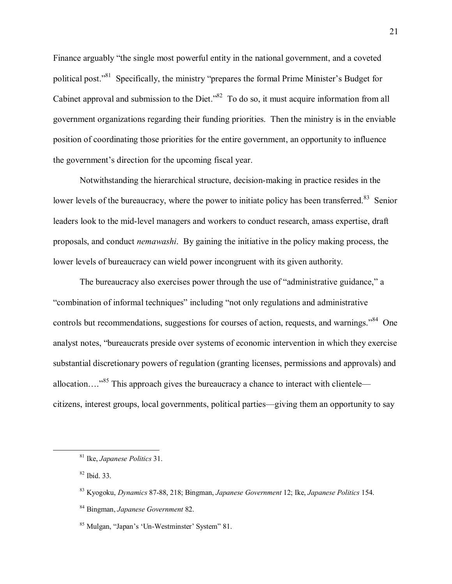Finance arguably "the single most powerful entity in the national government, and a coveted political post."<sup>81</sup> Specifically, the ministry "prepares the formal Prime Minister's Budget for Cabinet approval and submission to the Diet.<sup>382</sup> To do so, it must acquire information from all government organizations regarding their funding priorities. Then the ministry is in the enviable position of coordinating those priorities for the entire government, an opportunity to influence the government's direction for the upcoming fiscal year.

Notwithstanding the hierarchical structure, decision-making in practice resides in the lower levels of the bureaucracy, where the power to initiate policy has been transferred.<sup>83</sup> Senior leaders look to the mid-level managers and workers to conduct research, amass expertise, draft proposals, and conduct *nemawashi*. By gaining the initiative in the policy making process, the lower levels of bureaucracy can wield power incongruent with its given authority.

The bureaucracy also exercises power through the use of "administrative guidance," a "combination of informal techniques" including "not only regulations and administrative controls but recommendations, suggestions for courses of action, requests, and warnings."<sup>84</sup> One analyst notes, "bureaucrats preside over systems of economic intervention in which they exercise substantial discretionary powers of regulation (granting licenses, permissions and approvals) and allocation....<sup>385</sup> This approach gives the bureaucracy a chance to interact with clientelecitizens, interest groups, local governments, political parties—giving them an opportunity to say

<sup>&</sup>lt;sup>81</sup> Ike, *Japanese Politics* 31.

<sup>&</sup>lt;sup>82</sup> Ibid. 33.

<sup>&</sup>lt;sup>83</sup> Kyogoku, *Dynamics* 87-88, 218; Bingman, *Japanese Government* 12; Ike, *Japanese Politics* 154.

<sup>84</sup> Bingman, Japanese Government 82.

<sup>&</sup>lt;sup>85</sup> Mulgan, "Japan's 'Un-Westminster' System" 81.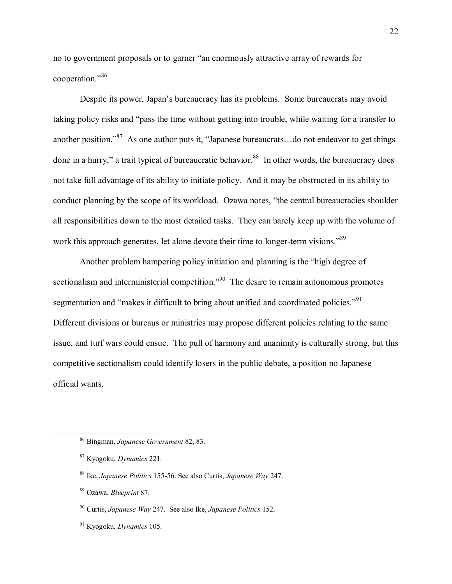no to government proposals or to garner "an enormously attractive array of rewards for cooperation."86

Despite its power, Japan's bureaucracy has its problems. Some bureaucrats may avoid taking policy risks and "pass the time without getting into trouble, while waiting for a transfer to another position.<sup>87</sup> As one author puts it, "Japanese bureaucrats...do not endeavor to get things done in a hurry," a trait typical of bureaucratic behavior.<sup>88</sup> In other words, the bureaucracy does not take full advantage of its ability to initiate policy. And it may be obstructed in its ability to conduct planning by the scope of its workload. Ozawa notes, "the central bureaucracies shoulder all responsibilities down to the most detailed tasks. They can barely keep up with the volume of work this approach generates, let alone devote their time to longer-term visions.<sup>89</sup>

Another problem hampering policy initiation and planning is the "high degree of sectionalism and interministerial competition.<sup> $90$ </sup> The desire to remain autonomous promotes segmentation and "makes it difficult to bring about unified and coordinated policies."<sup>91</sup> Different divisions or bureaus or ministries may propose different policies relating to the same issue, and turf wars could ensue. The pull of harmony and unanimity is culturally strong, but this competitive sectionalism could identify losers in the public debate, a position no Japanese official wants.

 <sup>86</sup> Bingman, *Japanese Government* 82, 83.

<sup>87</sup> Kyogoku, *Dynamics* 221.

<sup>88</sup> Ike, *Japanese Politics* 155-56. See also Curtis, *Japanese Way* 247.

<sup>89</sup> Ozawa, *Blueprint* 87.

<sup>90</sup> Curtis, *Japanese Way* 247. See also Ike, *Japanese Politics* 152.

<sup>91</sup> Kyogoku, *Dynamics* 105.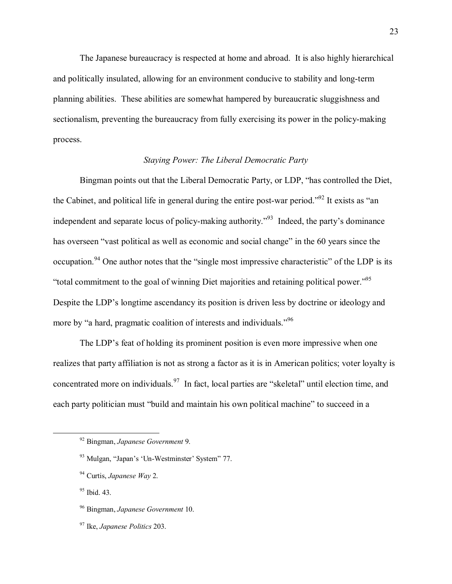The Japanese bureaucracy is respected at home and abroad. It is also highly hierarchical and politically insulated, allowing for an environment conducive to stability and long-term planning abilities. These abilities are somewhat hampered by bureaucratic sluggishness and sectionalism, preventing the bureaucracy from fully exercising its power in the policy-making process.

### **Staving Power: The Liberal Democratic Party**

Bingman points out that the Liberal Democratic Party, or LDP, "has controlled the Diet, the Cabinet, and political life in general during the entire post-war period."<sup>92</sup> It exists as "an independent and separate locus of policy-making authority."<sup>93</sup> Indeed, the party's dominance has overseen "vast political as well as economic and social change" in the 60 years since the occupation.<sup>94</sup> One author notes that the "single most impressive characteristic" of the LDP is its "total commitment to the goal of winning Diet majorities and retaining political power."<sup>95</sup> Despite the LDP's longtime ascendancy its position is driven less by doctrine or ideology and more by "a hard, pragmatic coalition of interests and individuals."<sup>96</sup>

The LDP's feat of holding its prominent position is even more impressive when one realizes that party affiliation is not as strong a factor as it is in American politics; voter loyalty is concentrated more on individuals.<sup>97</sup> In fact, local parties are "skeletal" until election time, and each party politician must "build and maintain his own political machine" to succeed in a

<sup>92</sup> Bingman, Japanese Government 9.

<sup>&</sup>lt;sup>93</sup> Mulgan, "Japan's 'Un-Westminster' System" 77.

 $94$  Curtis, Japanese Way 2.

<sup>&</sup>lt;sup>95</sup> Ibid. 43.

<sup>&</sup>lt;sup>96</sup> Bingman, Japanese Government 10.

<sup>&</sup>lt;sup>97</sup> Ike, *Japanese Politics* 203.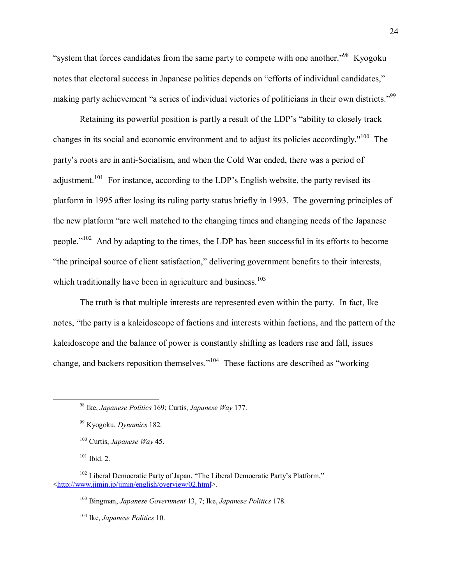"system that forces candidates from the same party to compete with one another."<sup>98</sup> Kyogoku notes that electoral success in Japanese politics depends on "efforts of individual candidates," making party achievement "a series of individual victories of politicians in their own districts."<sup>99</sup>

Retaining its powerful position is partly a result of the LDP's "ability to closely track" changes in its social and economic environment and to adjust its policies accordingly."<sup>100</sup> The party's roots are in anti-Socialism, and when the Cold War ended, there was a period of adjustment.<sup>101</sup> For instance, according to the LDP's English website, the party revised its platform in 1995 after losing its ruling party status briefly in 1993. The governing principles of the new platform "are well matched to the changing times and changing needs of the Japanese people."<sup>102</sup> And by adapting to the times, the LDP has been successful in its efforts to become "the principal source of client satisfaction," delivering government benefits to their interests, which traditionally have been in agriculture and business.<sup>103</sup>

The truth is that multiple interests are represented even within the party. In fact, Ike notes, "the party is a kaleidoscope of factions and interests within factions, and the pattern of the kaleidoscope and the balance of power is constantly shifting as leaders rise and fall, issues change, and backers reposition themselves."<sup>104</sup> These factions are described as "working"

 $101$  Ibid. 2.

 $104$  Ike, Japanese Politics 10.

<sup>&</sup>lt;sup>98</sup> Ike, Japanese Politics 169; Curtis, Japanese Way 177.

<sup>99</sup> Kyogoku, Dynamics 182.

 $100$  Curtis, Japanese Way 45.

<sup>&</sup>lt;sup>102</sup> Liberal Democratic Party of Japan, "The Liberal Democratic Party's Platform," <http://www.jimin.jp/jimin/english/overview/02.html>.

<sup>&</sup>lt;sup>103</sup> Bingman, *Japanese Government* 13, 7: Ike, *Japanese Politics* 178.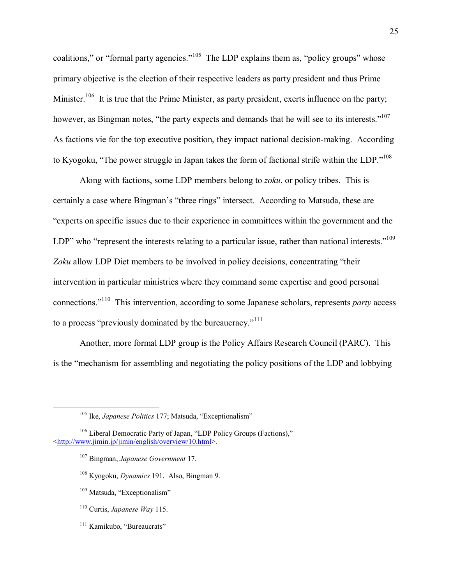coalitions," or "formal party agencies."<sup>105</sup> The LDP explains them as, "policy groups" whose primary objective is the election of their respective leaders as party president and thus Prime Minister.<sup>106</sup> It is true that the Prime Minister, as party president, exerts influence on the party; however, as Bingman notes, "the party expects and demands that he will see to its interests."<sup>107</sup> As factions vie for the top executive position, they impact national decision-making. According to Kyogoku, "The power struggle in Japan takes the form of factional strife within the LDP."<sup>108</sup>

Along with factions, some LDP members belong to zoku, or policy tribes. This is certainly a case where Bingman's "three rings" intersect. According to Matsuda, these are "experts on specific issues due to their experience in committees within the government and the LDP" who "represent the interests relating to a particular issue, rather than national interests."<sup>109</sup> Zoku allow LDP Diet members to be involved in policy decisions, concentrating "their intervention in particular ministries where they command some expertise and good personal connections."<sup>110</sup> This intervention, according to some Japanese scholars, represents *party* access to a process "previously dominated by the bureaucracy."<sup>111</sup>

Another, more formal LDP group is the Policy Affairs Research Council (PARC). This is the "mechanism for assembling and negotiating the policy positions of the LDP and lobbying

- <sup>107</sup> Bingman, Japanese Government 17.
- $108$  Kyogoku, *Dynamics* 191. Also, Bingman 9.
- <sup>109</sup> Matsuda. "Exceptionalism"
- $110$  Curtis, *Japanese Way* 115.
- <sup>111</sup> Kamikubo. "Bureaucrats"

<sup>&</sup>lt;sup>105</sup> Ike, *Japanese Politics* 177; Matsuda, "Exceptionalism"

<sup>&</sup>lt;sup>106</sup> Liberal Democratic Party of Japan, "LDP Policy Groups (Factions)," <http://www.jimin.jp/jimin/english/overview/10.html>.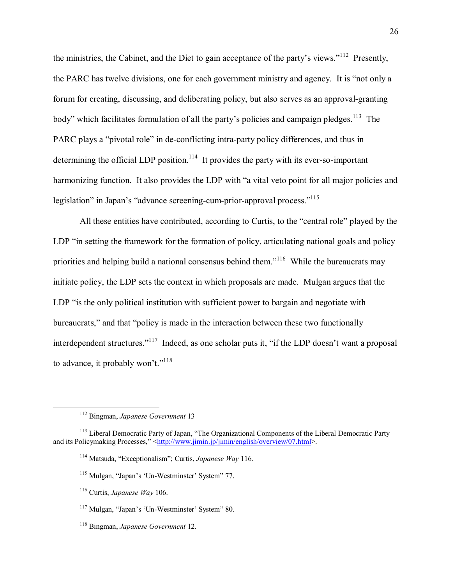the ministries, the Cabinet, and the Diet to gain acceptance of the party's views."<sup>112</sup> Presently. the PARC has twelve divisions, one for each government ministry and agency. It is "not only a forum for creating, discussing, and deliberating policy, but also serves as an approval-granting body" which facilitates formulation of all the party's policies and campaign pledges.<sup>113</sup> The PARC plays a "pivotal role" in de-conflicting intra-party policy differences, and thus in determining the official LDP position.<sup>114</sup> It provides the party with its ever-so-important harmonizing function. It also provides the LDP with "a vital veto point for all major policies and legislation" in Japan's "advance screening-cum-prior-approval process."<sup>115</sup>

All these entities have contributed, according to Curtis, to the "central role" played by the LDP "in setting the framework for the formation of policy, articulating national goals and policy priorities and helping build a national consensus behind them."<sup>116</sup> While the bureaucrats may initiate policy, the LDP sets the context in which proposals are made. Mulgan argues that the LDP "is the only political institution with sufficient power to bargain and negotiate with bureaucrats," and that "policy is made in the interaction between these two functionally interdependent structures."<sup>117</sup> Indeed, as one scholar puts it, "if the LDP doesn't want a proposal to advance, it probably won't."<sup>118</sup>

- <sup>114</sup> Matsuda, "Exceptionalism"; Curtis, *Japanese Way* 116.
- <sup>115</sup> Mulgan, "Japan's 'Un-Westminster' System" 77.
- $116$  Curtis, Japanese Way 106.
- <sup>117</sup> Mulgan. "Japan's 'Un-Westminster' System" 80.
- <sup>118</sup> Bingman, *Japanese Government* 12.

<sup>&</sup>lt;sup>112</sup> Bingman, Japanese Government 13

<sup>&</sup>lt;sup>113</sup> Liberal Democratic Party of Japan, "The Organizational Components of the Liberal Democratic Party and its Policymaking Processes," <http://www.jimin.jp/jimin/english/overview/07.html>.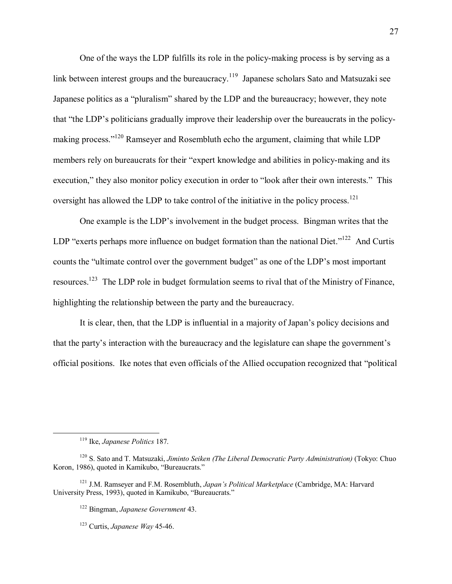One of the ways the LDP fulfills its role in the policy-making process is by serving as a link between interest groups and the bureaucracy.<sup>119</sup> Japanese scholars Sato and Matsuzaki see Japanese politics as a "pluralism" shared by the LDP and the bureaucracy; however, they note that "the LDP's politicians gradually improve their leadership over the bureaucrats in the policymaking process."<sup>120</sup> Ramsever and Rosembluth echo the argument, claiming that while LDP members rely on bureaucrats for their "expert knowledge and abilities in policy-making and its execution," they also monitor policy execution in order to "look after their own interests." This oversight has allowed the LDP to take control of the initiative in the policy process.<sup>121</sup>

One example is the LDP's involvement in the budget process. Bingman writes that the LDP "exerts perhaps more influence on budget formation than the national Diet."<sup>122</sup> And Curtis counts the "ultimate control over the government budget" as one of the LDP's most important resources.<sup>123</sup> The LDP role in budget formulation seems to rival that of the Ministry of Finance, highlighting the relationship between the party and the bureaucracy.

It is clear, then, that the LDP is influential in a majority of Japan's policy decisions and that the party's interaction with the bureaucracy and the legislature can shape the government's official positions. Ike notes that even officials of the Allied occupation recognized that "political"

 $119$  Ike, *Japanese Politics* 187.

<sup>&</sup>lt;sup>120</sup> S. Sato and T. Matsuzaki, Jiminto Seiken (The Liberal Democratic Party Administration) (Tokyo: Chuo Koron, 1986), quoted in Kamikubo. "Bureaucrats."

<sup>&</sup>lt;sup>121</sup> J.M. Ramseyer and F.M. Rosembluth, *Japan's Political Marketplace* (Cambridge, MA: Harvard University Press, 1993), quoted in Kamikubo, "Bureaucrats."

<sup>&</sup>lt;sup>122</sup> Bingman, Japanese Government 43.

 $123$  Curtis. *Japanese Way* 45-46.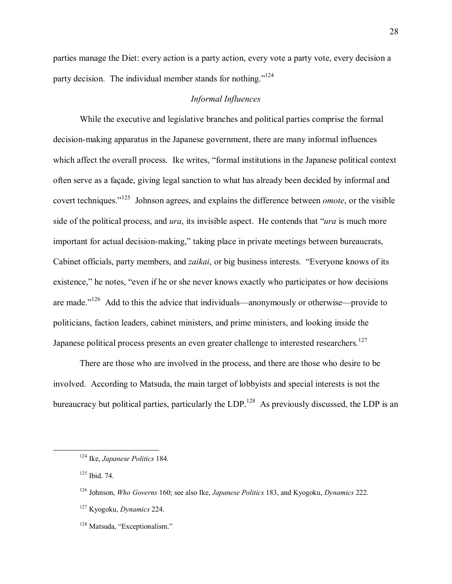parties manage the Diet: every action is a party action, every vote a party vote, every decision a party decision. The individual member stands for nothing.<sup> $124$ </sup>

## *Informal Influences*

While the executive and legislative branches and political parties comprise the formal decision-making apparatus in the Japanese government, there are many informal influences which affect the overall process. Ike writes, "formal institutions in the Japanese political context often serve as a façade, giving legal sanction to what has already been decided by informal and covert techniques.<sup>"125</sup> Johnson agrees, and explains the difference between *omote*, or the visible side of the political process, and *ura*, its invisible aspect. He contends that *''ura* is much more important for actual decision-making," taking place in private meetings between bureaucrats, Cabinet officials, party members, and *zaikai*, or big business interests. "Everyone knows of its existence," he notes, "even if he or she never knows exactly who participates or how decisions are made.<sup> $126$ </sup> Add to this the advice that individuals—anonymously or otherwise—provide to politicians, faction leaders, cabinet ministers, and prime ministers, and looking inside the Japanese political process presents an even greater challenge to interested researchers.<sup>127</sup>

There are those who are involved in the process, and there are those who desire to be involved. According to Matsuda, the main target of lobbyists and special interests is not the bureaucracy but political parties, particularly the  $LDP<sup>128</sup>$ . As previously discussed, the LDP is an

 <sup>124</sup> Ike, *Japanese Politics* 184.

<sup>125</sup> Ibid. 74.

<sup>126</sup> Johnson, *Who Governs* 160; see also Ike, *Japanese Politics* 183, and Kyogoku, *Dynamics* 222.

<sup>127</sup> Kyogoku, *Dynamics* 224.

 $128$  Matsuda, "Exceptionalism."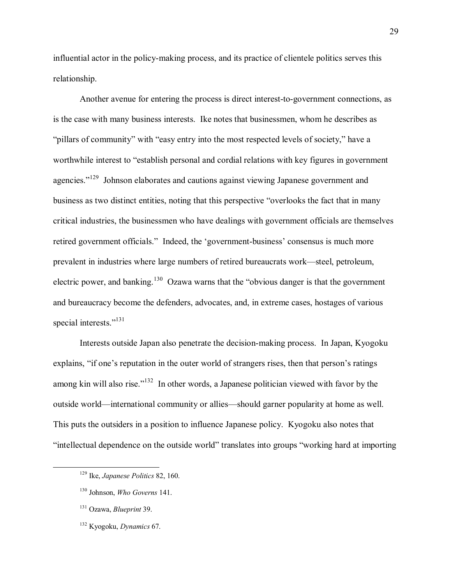influential actor in the policy-making process, and its practice of clientele politics serves this relationship.

Another avenue for entering the process is direct interest-to-government connections, as is the case with many business interests. Ike notes that businessmen, whom he describes as "pillars of community" with "easy entry into the most respected levels of society," have a worthwhile interest to "establish personal and cordial relations with key figures in government agencies.<sup>"129</sup> Johnson elaborates and cautions against viewing Japanese government and business as two distinct entities, noting that this perspective "overlooks the fact that in many critical industries, the businessmen who have dealings with government officials are themselves retired government officials." Indeed, the 'government-business' consensus is much more prevalent in industries where large numbers of retired bureaucrats work—steel, petroleum, electric power, and banking.<sup>130</sup> Ozawa warns that the "obvious danger is that the government" and bureaucracy become the defenders, advocates, and, in extreme cases, hostages of various special interests."<sup>131</sup>

Interests outside Japan also penetrate the decision-making process. In Japan, Kyogoku explains, "if one's reputation in the outer world of strangers rises, then that person's ratings among kin will also rise.<sup> $132$ </sup> In other words, a Japanese politician viewed with favor by the outside world—international community or allies—should garner popularity at home as well. This puts the outsiders in a position to influence Japanese policy. Kyogoku also notes that "intellectual dependence on the outside world" translates into groups "working hard at importing

 <sup>129</sup> Ike, *Japanese Politics* 82, 160.

<sup>130</sup> Johnson, *Who Governs* 141.

<sup>131</sup> Ozawa, *Blueprint* 39.

<sup>132</sup> Kyogoku, *Dynamics* 67.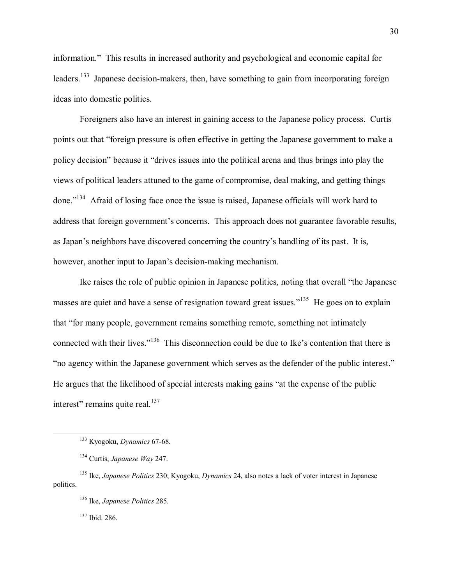information." This results in increased authority and psychological and economic capital for leaders.<sup>133</sup> Japanese decision-makers, then, have something to gain from incorporating foreign ideas into domestic politics.

Foreigners also have an interest in gaining access to the Japanese policy process. Curtis points out that "foreign pressure is often effective in getting the Japanese government to make a policy decision" because it "drives issues into the political arena and thus brings into play the views of political leaders attuned to the game of compromise, deal making, and getting things done.<sup>7134</sup> Afraid of losing face once the issue is raised, Japanese officials will work hard to address that foreign government's concerns. This approach does not guarantee favorable results, as Japan's neighbors have discovered concerning the country's handling of its past. It is, however, another input to Japan's decision-making mechanism.

Ike raises the role of public opinion in Japanese politics, noting that overall "the Japanese" masses are quiet and have a sense of resignation toward great issues.<sup> $135$ </sup> He goes on to explain that "for many people, government remains something remote, something not intimately connected with their lives.<sup>7136</sup> This disconnection could be due to Ike's contention that there is "no agency within the Japanese government which serves as the defender of the public interest." He argues that the likelihood of special interests making gains "at the expense of the public interest" remains quite real. $137$ 

137 Ibid. 286.

 <sup>133</sup> Kyogoku, *Dynamics* 67-68.

<sup>134</sup> Curtis, *Japanese Way* 247.

<sup>135</sup> Ike, *Japanese Politics* 230; Kyogoku, *Dynamics* 24, also notes a lack of voter interest in Japanese politics.

<sup>136</sup> Ike, *Japanese Politics* 285.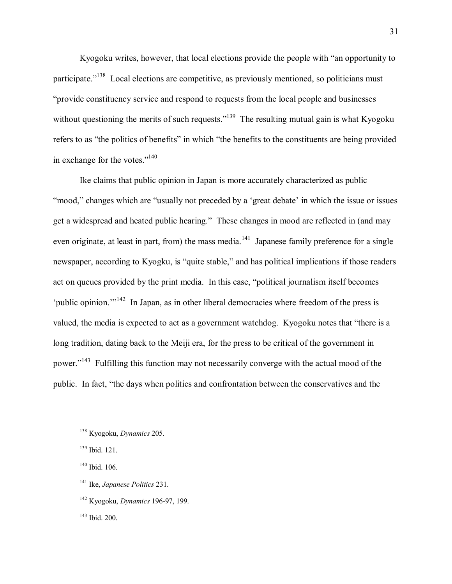Kyogoku writes, however, that local elections provide the people with "an opportunity to participate.<sup>7138</sup> Local elections are competitive, as previously mentioned, so politicians must ìprovide constituency service and respond to requests from the local people and businesses without questioning the merits of such requests.<sup> $139$ </sup> The resulting mutual gain is what Kyogoku refers to as "the politics of benefits" in which "the benefits to the constituents are being provided in exchange for the votes."<sup>140</sup>

Ike claims that public opinion in Japan is more accurately characterized as public "mood," changes which are "usually not preceded by a 'great debate' in which the issue or issues get a widespread and heated public hearing." These changes in mood are reflected in (and may even originate, at least in part, from) the mass media.<sup>141</sup> Japanese family preference for a single newspaper, according to Kyogku, is "quite stable," and has political implications if those readers act on queues provided by the print media. In this case, "political journalism itself becomes 'public opinion.<sup> $142$ </sup> In Japan, as in other liberal democracies where freedom of the press is valued, the media is expected to act as a government watchdog. Kyogoku notes that "there is a long tradition, dating back to the Meiji era, for the press to be critical of the government in power.<sup>"143</sup> Fulfilling this function may not necessarily converge with the actual mood of the public. In fact, "the days when politics and confrontation between the conservatives and the

- 141 Ike, *Japanese Politics* 231.
- 142 Kyogoku, *Dynamics* 196-97, 199.

143 Ibid. 200.

 <sup>138</sup> Kyogoku, *Dynamics* 205.

<sup>139</sup> Ibid. 121.

<sup>140</sup> Ibid. 106.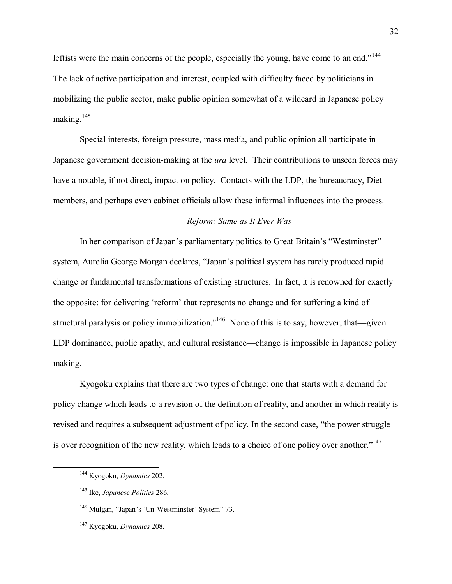leftists were the main concerns of the people, especially the young, have come to an end.<sup>1144</sup> The lack of active participation and interest, coupled with difficulty faced by politicians in mobilizing the public sector, make public opinion somewhat of a wildcard in Japanese policy making.<sup>145</sup>

Special interests, foreign pressure, mass media, and public opinion all participate in Japanese government decision-making at the *ura* level. Their contributions to unseen forces may have a notable, if not direct, impact on policy. Contacts with the LDP, the bureaucracy, Diet members, and perhaps even cabinet officials allow these informal influences into the process.

# *Reform: Same as It Ever Was*

In her comparison of Japan's parliamentary politics to Great Britain's "Westminster" system, Aurelia George Morgan declares, "Japan's political system has rarely produced rapid change or fundamental transformations of existing structures. In fact, it is renowned for exactly the opposite: for delivering 'reform' that represents no change and for suffering a kind of structural paralysis or policy immobilization."<sup>146</sup> None of this is to say, however, that—given LDP dominance, public apathy, and cultural resistance—change is impossible in Japanese policy making.

Kyogoku explains that there are two types of change: one that starts with a demand for policy change which leads to a revision of the definition of reality, and another in which reality is revised and requires a subsequent adjustment of policy. In the second case, "the power struggle is over recognition of the new reality, which leads to a choice of one policy over another. $1147$ 

 <sup>144</sup> Kyogoku, *Dynamics* 202.

<sup>145</sup> Ike, *Japanese Politics* 286.

 $146$  Mulgan, "Japan's 'Un-Westminster' System" 73.

<sup>147</sup> Kyogoku, *Dynamics* 208.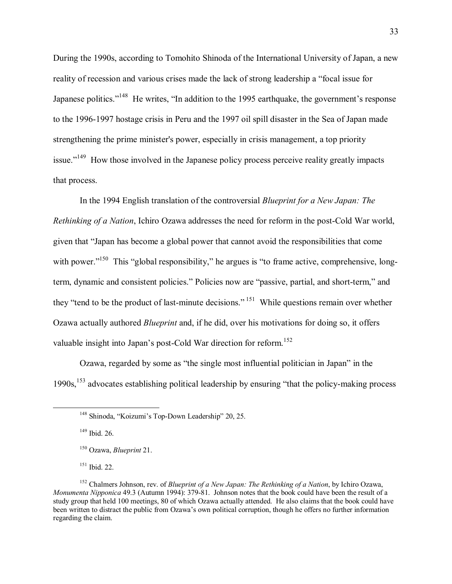During the 1990s, according to Tomohito Shinoda of the International University of Japan, a new reality of recession and various crises made the lack of strong leadership a "focal issue for Japanese politics.<sup>7148</sup> He writes, "In addition to the 1995 earthquake, the government's response to the 1996-1997 hostage crisis in Peru and the 1997 oil spill disaster in the Sea of Japan made strengthening the prime minister's power, especially in crisis management, a top priority issue.<sup>7149</sup> How those involved in the Japanese policy process perceive reality greatly impacts that process.

In the 1994 English translation of the controversial *Blueprint for a New Japan: The Rethinking of a Nation*, Ichiro Ozawa addresses the need for reform in the post-Cold War world, given that "Japan has become a global power that cannot avoid the responsibilities that come with power.<sup>"150</sup> This "global responsibility," he argues is "to frame active, comprehensive, longterm, dynamic and consistent policies." Policies now are "passive, partial, and short-term," and they "tend to be the product of last-minute decisions."<sup>151</sup> While questions remain over whether Ozawa actually authored *Blueprint* and, if he did, over his motivations for doing so, it offers valuable insight into Japan's post-Cold War direction for reform.<sup>152</sup>

Ozawa, regarded by some as "the single most influential politician in Japan" in the  $1990s$ ,<sup>153</sup> advocates establishing political leadership by ensuring "that the policy-making process"

 $149$  Ibid. 26.

151 Ibid. 22.

<sup>&</sup>lt;sup>148</sup> Shinoda, "Koizumi's Top-Down Leadership" 20, 25.

<sup>150</sup> Ozawa, *Blueprint* 21.

<sup>152</sup> Chalmers Johnson, rev. of *Blueprint of a New Japan: The Rethinking of a Nation*, by Ichiro Ozawa, *Monumenta Nipponica* 49.3 (Autumn 1994): 379-81. Johnson notes that the book could have been the result of a study group that held 100 meetings, 80 of which Ozawa actually attended. He also claims that the book could have been written to distract the public from Ozawa's own political corruption, though he offers no further information regarding the claim.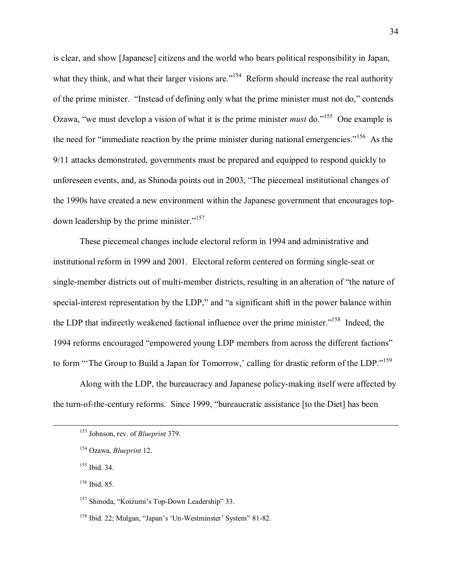is clear, and show [Japanese] citizens and the world who bears political responsibility in Japan, what they think, and what their larger visions are.<sup> $154$ </sup> Reform should increase the real authority of the prime minister. "Instead of defining only what the prime minister must not do," contends Ozawa, "we must develop a vision of what it is the prime minister *must* do.<sup>"155</sup> One example is the need for "immediate reaction by the prime minister during national emergencies.<sup> $156$ </sup> As the 9/11 attacks demonstrated, governments must be prepared and equipped to respond quickly to unforeseen events, and, as Shinoda points out in 2003, "The piecemeal institutional changes of the 1990s have created a new environment within the Japanese government that encourages topdown leadership by the prime minister. $i<sup>157</sup>$ 

These piecemeal changes include electoral reform in 1994 and administrative and institutional reform in 1999 and 2001. Electoral reform centered on forming single-seat or single-member districts out of multi-member districts, resulting in an alteration of "the nature of special-interest representation by the LDP," and "a significant shift in the power balance within the LDP that indirectly weakened factional influence over the prime minister.<sup> $158$ </sup> Indeed, the 1994 reforms encouraged "empowered young LDP members from across the different factions" to form "The Group to Build a Japan for Tomorrow,' calling for drastic reform of the LDP."<sup>159</sup>

Along with the LDP, the bureaucracy and Japanese policy-making itself were affected by the turn-of-the-century reforms. Since 1999, "bureaucratic assistance [to the Diet] has been

 <sup>153</sup> Johnson, rev. of *Blueprint* 379.

<sup>154</sup> Ozawa, *Blueprint* 12.

<sup>155</sup> Ibid. 34.

<sup>156</sup> Ibid. 85.

<sup>&</sup>lt;sup>157</sup> Shinoda, "Koizumi's Top-Down Leadership" 33.

<sup>&</sup>lt;sup>158</sup> Ibid. 22; Mulgan, "Japan's 'Un-Westminster' System" 81-82.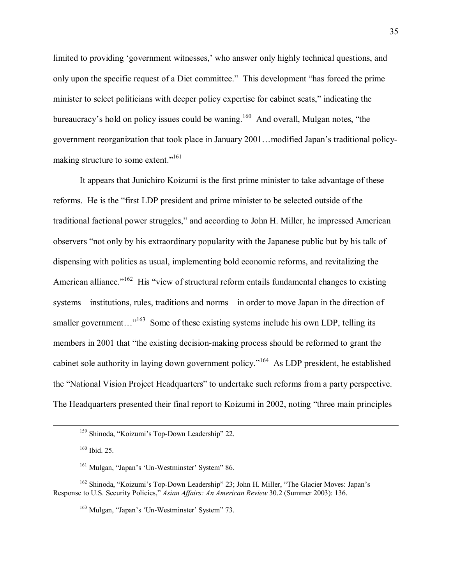limited to providing 'government witnesses,' who answer only highly technical questions, and only upon the specific request of a Diet committee." This development "has forced the prime minister to select politicians with deeper policy expertise for cabinet seats," indicating the bureaucracy's hold on policy issues could be waning.<sup>160</sup> And overall, Mulgan notes, "the government reorganization that took place in January 2001... modified Japan's traditional policymaking structure to some extent."<sup>161</sup>

It appears that Junichiro Koizumi is the first prime minister to take advantage of these reforms. He is the "first LDP president and prime minister to be selected outside of the traditional factional power struggles," and according to John H. Miller, he impressed American observers "not only by his extraordinary popularity with the Japanese public but by his talk of dispensing with politics as usual, implementing bold economic reforms, and revitalizing the American alliance.<sup> $162$ </sup> His "view of structural reform entails fundamental changes to existing systems—institutions, rules, traditions and norms—in order to move Japan in the direction of smaller government..."<sup>163</sup> Some of these existing systems include his own LDP, telling its members in 2001 that "the existing decision-making process should be reformed to grant the cabinet sole authority in laying down government policy.<sup> $164$ </sup> As LDP president, he established the "National Vision Project Headquarters" to undertake such reforms from a party perspective. The Headquarters presented their final report to Koizumi in 2002, noting "three main principles"

<sup>&</sup>lt;sup>159</sup> Shinoda, "Koizumi's Top-Down Leadership" 22.

<sup>160</sup> Ibid. 25.

 $161$  Mulgan, "Japan's 'Un-Westminster' System" 86.

 $162$  Shinoda, "Koizumi's Top-Down Leadership" 23; John H. Miller, "The Glacier Moves: Japan's Response to U.S. Security Policies," *Asian Affairs: An American Review* 30.2 (Summer 2003): 136.

<sup>&</sup>lt;sup>163</sup> Mulgan, "Japan's 'Un-Westminster' System" 73.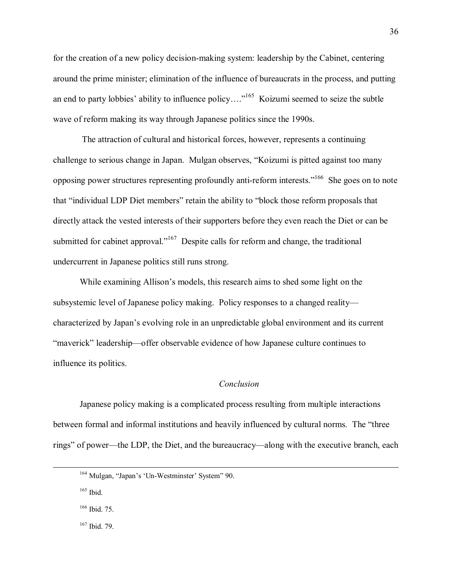for the creation of a new policy decision-making system: leadership by the Cabinet, centering around the prime minister; elimination of the influence of bureaucrats in the process, and putting an end to party lobbies' ability to influence policy.... $n^{165}$  Koizumi seemed to seize the subtle wave of reform making its way through Japanese politics since the 1990s.

 The attraction of cultural and historical forces, however, represents a continuing challenge to serious change in Japan. Mulgan observes, "Koizumi is pitted against too many opposing power structures representing profoundly anti-reform interests.<sup>166</sup> She goes on to note that "individual LDP Diet members" retain the ability to "block those reform proposals that directly attack the vested interests of their supporters before they even reach the Diet or can be submitted for cabinet approval.<sup> $167$ </sup> Despite calls for reform and change, the traditional undercurrent in Japanese politics still runs strong.

While examining Allison's models, this research aims to shed some light on the subsystemic level of Japanese policy making. Policy responses to a changed reality characterized by Japanís evolving role in an unpredictable global environment and its current "maverick" leadership—offer observable evidence of how Japanese culture continues to influence its politics.

### *Conclusion*

Japanese policy making is a complicated process resulting from multiple interactions between formal and informal institutions and heavily influenced by cultural norms. The "three rings" of power—the LDP, the Diet, and the bureaucracy—along with the executive branch, each

 $166$  Ibid. 75.

167 Ibid. 79.

 $164$  Mulgan, "Japan's 'Un-Westminster' System" 90.

 $165$  Ibid.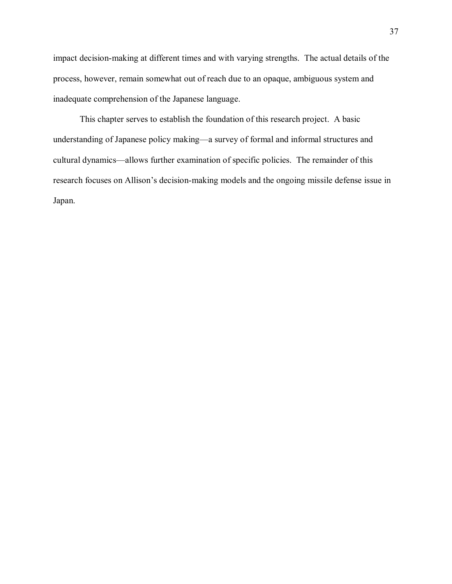impact decision-making at different times and with varying strengths. The actual details of the process, however, remain somewhat out of reach due to an opaque, ambiguous system and inadequate comprehension of the Japanese language.

This chapter serves to establish the foundation of this research project. A basic understanding of Japanese policy making—a survey of formal and informal structures and cultural dynamics—allows further examination of specific policies. The remainder of this research focuses on Allison's decision-making models and the ongoing missile defense issue in Japan.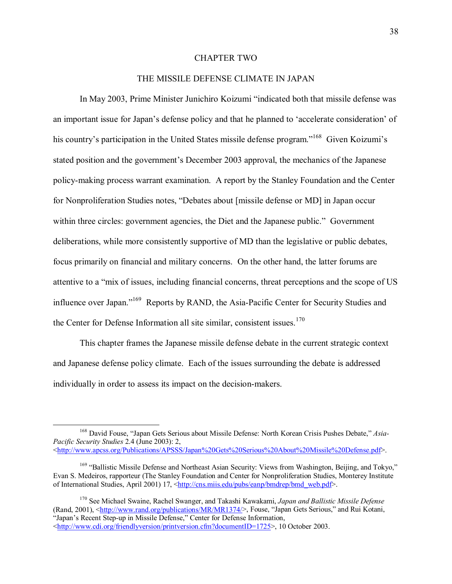### **CHAPTER TWO**

### THE MISSILE DEFENSE CLIMATE IN JAPAN

In May 2003, Prime Minister Junichiro Koizumi "indicated both that missile defense was an important issue for Japan's defense policy and that he planned to 'accelerate consideration' of his country's participation in the United States missile defense program."<sup>168</sup> Given Koizumi's stated position and the government's December 2003 approval, the mechanics of the Japanese policy-making process warrant examination. A report by the Stanley Foundation and the Center for Nonproliferation Studies notes, "Debates about [missile defense or MD] in Japan occur within three circles: government agencies, the Diet and the Japanese public." Government deliberations, while more consistently supportive of MD than the legislative or public debates, focus primarily on financial and military concerns. On the other hand, the latter forums are attentive to a "mix of issues, including financial concerns, threat perceptions and the scope of US influence over Japan."<sup>169</sup> Reports by RAND, the Asia-Pacific Center for Security Studies and the Center for Defense Information all site similar, consistent issues.<sup>170</sup>

This chapter frames the Japanese missile defense debate in the current strategic context and Japanese defense policy climate. Each of the issues surrounding the debate is addressed individually in order to assess its impact on the decision-makers.

<sup>&</sup>lt;sup>168</sup> David Fouse, "Japan Gets Serious about Missile Defense: North Korean Crisis Pushes Debate," Asia-Pacific Security Studies 2.4 (June 2003): 2, <http://www.apcss.org/Publications/APSSS/Japan%20Gets%20Serious%20About%20Missile%20Defense.pdf>.

<sup>&</sup>lt;sup>169</sup> "Ballistic Missile Defense and Northeast Asian Security: Views from Washington, Beijing, and Tokyo," Evan S. Medeiros, rapporteur (The Stanley Foundation and Center for Nonproliferation Studies, Monterey Institute of International Studies, April 2001) 17, <http://cns.miis.edu/pubs/eanp/bmdrep/bmd\_web.pdf>.

<sup>&</sup>lt;sup>170</sup> See Michael Swaine, Rachel Swanger, and Takashi Kawakami, Japan and Ballistic Missile Defense (Rand, 2001), <http://www.rand.org/publications/MR/MR1374/>, Fouse, "Japan Gets Serious," and Rui Kotani, "Japan's Recent Step-up in Missile Defense," Center for Defense Information. <http://www.cdi.org/friendlyversion/printversion.cfm?documentID=1725>, 10 October 2003.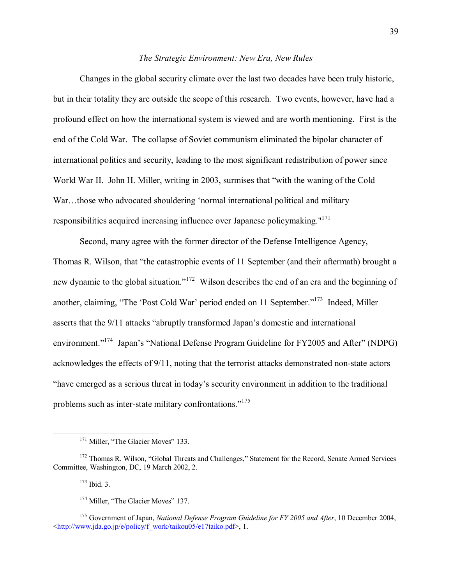### The Strategic Environment: New Era, New Rules

Changes in the global security climate over the last two decades have been truly historic. but in their totality they are outside the scope of this research. Two events, however, have had a profound effect on how the international system is viewed and are worth mentioning. First is the end of the Cold War. The collapse of Soviet communism eliminated the bipolar character of international politics and security, leading to the most significant redistribution of power since World War II. John H. Miller, writing in 2003, surmises that "with the waning of the Cold War...those who advocated shouldering 'normal international political and military responsibilities acquired increasing influence over Japanese policymaking."<sup>171</sup>

Second, many agree with the former director of the Defense Intelligence Agency, Thomas R. Wilson, that "the catastrophic events of 11 September (and their aftermath) brought a new dynamic to the global situation."<sup>172</sup> Wilson describes the end of an era and the beginning of another, claiming, "The 'Post Cold War' period ended on 11 September."<sup>173</sup> Indeed, Miller asserts that the 9/11 attacks "abruptly transformed Japan's domestic and international environment."<sup>174</sup> Japan's "National Defense Program Guideline for FY2005 and After" (NDPG) acknowledges the effects of 9/11, noting that the terrorist attacks demonstrated non-state actors "have emerged as a serious threat in today's security environment in addition to the traditional problems such as inter-state military confrontations."<sup>175</sup>

<sup>&</sup>lt;sup>171</sup> Miller, "The Glacier Moves" 133.

<sup>&</sup>lt;sup>172</sup> Thomas R. Wilson, "Global Threats and Challenges," Statement for the Record, Senate Armed Services Committee, Washington, DC, 19 March 2002. 2.

 $173$  Ibid. 3.

<sup>&</sup>lt;sup>174</sup> Miller, "The Glacier Moves" 137.

<sup>&</sup>lt;sup>175</sup> Government of Japan, National Defense Program Guideline for FY 2005 and After, 10 December 2004, <http://www.jda.go.jp/e/policy/f work/taikou05/e17taiko.pdf>.1.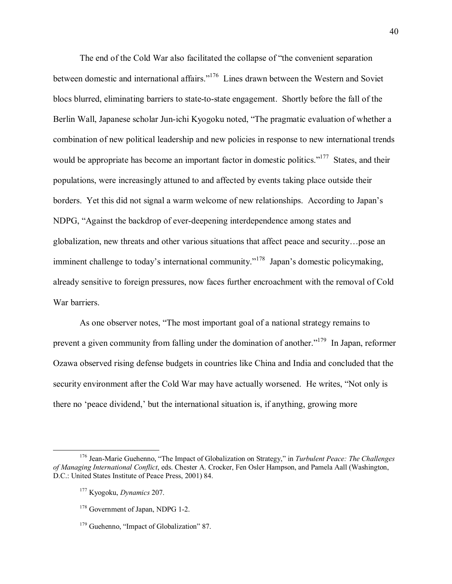The end of the Cold War also facilitated the collapse of "the convenient separation" between domestic and international affairs.<sup>176</sup> Lines drawn between the Western and Soviet blocs blurred, eliminating barriers to state-to-state engagement. Shortly before the fall of the Berlin Wall, Japanese scholar Jun-ichi Kyogoku noted, "The pragmatic evaluation of whether a combination of new political leadership and new policies in response to new international trends would be appropriate has become an important factor in domestic politics.<sup> $177$ </sup> States, and their populations, were increasingly attuned to and affected by events taking place outside their borders. Yet this did not signal a warm welcome of new relationships. According to Japan's NDPG, "Against the backdrop of ever-deepening interdependence among states and globalization, new threats and other various situations that affect peace and security $\ldots$  pose an imminent challenge to today's international community.<sup> $178$ </sup> Japan's domestic policymaking, already sensitive to foreign pressures, now faces further encroachment with the removal of Cold War barriers.

As one observer notes, "The most important goal of a national strategy remains to prevent a given community from falling under the domination of another.<sup> $179$ </sup> In Japan, reformer Ozawa observed rising defense budgets in countries like China and India and concluded that the security environment after the Cold War may have actually worsened. He writes, "Not only is there no 'peace dividend,' but the international situation is, if anything, growing more

<sup>&</sup>lt;sup>176</sup> Jean-Marie Guehenno, "The Impact of Globalization on Strategy," in *Turbulent Peace: The Challenges of Managing International Conflict*, eds. Chester A. Crocker, Fen Osler Hampson, and Pamela Aall (Washington, D.C.: United States Institute of Peace Press, 2001) 84.

<sup>177</sup> Kyogoku, *Dynamics* 207.

<sup>&</sup>lt;sup>178</sup> Government of Japan, NDPG 1-2.

 $179$  Guehenno, "Impact of Globalization" 87.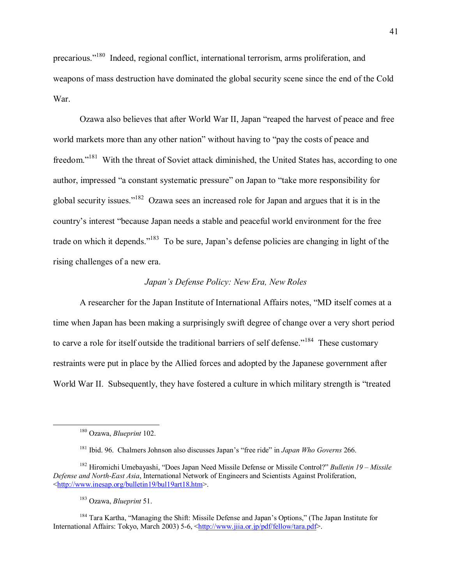precarious."<sup>180</sup> Indeed, regional conflict, international terrorism, arms proliferation, and weapons of mass destruction have dominated the global security scene since the end of the Cold War.

Ozawa also believes that after World War II, Japan "reaped the harvest of peace and free world markets more than any other nation" without having to "pay the costs of peace and freedom."<sup>181</sup> With the threat of Soviet attack diminished, the United States has, according to one author, impressed "a constant systematic pressure" on Japan to "take more responsibility for global security issues."<sup>182</sup> Ozawa sees an increased role for Japan and argues that it is in the country's interest "because Japan needs a stable and peaceful world environment for the free trade on which it depends."<sup>183</sup> To be sure, Japan's defense policies are changing in light of the rising challenges of a new era.

# Japan's Defense Policy: New Era, New Roles

A researcher for the Japan Institute of International Affairs notes, "MD itself comes at a time when Japan has been making a surprisingly swift degree of change over a very short period to carve a role for itself outside the traditional barriers of self defense."<sup>184</sup> These customary restraints were put in place by the Allied forces and adopted by the Japanese government after World War II. Subsequently, they have fostered a culture in which military strength is "treated"

 $180$  Ozawa, *Blueprint* 102.

<sup>&</sup>lt;sup>181</sup> Ibid. 96. Chalmers Johnson also discusses Japan's "free ride" in *Japan Who Governs* 266.

<sup>&</sup>lt;sup>182</sup> Hiromichi Umebayashi, "Does Japan Need Missile Defense or Missile Control?" Bulletin 19 – Missile Defense and North-East Asia, International Network of Engineers and Scientists Against Proliferation, <http://www.inesap.org/bulletin19/bul19art18.htm>.

<sup>&</sup>lt;sup>183</sup> Ozawa, *Blueprint* 51.

<sup>&</sup>lt;sup>184</sup> Tara Kartha, "Managing the Shift: Missile Defense and Japan's Options," (The Japan Institute for International Affairs: Tokyo, March 2003) 5-6, <http://www.jiia.or.jp/pdf/fellow/tara.pdf>.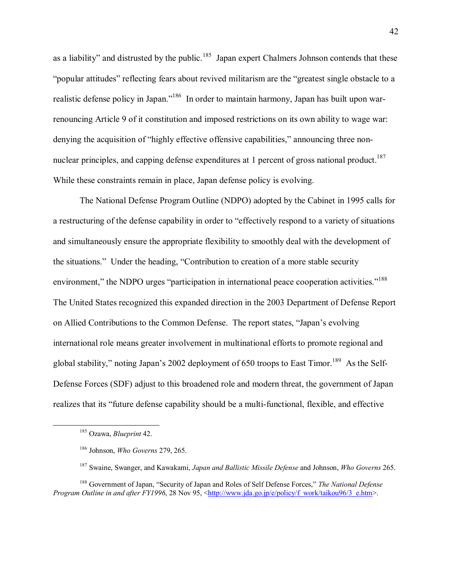as a liability" and distrusted by the public.<sup>185</sup> Japan expert Chalmers Johnson contends that these "popular attitudes" reflecting fears about revived militarism are the "greatest single obstacle to a realistic defense policy in Japan.<sup>1186</sup> In order to maintain harmony, Japan has built upon warrenouncing Article 9 of it constitution and imposed restrictions on its own ability to wage war: denying the acquisition of "highly effective offensive capabilities," announcing three nonnuclear principles, and capping defense expenditures at 1 percent of gross national product.<sup>187</sup> While these constraints remain in place, Japan defense policy is evolving.

The National Defense Program Outline (NDPO) adopted by the Cabinet in 1995 calls for a restructuring of the defense capability in order to "effectively respond to a variety of situations" and simultaneously ensure the appropriate flexibility to smoothly deal with the development of the situations." Under the heading, "Contribution to creation of a more stable security environment," the NDPO urges "participation in international peace cooperation activities."<sup>188</sup> The United States recognized this expanded direction in the 2003 Department of Defense Report on Allied Contributions to the Common Defense. The report states, "Japan's evolving international role means greater involvement in multinational efforts to promote regional and global stability," noting Japan's 2002 deployment of 650 troops to East Timor.<sup>189</sup> As the Self-Defense Forces (SDF) adjust to this broadened role and modern threat, the government of Japan realizes that its "future defense capability should be a multi-functional, flexible, and effective

 <sup>185</sup> Ozawa, *Blueprint* 42.

<sup>186</sup> Johnson, *Who Governs* 279, 265.

<sup>187</sup> Swaine, Swanger, and Kawakami, *Japan and Ballistic Missile Defense* and Johnson, *Who Governs* 265.

<sup>&</sup>lt;sup>188</sup> Government of Japan, "Security of Japan and Roles of Self Defense Forces," The National Defense *Program Outline in and after FY1996*, 28 Nov 95, <http://www.jda.go.jp/e/policy/f\_work/taikou96/3\_e.htm>.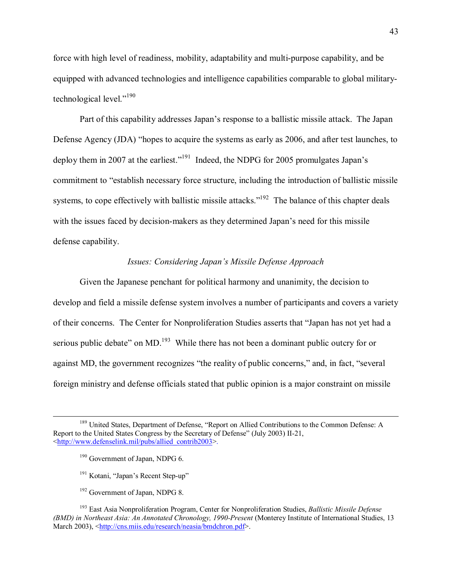force with high level of readiness, mobility, adaptability and multi-purpose capability, and be equipped with advanced technologies and intelligence capabilities comparable to global militarytechnological level." $190$ 

Part of this capability addresses Japan's response to a ballistic missile attack. The Japan Defense Agency (JDA) "hopes to acquire the systems as early as 2006, and after test launches, to deploy them in 2007 at the earliest."<sup>191</sup> Indeed, the NDPG for 2005 promulgates Japan's commitment to "establish necessary force structure, including the introduction of ballistic missile systems, to cope effectively with ballistic missile attacks."<sup>192</sup> The balance of this chapter deals with the issues faced by decision-makers as they determined Japan's need for this missile defense capability.

## Issues: Considering Japan's Missile Defense Approach

Given the Japanese penchant for political harmony and unanimity, the decision to develop and field a missile defense system involves a number of participants and covers a variety of their concerns. The Center for Nonproliferation Studies asserts that "Japan has not yet had a serious public debate" on MD.<sup>193</sup> While there has not been a dominant public outcry for or against MD, the government recognizes "the reality of public concerns," and, in fact, "several foreign ministry and defense officials stated that public opinion is a major constraint on missile

- <sup>191</sup> Kotani, "Japan's Recent Step-up"
- <sup>192</sup> Government of Japan, NDPG 8.

<sup>&</sup>lt;sup>189</sup> United States. Department of Defense, "Report on Allied Contributions to the Common Defense: A Report to the United States Congress by the Secretary of Defense" (July 2003) II-21, <http://www.defenselink.mil/pubs/allied contrib2003>.

<sup>&</sup>lt;sup>190</sup> Government of Japan, NDPG 6.

<sup>&</sup>lt;sup>193</sup> East Asia Nonproliferation Program, Center for Nonproliferation Studies, *Ballistic Missile Defense* (BMD) in Northeast Asia: An Annotated Chronology, 1990-Present (Monterey Institute of International Studies, 13 March 2003), <http://cns.miis.edu/research/neasia/bmdchron.pdf>.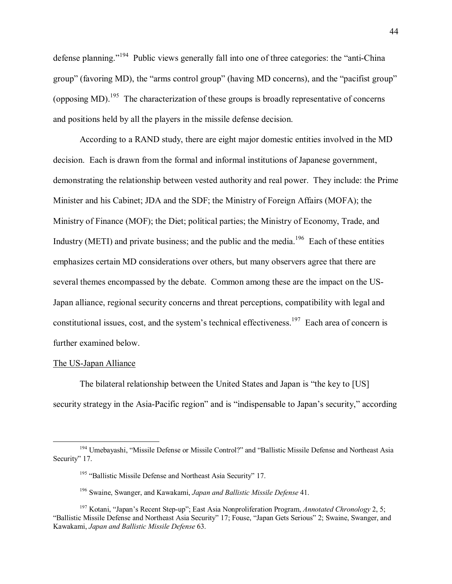defense planning.<sup> $194$ </sup> Public views generally fall into one of three categories: the "anti-China" group" (favoring MD), the "arms control group" (having MD concerns), and the "pacifist group" (opposing MD).<sup>195</sup> The characterization of these groups is broadly representative of concerns and positions held by all the players in the missile defense decision.

According to a RAND study, there are eight major domestic entities involved in the MD decision. Each is drawn from the formal and informal institutions of Japanese government, demonstrating the relationship between vested authority and real power. They include: the Prime Minister and his Cabinet; JDA and the SDF; the Ministry of Foreign Affairs (MOFA); the Ministry of Finance (MOF); the Diet; political parties; the Ministry of Economy, Trade, and Industry (METI) and private business; and the public and the media.<sup>196</sup> Each of these entities emphasizes certain MD considerations over others, but many observers agree that there are several themes encompassed by the debate. Common among these are the impact on the US-Japan alliance, regional security concerns and threat perceptions, compatibility with legal and constitutional issues, cost, and the system's technical effectiveness.<sup>197</sup> Each area of concern is further examined below.

### The US-Japan Alliance

The bilateral relationship between the United States and Japan is "the key to [US] security strategy in the Asia-Pacific region" and is "indispensable to Japan's security," according

<sup>&</sup>lt;sup>194</sup> Umebayashi, "Missile Defense or Missile Control?" and "Ballistic Missile Defense and Northeast Asia Security" 17.

<sup>&</sup>lt;sup>195</sup> "Ballistic Missile Defense and Northeast Asia Security" 17.

<sup>196</sup> Swaine, Swanger, and Kawakami, *Japan and Ballistic Missile Defense* 41.

<sup>&</sup>lt;sup>197</sup> Kotani, "Japan's Recent Step-up"; East Asia Nonproliferation Program, *Annotated Chronology* 2, 5; "Ballistic Missile Defense and Northeast Asia Security" 17; Fouse, "Japan Gets Serious" 2; Swaine, Swanger, and Kawakami, *Japan and Ballistic Missile Defense* 63.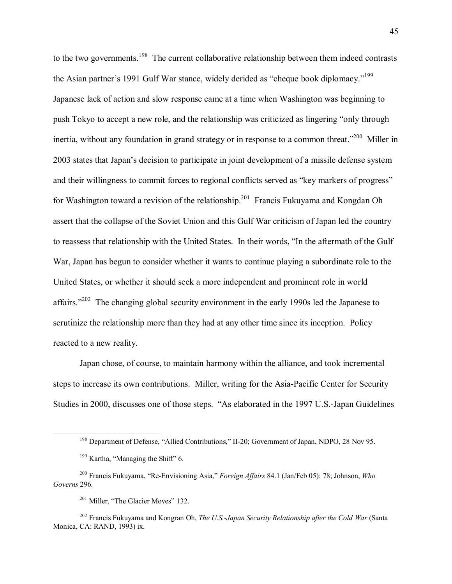to the two governments.<sup>198</sup> The current collaborative relationship between them indeed contrasts the Asian partner's 1991 Gulf War stance, widely derided as "cheque book diplomacy."<sup>199</sup> Japanese lack of action and slow response came at a time when Washington was beginning to push Tokyo to accept a new role, and the relationship was criticized as lingering "only through inertia, without any foundation in grand strategy or in response to a common threat."<sup>200</sup> Miller in 2003 states that Japan's decision to participate in joint development of a missile defense system and their willingness to commit forces to regional conflicts served as "key markers of progress" for Washington toward a revision of the relationship.<sup>201</sup> Francis Fukuyama and Kongdan Oh assert that the collapse of the Soviet Union and this Gulf War criticism of Japan led the country to reassess that relationship with the United States. In their words, "In the aftermath of the Gulf War, Japan has begun to consider whether it wants to continue playing a subordinate role to the United States, or whether it should seek a more independent and prominent role in world affairs." $202$  The changing global security environment in the early 1990s led the Japanese to scrutinize the relationship more than they had at any other time since its inception. Policy reacted to a new reality.

Japan chose, of course, to maintain harmony within the alliance, and took incremental steps to increase its own contributions. Miller, writing for the Asia-Pacific Center for Security Studies in 2000, discusses one of those steps. "As elaborated in the 1997 U.S.-Japan Guidelines

<sup>&</sup>lt;sup>198</sup> Department of Defense, "Allied Contributions," II-20; Government of Japan, NDPO, 28 Nov 95.

 $199$  Kartha, "Managing the Shift" 6.

<sup>&</sup>lt;sup>200</sup> Francis Fukuyama, "Re-Envisioning Asia," *Foreign Affairs* 84.1 (Jan/Feb 05): 78; Johnson, *Who* Governs 296.

<sup>&</sup>lt;sup>201</sup> Miller, "The Glacier Moves" 132.

<sup>&</sup>lt;sup>202</sup> Francis Fukuyama and Kongran Oh, *The U.S.-Japan Security Relationship after the Cold War* (Santa Monica, CA: RAND, 1993) ix.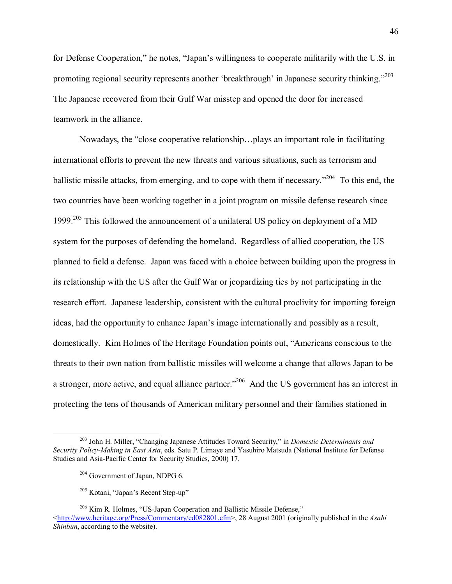for Defense Cooperation," he notes, "Japan's willingness to cooperate militarily with the U.S. in promoting regional security represents another 'breakthrough' in Japanese security thinking.<sup>7203</sup> The Japanese recovered from their Gulf War misstep and opened the door for increased teamwork in the alliance.

Nowadays, the "close cooperative relationship...plays an important role in facilitating international efforts to prevent the new threats and various situations, such as terrorism and ballistic missile attacks, from emerging, and to cope with them if necessary.<sup> $204$ </sup> To this end, the two countries have been working together in a joint program on missile defense research since 1999.<sup>205</sup> This followed the announcement of a unilateral US policy on deployment of a MD system for the purposes of defending the homeland. Regardless of allied cooperation, the US planned to field a defense. Japan was faced with a choice between building upon the progress in its relationship with the US after the Gulf War or jeopardizing ties by not participating in the research effort. Japanese leadership, consistent with the cultural proclivity for importing foreign ideas, had the opportunity to enhance Japan's image internationally and possibly as a result, domestically. Kim Holmes of the Heritage Foundation points out, "Americans conscious to the threats to their own nation from ballistic missiles will welcome a change that allows Japan to be a stronger, more active, and equal alliance partner.<sup>2206</sup> And the US government has an interest in protecting the tens of thousands of American military personnel and their families stationed in

<sup>&</sup>lt;sup>203</sup> John H. Miller, "Changing Japanese Attitudes Toward Security," in *Domestic Determinants and Security Policy-Making in East Asia*, eds. Satu P. Limaye and Yasuhiro Matsuda (National Institute for Defense Studies and Asia-Pacific Center for Security Studies, 2000) 17.

<sup>&</sup>lt;sup>204</sup> Government of Japan, NDPG 6.

 $205$  Kotani, "Japan's Recent Step-up"

 $206$  Kim R. Holmes, "US-Japan Cooperation and Ballistic Missile Defense," <http://www.heritage.org/Press/Commentary/ed082801.cfm>, 28 August 2001 (originally published in the *Asahi Shinbun*, according to the website).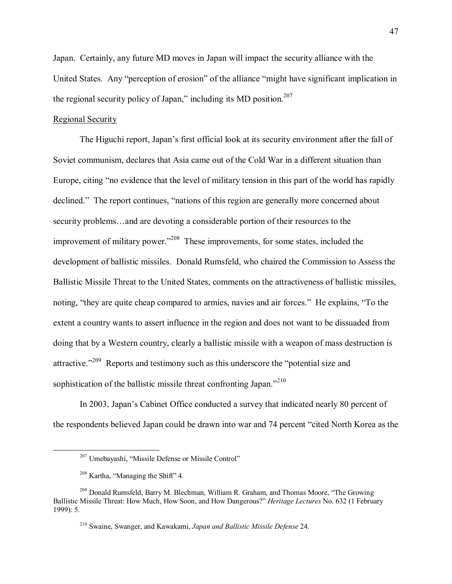Japan. Certainly, any future MD moves in Japan will impact the security alliance with the United States. Any "perception of erosion" of the alliance "might have significant implication in the regional security policy of Japan." including its MD position.<sup>207</sup>

### **Regional Security**

The Higuchi report, Japan's first official look at its security environment after the fall of Soviet communism, declares that Asia came out of the Cold War in a different situation than Europe, citing "no evidence that the level of military tension in this part of the world has rapidly declined." The report continues, "nations of this region are generally more concerned about security problems...and are devoting a considerable portion of their resources to the improvement of military power."<sup>208</sup> These improvements, for some states, included the development of ballistic missiles. Donald Rumsfeld, who chaired the Commission to Assess the Ballistic Missile Threat to the United States, comments on the attractiveness of ballistic missiles, noting, "they are quite cheap compared to armies, navies and air forces." He explains, "To the extent a country wants to assert influence in the region and does not want to be dissuaded from doing that by a Western country, clearly a ballistic missile with a weapon of mass destruction is attractive."<sup>209</sup> Reports and testimony such as this underscore the "potential size and sophistication of the ballistic missile threat confronting Japan."<sup>210</sup>

In 2003, Japan's Cabinet Office conducted a survey that indicated nearly 80 percent of the respondents believed Japan could be drawn into war and 74 percent "cited North Korea as the

<sup>&</sup>lt;sup>207</sup> Umebayashi, "Missile Defense or Missile Control"

<sup>&</sup>lt;sup>208</sup> Kartha, "Managing the Shift" 4.

<sup>&</sup>lt;sup>209</sup> Donald Rumsfeld, Barry M. Blechman, William R. Graham, and Thomas Moore, "The Growing Ballistic Missile Threat: How Much, How Soon, and How Dangerous?" *Heritage Lectures* No. 632 (1 February 1999): 5.

<sup>&</sup>lt;sup>210</sup> Swaine, Swanger, and Kawakami, Japan and Ballistic Missile Defense 24.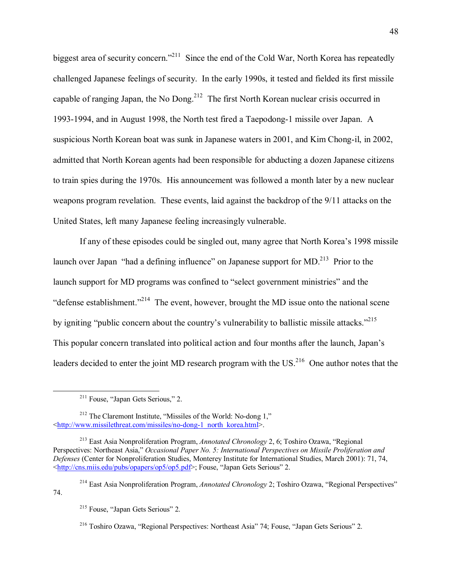biggest area of security concern.<sup>211</sup> Since the end of the Cold War, North Korea has repeatedly challenged Japanese feelings of security. In the early 1990s, it tested and fielded its first missile capable of ranging Japan, the No Dong.<sup>212</sup> The first North Korean nuclear crisis occurred in 1993-1994, and in August 1998, the North test fired a Taepodong-1 missile over Japan. A suspicious North Korean boat was sunk in Japanese waters in 2001, and Kim Chong-il, in 2002, admitted that North Korean agents had been responsible for abducting a dozen Japanese citizens to train spies during the 1970s. His announcement was followed a month later by a new nuclear weapons program revelation. These events, laid against the backdrop of the 9/11 attacks on the United States, left many Japanese feeling increasingly vulnerable.

If any of these episodes could be singled out, many agree that North Korea's 1998 missile launch over Japan "had a defining influence" on Japanese support for MD.<sup>213</sup> Prior to the launch support for MD programs was confined to "select government ministries" and the  $\degree$  defense establishment.<sup>2214</sup> The event, however, brought the MD issue onto the national scene by igniting "public concern about the country's vulnerability to ballistic missile attacks.<sup> $215$ </sup> This popular concern translated into political action and four months after the launch, Japan's leaders decided to enter the joint MD research program with the US.<sup>216</sup> One author notes that the

74.

 $2^{11}$  Fouse, "Japan Gets Serious," 2.

 $212$  The Claremont Institute, "Missiles of the World: No-dong 1," <http://www.missilethreat.com/missiles/no-dong-1\_north\_korea.html>.

<sup>&</sup>lt;sup>213</sup> East Asia Nonproliferation Program, *Annotated Chronology* 2, 6; Toshiro Ozawa, "Regional Perspectives: Northeast Asia," *Occasional Paper No. 5: International Perspectives on Missile Proliferation and Defenses* (Center for Nonproliferation Studies, Monterey Institute for International Studies, March 2001): 71, 74,  $\frac{\text{http://cns.miis.edu/pubs/opapers/op5/op5.pdf}}{>}$ ; Fouse, "Japan Gets Serious" 2.

<sup>&</sup>lt;sup>214</sup> East Asia Nonproliferation Program, *Annotated Chronology* 2; Toshiro Ozawa, "Regional Perspectives"

 $215$  Fouse, "Japan Gets Serious" 2.

 $2^{16}$  Toshiro Ozawa, "Regional Perspectives: Northeast Asia" 74; Fouse, "Japan Gets Serious" 2.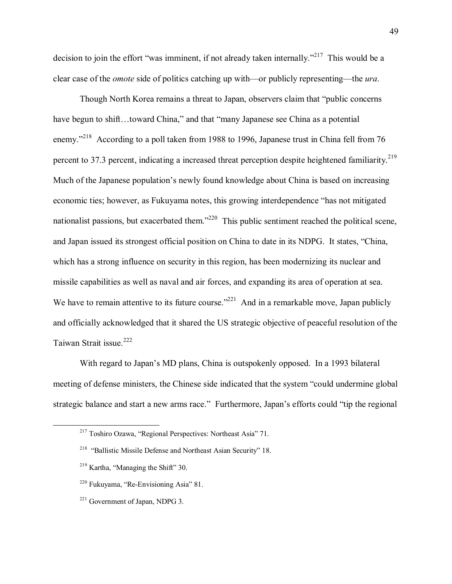decision to join the effort "was imminent, if not already taken internally.<sup> $217$ </sup> This would be a clear case of the *omote* side of politics catching up with—or publicly representing—the *ura*.

Though North Korea remains a threat to Japan, observers claim that "public concerns" have begun to shift...toward China," and that "many Japanese see China as a potential enemy.<sup>7218</sup> According to a poll taken from 1988 to 1996, Japanese trust in China fell from 76 percent to 37.3 percent, indicating a increased threat perception despite heightened familiarity.<sup>219</sup> Much of the Japanese population's newly found knowledge about China is based on increasing economic ties; however, as Fukuyama notes, this growing interdependence "has not mitigated nationalist passions, but exacerbated them.<sup> $220$ </sup> This public sentiment reached the political scene, and Japan issued its strongest official position on China to date in its NDPG. It states, "China, which has a strong influence on security in this region, has been modernizing its nuclear and missile capabilities as well as naval and air forces, and expanding its area of operation at sea. We have to remain attentive to its future course.<sup> $221$ </sup> And in a remarkable move, Japan publicly and officially acknowledged that it shared the US strategic objective of peaceful resolution of the Taiwan Strait issue.<sup>222</sup>

With regard to Japan's MD plans, China is outspokenly opposed. In a 1993 bilateral meeting of defense ministers, the Chinese side indicated that the system "could undermine global strategic balance and start a new arms race." Furthermore, Japan's efforts could "tip the regional

 $2^{17}$  Toshiro Ozawa, "Regional Perspectives: Northeast Asia" 71.

 $218$  "Ballistic Missile Defense and Northeast Asian Security" 18.

 $219$  Kartha, "Managing the Shift" 30.

 $220$  Fukuyama, "Re-Envisioning Asia" 81.

<sup>221</sup> Government of Japan, NDPG 3.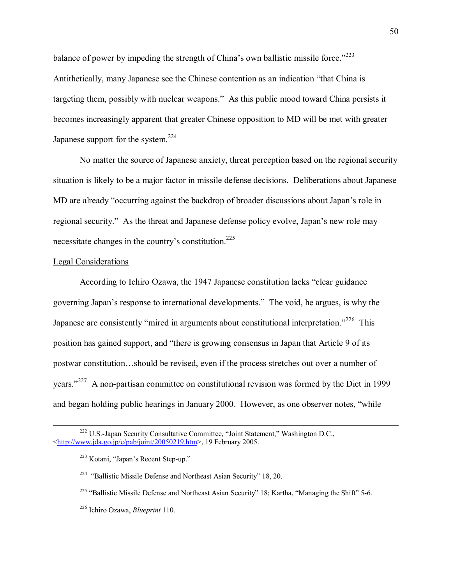balance of power by impeding the strength of China's own ballistic missile force."<sup>223</sup> Antithetically, many Japanese see the Chinese contention as an indication "that China is targeting them, possibly with nuclear weapons." As this public mood toward China persists it becomes increasingly apparent that greater Chinese opposition to MD will be met with greater Japanese support for the system.<sup>224</sup>

No matter the source of Japanese anxiety, threat perception based on the regional security situation is likely to be a major factor in missile defense decisions. Deliberations about Japanese MD are already "occurring against the backdrop of broader discussions about Japan's role in regional security." As the threat and Japanese defense policy evolve, Japan's new role may necessitate changes in the country's constitution.<sup>225</sup>

### **Legal Considerations**

According to Ichiro Ozawa, the 1947 Japanese constitution lacks "clear guidance" governing Japan's response to international developments." The void, he argues, is why the Japanese are consistently "mired in arguments about constitutional interpretation."<sup>226</sup> This position has gained support, and "there is growing consensus in Japan that Article 9 of its postwar constitution...should be revised, even if the process stretches out over a number of years."<sup>227</sup> A non-partisan committee on constitutional revision was formed by the Diet in 1999 and began holding public hearings in January 2000. However, as one observer notes, "while

<sup>&</sup>lt;sup>222</sup> U.S.-Japan Security Consultative Committee, "Joint Statement," Washington D.C.,  $\frac{\text{th}}{\text{tpt}}$ ://www.jda.go.jp/e/pab/joint/20050219.htm>, 19 February 2005.

<sup>&</sup>lt;sup>223</sup> Kotani, "Japan's Recent Step-up."

<sup>&</sup>lt;sup>224</sup> "Ballistic Missile Defense and Northeast Asian Security" 18, 20.

<sup>&</sup>lt;sup>225</sup> "Ballistic Missile Defense and Northeast Asian Security" 18; Kartha, "Managing the Shift" 5-6.

<sup>&</sup>lt;sup>226</sup> Ichiro Ozawa, *Blueprint* 110.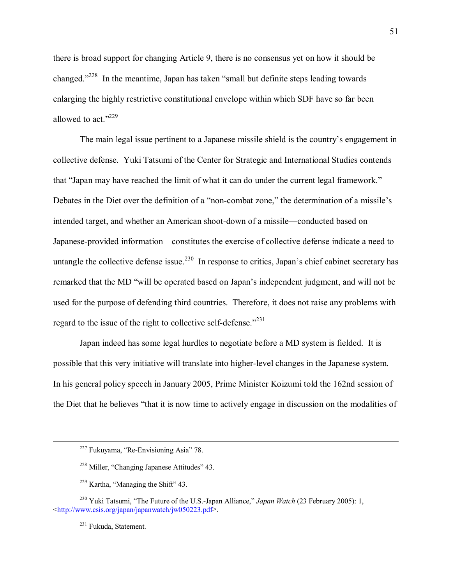there is broad support for changing Article 9, there is no consensus yet on how it should be changed.<sup> $228$ </sup> In the meantime, Japan has taken "small but definite steps leading towards" enlarging the highly restrictive constitutional envelope within which SDF have so far been allowed to act." $229$ 

The main legal issue pertinent to a Japanese missile shield is the country's engagement in collective defense. Yuki Tatsumi of the Center for Strategic and International Studies contends that "Japan may have reached the limit of what it can do under the current legal framework." Debates in the Diet over the definition of a "non-combat zone," the determination of a missile's intended target, and whether an American shoot-down of a missile—conducted based on Japanese-provided information—constitutes the exercise of collective defense indicate a need to untangle the collective defense issue.<sup>230</sup> In response to critics, Japan's chief cabinet secretary has remarked that the MD "will be operated based on Japan's independent judgment, and will not be used for the purpose of defending third countries. Therefore, it does not raise any problems with regard to the issue of the right to collective self-defense.<sup> $2231$ </sup>

 Japan indeed has some legal hurdles to negotiate before a MD system is fielded. It is possible that this very initiative will translate into higher-level changes in the Japanese system. In his general policy speech in January 2005, Prime Minister Koizumi told the 162nd session of the Diet that he believes "that it is now time to actively engage in discussion on the modalities of

 $227$  Fukuyama, "Re-Envisioning Asia" 78.

 $228$  Miller, "Changing Japanese Attitudes" 43.

 $229$  Kartha, "Managing the Shift" 43.

<sup>&</sup>lt;sup>230</sup> Yuki Tatsumi, "The Future of the U.S.-Japan Alliance," *Japan Watch* (23 February 2005): 1, <http://www.csis.org/japan/japanwatch/jw050223.pdf>.

<sup>231</sup> Fukuda, Statement.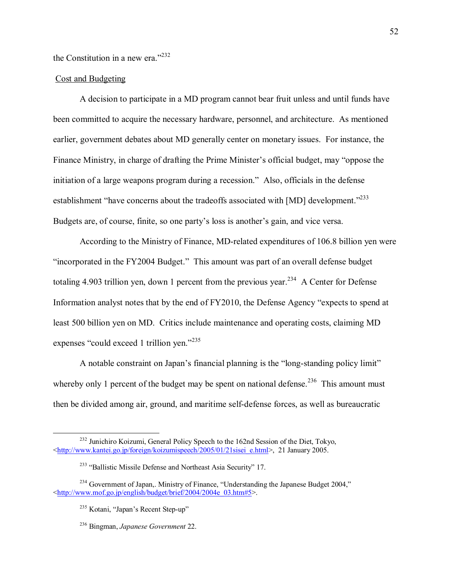the Constitution in a new era." $232$ 

### **Cost and Budgeting**

A decision to participate in a MD program cannot bear fruit unless and until funds have been committed to acquire the necessary hardware, personnel, and architecture. As mentioned earlier, government debates about MD generally center on monetary issues. For instance, the Finance Ministry, in charge of drafting the Prime Minister's official budget, may "oppose the initiation of a large weapons program during a recession." Also, officials in the defense establishment "have concerns about the tradeoffs associated with [MD] development."<sup>233</sup> Budgets are, of course, finite, so one party's loss is another's gain, and vice versa.

According to the Ministry of Finance, MD-related expenditures of 106.8 billion yen were "incorporated in the FY2004 Budget." This amount was part of an overall defense budget totaling 4.903 trillion yen, down 1 percent from the previous year.<sup>234</sup> A Center for Defense Information analyst notes that by the end of FY2010, the Defense Agency "expects to spend at least 500 billion yen on MD. Critics include maintenance and operating costs, claiming MD expenses "could exceed 1 trillion yen."235

A notable constraint on Japan's financial planning is the "long-standing policy limit" whereby only 1 percent of the budget may be spent on national defense.<sup>236</sup> This amount must then be divided among air, ground, and maritime self-defense forces, as well as bureaucratic

<sup>&</sup>lt;sup>232</sup> Junichiro Koizumi, General Policy Speech to the 162nd Session of the Diet, Tokyo, <http://www.kantei.go.jp/foreign/koizumispeech/2005/01/21sisei\_e.html>, 21 January 2005.

<sup>&</sup>lt;sup>233</sup> "Ballistic Missile Defense and Northeast Asia Security" 17.

<sup>&</sup>lt;sup>234</sup> Government of Japan,. Ministry of Finance, "Understanding the Japanese Budget 2004," <http://www.mof.go.jp/english/budget/brief/2004/2004e 03.htm#5>.

<sup>&</sup>lt;sup>235</sup> Kotani, "Japan's Recent Step-up"

<sup>&</sup>lt;sup>236</sup> Bingman, Japanese Government 22.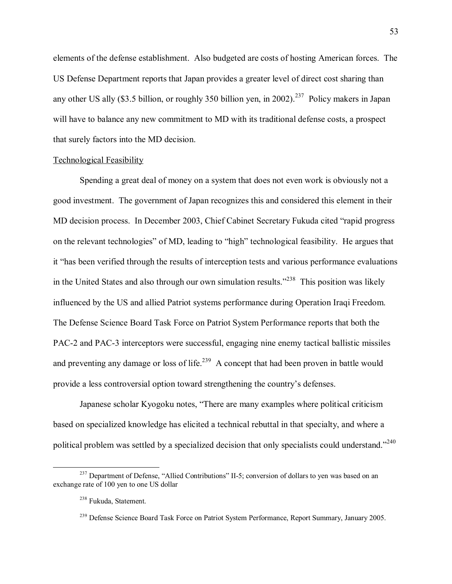elements of the defense establishment. Also budgeted are costs of hosting American forces. The US Defense Department reports that Japan provides a greater level of direct cost sharing than any other US ally (\$3.5 billion, or roughly 350 billion yen, in 2002).<sup>237</sup> Policy makers in Japan will have to balance any new commitment to MD with its traditional defense costs, a prospect that surely factors into the MD decision.

#### Technological Feasibility

Spending a great deal of money on a system that does not even work is obviously not a good investment. The government of Japan recognizes this and considered this element in their MD decision process. In December 2003, Chief Cabinet Secretary Fukuda cited "rapid progress" on the relevant technologies" of MD, leading to "high" technological feasibility. He argues that it "has been verified through the results of interception tests and various performance evaluations in the United States and also through our own simulation results.<sup> $238$ </sup> This position was likely influenced by the US and allied Patriot systems performance during Operation Iraqi Freedom. The Defense Science Board Task Force on Patriot System Performance reports that both the PAC-2 and PAC-3 interceptors were successful, engaging nine enemy tactical ballistic missiles and preventing any damage or loss of life.<sup>239</sup> A concept that had been proven in battle would provide a less controversial option toward strengthening the country's defenses.

Japanese scholar Kyogoku notes, "There are many examples where political criticism based on specialized knowledge has elicited a technical rebuttal in that specialty, and where a political problem was settled by a specialized decision that only specialists could understand.<sup>7240</sup>

 $^{237}$  Department of Defense, "Allied Contributions" II-5; conversion of dollars to yen was based on an exchange rate of 100 yen to one US dollar

<sup>238</sup> Fukuda, Statement.

<sup>&</sup>lt;sup>239</sup> Defense Science Board Task Force on Patriot System Performance, Report Summary, January 2005.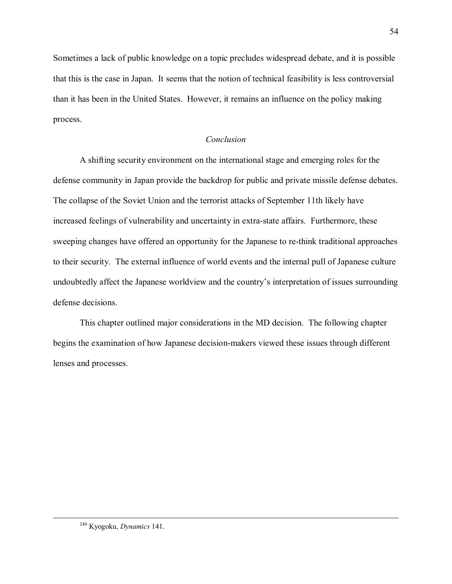Sometimes a lack of public knowledge on a topic precludes widespread debate, and it is possible that this is the case in Japan. It seems that the notion of technical feasibility is less controversial than it has been in the United States. However, it remains an influence on the policy making process.

# *Conclusion*

A shifting security environment on the international stage and emerging roles for the defense community in Japan provide the backdrop for public and private missile defense debates. The collapse of the Soviet Union and the terrorist attacks of September 11th likely have increased feelings of vulnerability and uncertainty in extra-state affairs. Furthermore, these sweeping changes have offered an opportunity for the Japanese to re-think traditional approaches to their security. The external influence of world events and the internal pull of Japanese culture undoubtedly affect the Japanese worldview and the country's interpretation of issues surrounding defense decisions.

This chapter outlined major considerations in the MD decision. The following chapter begins the examination of how Japanese decision-makers viewed these issues through different lenses and processes.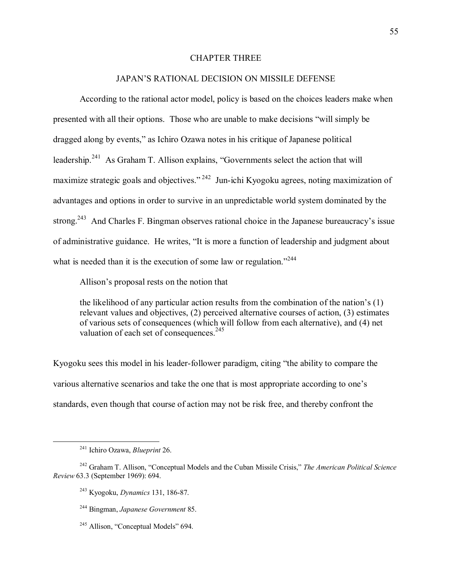# CHAPTER THREE

# JAPAN'S RATIONAL DECISION ON MISSILE DEFENSE

According to the rational actor model, policy is based on the choices leaders make when presented with all their options. Those who are unable to make decisions "will simply be dragged along by events," as Ichiro Ozawa notes in his critique of Japanese political leadership.<sup>241</sup> As Graham T. Allison explains, "Governments select the action that will maximize strategic goals and objectives.<sup> $242$ </sup> Jun-ichi Kyogoku agrees, noting maximization of advantages and options in order to survive in an unpredictable world system dominated by the strong.<sup>243</sup> And Charles F. Bingman observes rational choice in the Japanese bureaucracy's issue of administrative guidance. He writes, "It is more a function of leadership and judgment about what is needed than it is the execution of some law or regulation.<sup> $244$ </sup>

Allison's proposal rests on the notion that

the likelihood of any particular action results from the combination of the nation's  $(1)$ relevant values and objectives, (2) perceived alternative courses of action, (3) estimates of various sets of consequences (which will follow from each alternative), and (4) net valuation of each set of consequences. $^{245}$ 

Kyogoku sees this model in his leader-follower paradigm, citing "the ability to compare the various alternative scenarios and take the one that is most appropriate according to one's standards, even though that course of action may not be risk free, and thereby confront the

 <sup>241</sup> Ichiro Ozawa, *Blueprint* 26.

<sup>&</sup>lt;sup>242</sup> Graham T. Allison, "Conceptual Models and the Cuban Missile Crisis," *The American Political Science Review* 63.3 (September 1969): 694.

<sup>243</sup> Kyogoku, *Dynamics* 131, 186-87.

<sup>244</sup> Bingman, *Japanese Government* 85.

 $245$  Allison, "Conceptual Models" 694.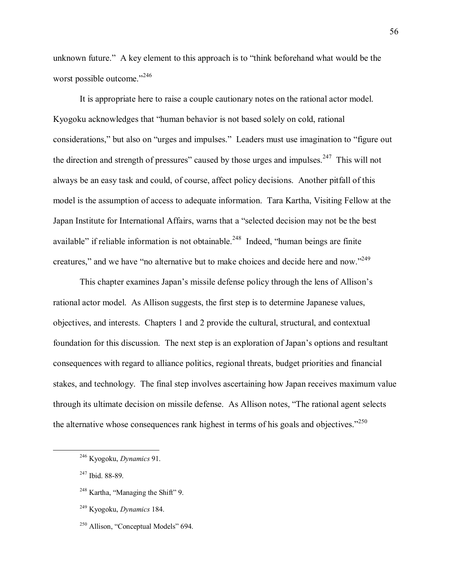unknown future." A key element to this approach is to "think beforehand what would be the worst possible outcome."<sup>246</sup>

It is appropriate here to raise a couple cautionary notes on the rational actor model. Kyogoku acknowledges that "human behavior is not based solely on cold, rational considerations," but also on "urges and impulses." Leaders must use imagination to "figure out the direction and strength of pressures" caused by those urges and impulses. $247$  This will not always be an easy task and could, of course, affect policy decisions. Another pitfall of this model is the assumption of access to adequate information. Tara Kartha, Visiting Fellow at the Japan Institute for International Affairs, warns that a "selected decision may not be the best available" if reliable information is not obtainable.<sup>248</sup> Indeed, "human beings are finite creatures," and we have "no alternative but to make choices and decide here and now."<sup>249</sup>

This chapter examines Japan's missile defense policy through the lens of Allison's rational actor model. As Allison suggests, the first step is to determine Japanese values, objectives, and interests. Chapters 1 and 2 provide the cultural, structural, and contextual foundation for this discussion. The next step is an exploration of Japan's options and resultant consequences with regard to alliance politics, regional threats, budget priorities and financial stakes, and technology. The final step involves ascertaining how Japan receives maximum value through its ultimate decision on missile defense. As Allison notes, "The rational agent selects the alternative whose consequences rank highest in terms of his goals and objectives.<sup> $2250$ </sup>

 <sup>246</sup> Kyogoku, *Dynamics* 91.

<sup>247</sup> Ibid. 88-89.

 $248$  Kartha, "Managing the Shift" 9.

<sup>249</sup> Kyogoku, *Dynamics* 184.

 $250$  Allison, "Conceptual Models" 694.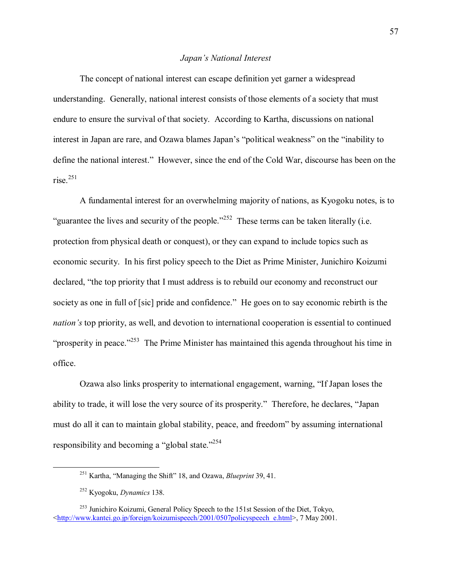### *Japanís National Interest*

The concept of national interest can escape definition yet garner a widespread understanding. Generally, national interest consists of those elements of a society that must endure to ensure the survival of that society. According to Kartha, discussions on national interest in Japan are rare, and Ozawa blames Japan's "political weakness" on the "inability to define the national interest." However, since the end of the Cold War, discourse has been on the rise. $251$ 

A fundamental interest for an overwhelming majority of nations, as Kyogoku notes, is to "guarantee the lives and security of the people.<sup> $252$ </sup> These terms can be taken literally (i.e. protection from physical death or conquest), or they can expand to include topics such as economic security. In his first policy speech to the Diet as Prime Minister, Junichiro Koizumi declared, "the top priority that I must address is to rebuild our economy and reconstruct our society as one in full of [sic] pride and confidence." He goes on to say economic rebirth is the *nation's* top priority, as well, and devotion to international cooperation is essential to continued "prosperity in peace.<sup> $253$ </sup> The Prime Minister has maintained this agenda throughout his time in office.

Ozawa also links prosperity to international engagement, warning, "If Japan loses the ability to trade, it will lose the very source of its prosperity." Therefore, he declares, "Japan must do all it can to maintain global stability, peace, and freedom" by assuming international responsibility and becoming a "global state.<sup> $254$ </sup>

<sup>&</sup>lt;sup>251</sup> Kartha, "Managing the Shift" 18, and Ozawa, *Blueprint* 39, 41.

<sup>252</sup> Kyogoku, *Dynamics* 138.

<sup>&</sup>lt;sup>253</sup> Junichiro Koizumi, General Policy Speech to the 151st Session of the Diet, Tokyo, <http://www.kantei.go.jp/foreign/koizumispeech/2001/0507policyspeech\_e.html>, 7 May 2001.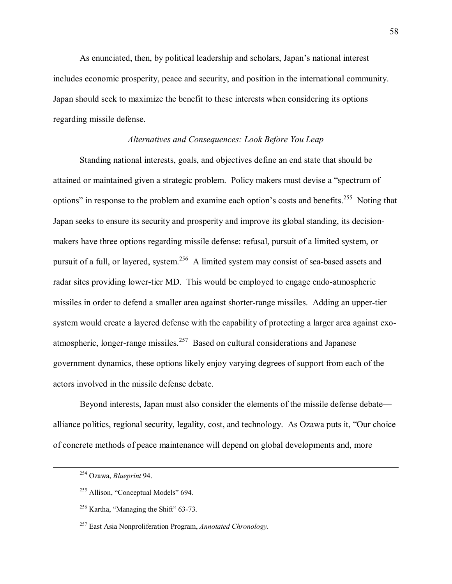As enunciated, then, by political leadership and scholars, Japanís national interest includes economic prosperity, peace and security, and position in the international community. Japan should seek to maximize the benefit to these interests when considering its options regarding missile defense.

# *Alternatives and Consequences: Look Before You Leap*

Standing national interests, goals, and objectives define an end state that should be attained or maintained given a strategic problem. Policy makers must devise a "spectrum of options" in response to the problem and examine each option's costs and benefits.<sup>255</sup> Noting that Japan seeks to ensure its security and prosperity and improve its global standing, its decisionmakers have three options regarding missile defense: refusal, pursuit of a limited system, or pursuit of a full, or layered, system.<sup>256</sup> A limited system may consist of sea-based assets and radar sites providing lower-tier MD. This would be employed to engage endo-atmospheric missiles in order to defend a smaller area against shorter-range missiles. Adding an upper-tier system would create a layered defense with the capability of protecting a larger area against exoatmospheric, longer-range missiles.257 Based on cultural considerations and Japanese government dynamics, these options likely enjoy varying degrees of support from each of the actors involved in the missile defense debate.

Beyond interests, Japan must also consider the elements of the missile defense debate alliance politics, regional security, legality, cost, and technology. As Ozawa puts it, "Our choice of concrete methods of peace maintenance will depend on global developments and, more

 <sup>254</sup> Ozawa, *Blueprint* 94.

 $255$  Allison, "Conceptual Models" 694.

 $256$  Kartha, "Managing the Shift" 63-73.

<sup>257</sup> East Asia Nonproliferation Program, *Annotated Chronology*.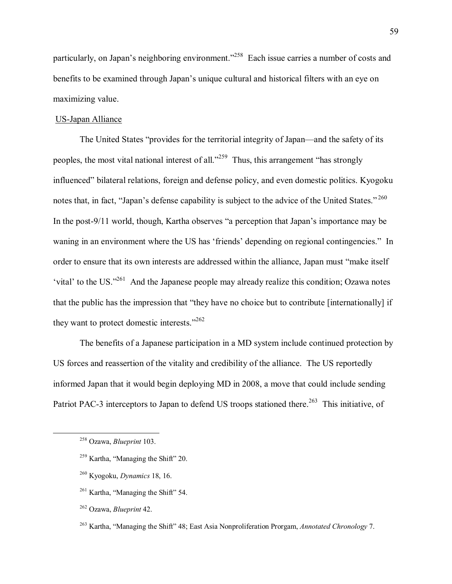particularly, on Japan's neighboring environment.<sup>2258</sup> Each issue carries a number of costs and benefits to be examined through Japan's unique cultural and historical filters with an eye on maximizing value.

### US-Japan Alliance

The United States "provides for the territorial integrity of Japan—and the safety of its peoples, the most vital national interest of all.<sup> $259$ </sup> Thus, this arrangement "has strongly influenced" bilateral relations, foreign and defense policy, and even domestic politics. Kyogoku notes that, in fact, "Japan's defense capability is subject to the advice of the United States."<sup>260</sup> In the post-9/11 world, though, Kartha observes "a perception that Japan's importance may be waning in an environment where the US has 'friends' depending on regional contingencies." In order to ensure that its own interests are addressed within the alliance, Japan must "make itself 'vital' to the US. $1261}$  And the Japanese people may already realize this condition; Ozawa notes that the public has the impression that "they have no choice but to contribute [internationally] if they want to protect domestic interests. $1262$ 

The benefits of a Japanese participation in a MD system include continued protection by US forces and reassertion of the vitality and credibility of the alliance. The US reportedly informed Japan that it would begin deploying MD in 2008, a move that could include sending Patriot PAC-3 interceptors to Japan to defend US troops stationed there.<sup>263</sup> This initiative, of

 <sup>258</sup> Ozawa, *Blueprint* 103.

 $259$  Kartha, "Managing the Shift" 20.

<sup>260</sup> Kyogoku, *Dynamics* 18, 16.

 $261$  Kartha, "Managing the Shift" 54.

<sup>262</sup> Ozawa, *Blueprint* 42.

<sup>&</sup>lt;sup>263</sup> Kartha, "Managing the Shift" 48; East Asia Nonproliferation Prorgam, *Annotated Chronology 7*.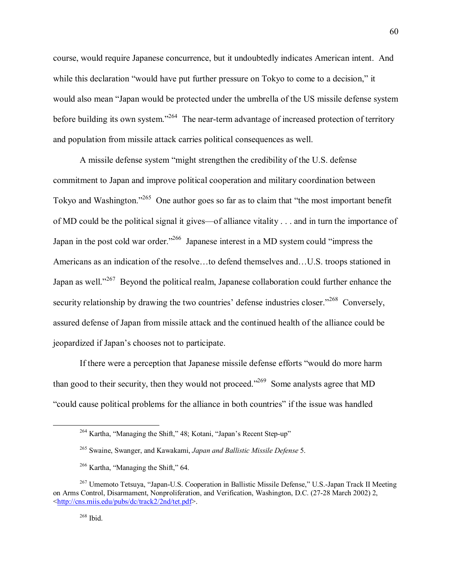course, would require Japanese concurrence, but it undoubtedly indicates American intent. And while this declaration "would have put further pressure on Tokyo to come to a decision," it would also mean "Japan would be protected under the umbrella of the US missile defense system before building its own system.<sup> $264$ </sup> The near-term advantage of increased protection of territory and population from missile attack carries political consequences as well.

A missile defense system "might strengthen the credibility of the U.S. defense commitment to Japan and improve political cooperation and military coordination between Tokyo and Washington.<sup> $265$ </sup> One author goes so far as to claim that "the most important benefit" of MD could be the political signal it gives—of alliance vitality  $\ldots$  and in turn the importance of Japan in the post cold war order.<sup> $266$ </sup> Japanese interest in a MD system could "impress the Americans as an indication of the resolve...to defend themselves and...U.S. troops stationed in Japan as well.<sup> $267$ </sup> Beyond the political realm, Japanese collaboration could further enhance the security relationship by drawing the two countries' defense industries closer.<sup> $268$ </sup> Conversely, assured defense of Japan from missile attack and the continued health of the alliance could be jeopardized if Japan's chooses not to participate.

If there were a perception that Japanese missile defense efforts "would do more harm than good to their security, then they would not proceed.<sup> $269$ </sup> Some analysts agree that MD "could cause political problems for the alliance in both countries" if the issue was handled

 $264$  Kartha, "Managing the Shift," 48; Kotani, "Japan's Recent Step-up"

<sup>265</sup> Swaine, Swanger, and Kawakami, *Japan and Ballistic Missile Defense* 5.

 $266$  Kartha, "Managing the Shift," 64.

<sup>&</sup>lt;sup>267</sup> Umemoto Tetsuya, "Japan-U.S. Cooperation in Ballistic Missile Defense," U.S.-Japan Track II Meeting on Arms Control, Disarmament, Nonproliferation, and Verification, Washington, D.C. (27-28 March 2002) 2, <http://cns.miis.edu/pubs/dc/track2/2nd/tet.pdf>.

 $268$  Ibid.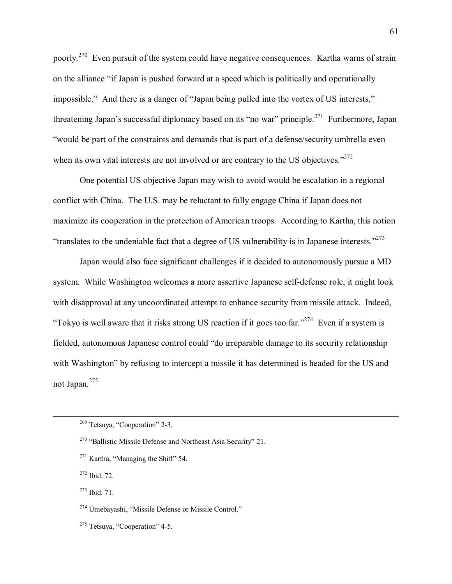poorly.<sup>270</sup> Even pursuit of the system could have negative consequences. Kartha warns of strain on the alliance "if Japan is pushed forward at a speed which is politically and operationally impossible." And there is a danger of "Japan being pulled into the vortex of US interests," threatening Japan's successful diplomacy based on its "no war" principle.<sup>271</sup> Furthermore, Japan ìwould be part of the constraints and demands that is part of a defense/security umbrella even when its own vital interests are not involved or are contrary to the US objectives. $2272$ 

One potential US objective Japan may wish to avoid would be escalation in a regional conflict with China. The U.S. may be reluctant to fully engage China if Japan does not maximize its cooperation in the protection of American troops. According to Kartha, this notion  $\cdot$ translates to the undeniable fact that a degree of US vulnerability is in Japanese interests.<sup>273</sup>

Japan would also face significant challenges if it decided to autonomously pursue a MD system. While Washington welcomes a more assertive Japanese self-defense role, it might look with disapproval at any uncoordinated attempt to enhance security from missile attack. Indeed, "Tokyo is well aware that it risks strong US reaction if it goes too far."<sup>274</sup> Even if a system is fielded, autonomous Japanese control could "do irreparable damage to its security relationship with Washington" by refusing to intercept a missile it has determined is headed for the US and not Japan.<sup>275</sup>

272 Ibid. 72.

273 Ibid. 71.

 $274$  Umebayashi, "Missile Defense or Missile Control."

 $275$  Tetsuya, "Cooperation" 4-5.

 $269$  Tetsuya, "Cooperation" 2-3.

 $270$  "Ballistic Missile Defense and Northeast Asia Security" 21.

 $271$  Kartha, "Managing the Shift" 54.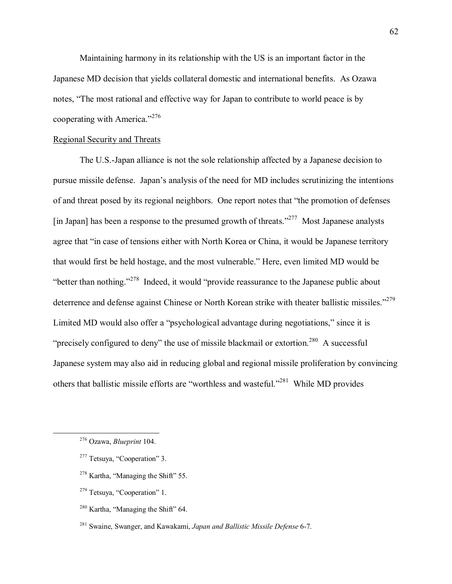Maintaining harmony in its relationship with the US is an important factor in the Japanese MD decision that yields collateral domestic and international benefits. As Ozawa notes, "The most rational and effective way for Japan to contribute to world peace is by cooperating with America. $1276$ 

# Regional Security and Threats

The U.S.-Japan alliance is not the sole relationship affected by a Japanese decision to pursue missile defense. Japanís analysis of the need for MD includes scrutinizing the intentions of and threat posed by its regional neighbors. One report notes that "the promotion of defenses [in Japan] has been a response to the presumed growth of threats.<sup> $277$ </sup> Most Japanese analysts agree that "in case of tensions either with North Korea or China, it would be Japanese territory that would first be held hostage, and the most vulnerable." Here, even limited MD would be "better than nothing.<sup> $278$ </sup> Indeed, it would "provide reassurance to the Japanese public about deterrence and defense against Chinese or North Korean strike with theater ballistic missiles.<sup>7279</sup> Limited MD would also offer a "psychological advantage during negotiations," since it is "precisely configured to deny" the use of missile blackmail or extortion.<sup>280</sup> A successful Japanese system may also aid in reducing global and regional missile proliferation by convincing others that ballistic missile efforts are "worthless and wasteful.<sup>2281</sup> While MD provides

- $277$  Tetsuya, "Cooperation" 3.
- $278$  Kartha, "Managing the Shift" 55.
- $279$  Tetsuya, "Cooperation" 1.
- $280$  Kartha, "Managing the Shift" 64.
- 281 Swaine, Swanger, and Kawakami, *Japan and Ballistic Missile Defense* 6-7.

 <sup>276</sup> Ozawa, *Blueprint* 104.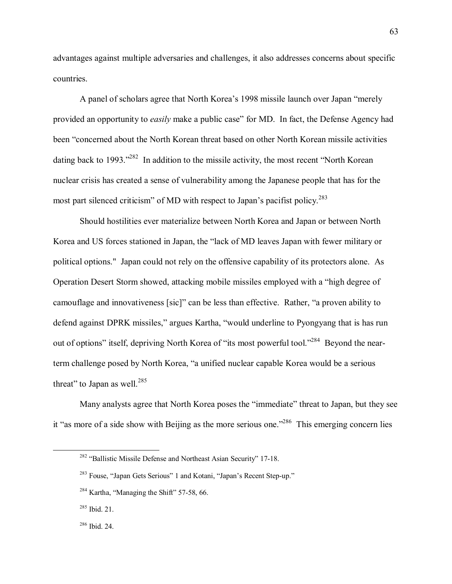advantages against multiple adversaries and challenges, it also addresses concerns about specific countries.

A panel of scholars agree that North Korea's 1998 missile launch over Japan "merely" provided an opportunity to *easily* make a public case" for MD. In fact, the Defense Agency had been "concerned about the North Korean threat based on other North Korean missile activities dating back to 1993.<sup> $1282$ </sup> In addition to the missile activity, the most recent "North Korean" nuclear crisis has created a sense of vulnerability among the Japanese people that has for the most part silenced criticism" of MD with respect to Japan's pacifist policy.<sup>283</sup>

Should hostilities ever materialize between North Korea and Japan or between North Korea and US forces stationed in Japan, the "lack of MD leaves Japan with fewer military or political options." Japan could not rely on the offensive capability of its protectors alone. As Operation Desert Storm showed, attacking mobile missiles employed with a "high degree of camouflage and innovativeness [sic]" can be less than effective. Rather, "a proven ability to defend against DPRK missiles," argues Kartha, "would underline to Pyongyang that is has run out of options" itself, depriving North Korea of "its most powerful tool."<sup>284</sup> Beyond the nearterm challenge posed by North Korea, "a unified nuclear capable Korea would be a serious threat" to Japan as well. $285$ 

Many analysts agree that North Korea poses the "immediate" threat to Japan, but they see it "as more of a side show with Beijing as the more serious one.<sup> $286$ </sup> This emerging concern lies

 $282$  "Ballistic Missile Defense and Northeast Asian Security" 17-18.

<sup>&</sup>lt;sup>283</sup> Fouse, "Japan Gets Serious" 1 and Kotani, "Japan's Recent Step-up."

 $284$  Kartha, "Managing the Shift" 57-58, 66.

<sup>285</sup> Ibid. 21.

<sup>286</sup> Ibid. 24.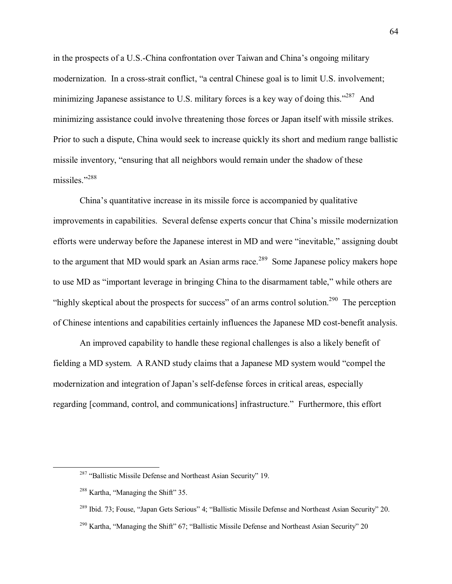in the prospects of a U.S.-China confrontation over Taiwan and China's ongoing military modernization. In a cross-strait conflict, "a central Chinese goal is to limit U.S. involvement; minimizing Japanese assistance to U.S. military forces is a key way of doing this.<sup> $287$ </sup> And minimizing assistance could involve threatening those forces or Japan itself with missile strikes. Prior to such a dispute, China would seek to increase quickly its short and medium range ballistic missile inventory, "ensuring that all neighbors would remain under the shadow of these missiles."288

China's quantitative increase in its missile force is accompanied by qualitative improvements in capabilities. Several defense experts concur that China's missile modernization efforts were underway before the Japanese interest in MD and were "inevitable," assigning doubt to the argument that MD would spark an Asian arms race.<sup>289</sup> Some Japanese policy makers hope to use MD as "important leverage in bringing China to the disarmament table," while others are "highly skeptical about the prospects for success" of an arms control solution.<sup>290</sup> The perception of Chinese intentions and capabilities certainly influences the Japanese MD cost-benefit analysis.

An improved capability to handle these regional challenges is also a likely benefit of fielding a MD system. A RAND study claims that a Japanese MD system would "compel the modernization and integration of Japan's self-defense forces in critical areas, especially regarding [command, control, and communications] infrastructure." Furthermore, this effort

 $287$  "Ballistic Missile Defense and Northeast Asian Security" 19.

 $288$  Kartha, "Managing the Shift" 35.

 $^{289}$  Ibid. 73; Fouse, "Japan Gets Serious" 4; "Ballistic Missile Defense and Northeast Asian Security" 20.

<sup>&</sup>lt;sup>290</sup> Kartha, "Managing the Shift" 67; "Ballistic Missile Defense and Northeast Asian Security" 20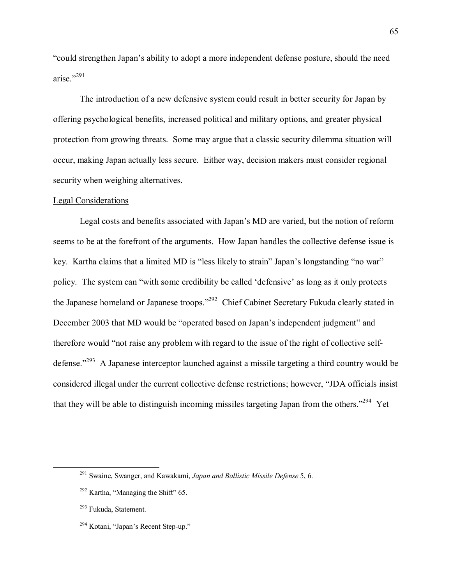ìcould strengthen Japanís ability to adopt a more independent defense posture, should the need arise."291

The introduction of a new defensive system could result in better security for Japan by offering psychological benefits, increased political and military options, and greater physical protection from growing threats. Some may argue that a classic security dilemma situation will occur, making Japan actually less secure. Either way, decision makers must consider regional security when weighing alternatives.

### Legal Considerations

Legal costs and benefits associated with Japan's MD are varied, but the notion of reform seems to be at the forefront of the arguments. How Japan handles the collective defense issue is key. Kartha claims that a limited MD is "less likely to strain" Japan's longstanding "no war" policy. The system can "with some credibility be called 'defensive' as long as it only protects the Japanese homeland or Japanese troops.<sup>7292</sup> Chief Cabinet Secretary Fukuda clearly stated in December 2003 that MD would be "operated based on Japan's independent judgment" and therefore would "not raise any problem with regard to the issue of the right of collective selfdefense.<sup>7293</sup> A Japanese interceptor launched against a missile targeting a third country would be considered illegal under the current collective defense restrictions; however, "JDA officials insist that they will be able to distinguish incoming missiles targeting Japan from the others.<sup> $294$ </sup> Yet

 <sup>291</sup> Swaine, Swanger, and Kawakami, *Japan and Ballistic Missile Defense* 5, 6.

 $292$  Kartha, "Managing the Shift" 65.

<sup>&</sup>lt;sup>293</sup> Fukuda, Statement.

 $294$  Kotani, "Japan's Recent Step-up."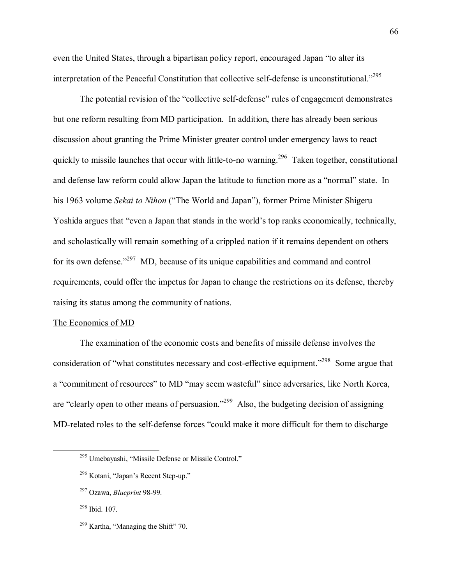even the United States, through a bipartisan policy report, encouraged Japan "to alter its interpretation of the Peaceful Constitution that collective self-defense is unconstitutional.<sup>7295</sup>

The potential revision of the "collective self-defense" rules of engagement demonstrates but one reform resulting from MD participation. In addition, there has already been serious discussion about granting the Prime Minister greater control under emergency laws to react quickly to missile launches that occur with little-to-no warning.<sup>296</sup> Taken together, constitutional and defense law reform could allow Japan the latitude to function more as a "normal" state. In his 1963 volume *Sekai to Nihon* ("The World and Japan"), former Prime Minister Shigeru Yoshida argues that "even a Japan that stands in the world's top ranks economically, technically, and scholastically will remain something of a crippled nation if it remains dependent on others for its own defense.<sup> $297$ </sup> MD, because of its unique capabilities and command and control requirements, could offer the impetus for Japan to change the restrictions on its defense, thereby raising its status among the community of nations.

### The Economics of MD

The examination of the economic costs and benefits of missile defense involves the consideration of "what constitutes necessary and cost-effective equipment.<sup>7298</sup> Some argue that a "commitment of resources" to MD "may seem wasteful" since adversaries, like North Korea, are "clearly open to other means of persuasion.<sup> $299$ </sup> Also, the budgeting decision of assigning MD-related roles to the self-defense forces "could make it more difficult for them to discharge

<sup>&</sup>lt;sup>295</sup> Umebayashi, "Missile Defense or Missile Control."

 $296$  Kotani, "Japan's Recent Step-up."

<sup>297</sup> Ozawa, *Blueprint* 98-99.

<sup>298</sup> Ibid. 107.

 $299$  Kartha, "Managing the Shift" 70.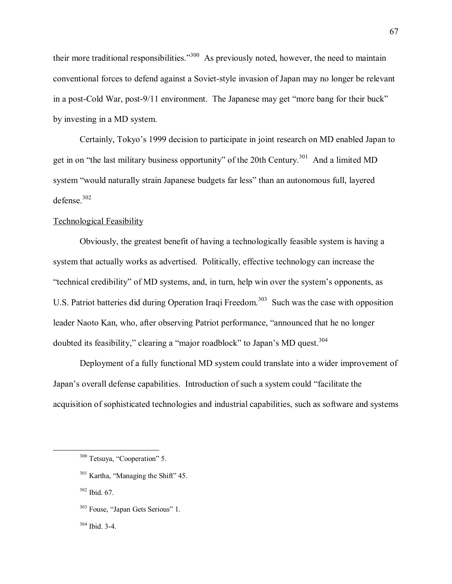their more traditional responsibilities."<sup>300</sup> As previously noted, however, the need to maintain conventional forces to defend against a Soviet-style invasion of Japan may no longer be relevant in a post-Cold War, post-9/11 environment. The Japanese may get "more bang for their buck" by investing in a MD system.

Certainly, Tokyo's 1999 decision to participate in joint research on MD enabled Japan to get in on "the last military business opportunity" of the 20th Century.<sup>301</sup> And a limited MD system "would naturally strain Japanese budgets far less" than an autonomous full, layered defense. $302$ 

# **Technological Feasibility**

Obviously, the greatest benefit of having a technologically feasible system is having a system that actually works as advertised. Politically, effective technology can increase the "technical credibility" of MD systems, and, in turn, help win over the system's opponents, as U.S. Patriot batteries did during Operation Iraqi Freedom.<sup>303</sup> Such was the case with opposition leader Naoto Kan, who, after observing Patriot performance, "announced that he no longer doubted its feasibility," clearing a "major roadblock" to Japan's MD quest.<sup>304</sup>

Deployment of a fully functional MD system could translate into a wider improvement of Japan's overall defense capabilities. Introduction of such a system could "facilitate the acquisition of sophisticated technologies and industrial capabilities, such as software and systems

302 Ibid. 67.

304 Ibid. 3-4.

<sup>&</sup>lt;sup>300</sup> Tetsuya, "Cooperation" 5.

<sup>&</sup>lt;sup>301</sup> Kartha, "Managing the Shift" 45.

<sup>&</sup>lt;sup>303</sup> Fouse, "Japan Gets Serious" 1.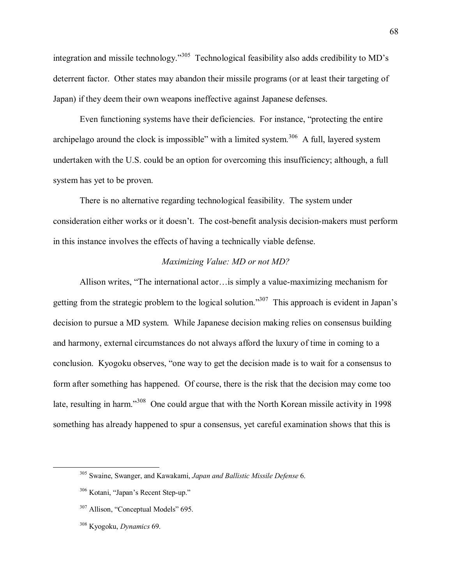integration and missile technology.<sup>305</sup> Technological feasibility also adds credibility to MD's deterrent factor. Other states may abandon their missile programs (or at least their targeting of Japan) if they deem their own weapons ineffective against Japanese defenses.

Even functioning systems have their deficiencies. For instance, "protecting the entire" archipelago around the clock is impossible" with a limited system.<sup>306</sup> A full, layered system undertaken with the U.S. could be an option for overcoming this insufficiency; although, a full system has yet to be proven.

There is no alternative regarding technological feasibility. The system under consideration either works or it doesnít. The cost-benefit analysis decision-makers must perform in this instance involves the effects of having a technically viable defense.

# *Maximizing Value: MD or not MD?*

Allison writes, "The international actor... is simply a value-maximizing mechanism for getting from the strategic problem to the logical solution.<sup>307</sup> This approach is evident in Japan's decision to pursue a MD system. While Japanese decision making relies on consensus building and harmony, external circumstances do not always afford the luxury of time in coming to a conclusion. Kyogoku observes, "one way to get the decision made is to wait for a consensus to form after something has happened. Of course, there is the risk that the decision may come too late, resulting in harm.<sup>308</sup> One could argue that with the North Korean missile activity in 1998 something has already happened to spur a consensus, yet careful examination shows that this is

308 Kyogoku, *Dynamics* 69.

 <sup>305</sup> Swaine, Swanger, and Kawakami, *Japan and Ballistic Missile Defense* 6.

 $306$  Kotani, "Japan's Recent Step-up."

 $307$  Allison, "Conceptual Models" 695.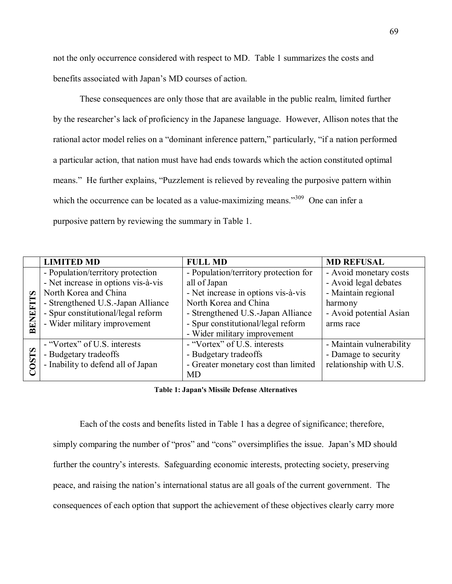not the only occurrence considered with respect to MD. Table 1 summarizes the costs and benefits associated with Japan's MD courses of action.

These consequences are only those that are available in the public realm, limited further by the researcher's lack of proficiency in the Japanese language. However, Allison notes that the rational actor model relies on a "dominant inference pattern," particularly, "if a nation performed a particular action, that nation must have had ends towards which the action constituted optimal means." He further explains, "Puzzlement is relieved by revealing the purposive pattern within which the occurrence can be located as a value-maximizing means.<sup> $309$ </sup> One can infer a purposive pattern by reviewing the summary in Table 1.

|                                      | <b>LIMITED MD</b>                   | <b>FULL MD</b>                        | <b>MD REFUSAL</b>        |
|--------------------------------------|-------------------------------------|---------------------------------------|--------------------------|
| $\boldsymbol{\mathcal{D}}$<br>BENEFI | - Population/territory protection   | - Population/territory protection for | - Avoid monetary costs   |
|                                      | - Net increase in options vis-à-vis | all of Japan                          | - Avoid legal debates    |
|                                      | North Korea and China               | - Net increase in options vis-à-vis   | - Maintain regional      |
|                                      | - Strengthened U.S.-Japan Alliance  | North Korea and China                 | harmony                  |
|                                      | - Spur constitutional/legal reform  | - Strengthened U.S.-Japan Alliance    | - Avoid potential Asian  |
|                                      | - Wider military improvement        | - Spur constitutional/legal reform    | arms race                |
|                                      |                                     | - Wider military improvement          |                          |
| ∽<br><b>OST:</b>                     | - "Vortex" of U.S. interests        | - "Vortex" of U.S. interests          | - Maintain vulnerability |
|                                      | - Budgetary tradeoffs               | - Budgetary tradeoffs                 | - Damage to security     |
|                                      | - Inability to defend all of Japan  | - Greater monetary cost than limited  | relationship with U.S.   |
|                                      |                                     | MD                                    |                          |

**Table 1: Japan's Missile Defense Alternatives**

Each of the costs and benefits listed in Table 1 has a degree of significance; therefore, simply comparing the number of "pros" and "cons" oversimplifies the issue. Japan's MD should further the country's interests. Safeguarding economic interests, protecting society, preserving peace, and raising the nation's international status are all goals of the current government. The consequences of each option that support the achievement of these objectives clearly carry more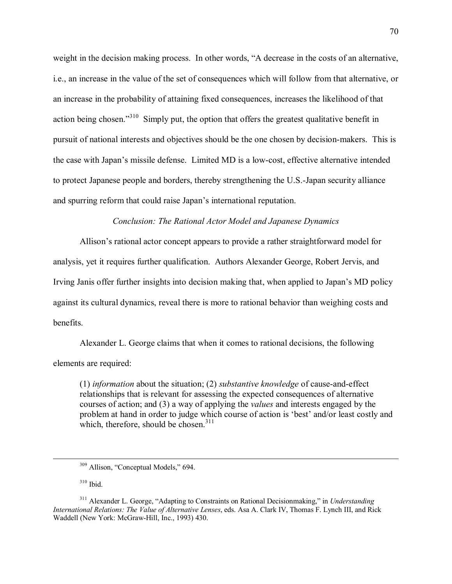weight in the decision making process. In other words, "A decrease in the costs of an alternative, i.e., an increase in the value of the set of consequences which will follow from that alternative, or an increase in the probability of attaining fixed consequences, increases the likelihood of that action being chosen.<sup>310</sup> Simply put, the option that offers the greatest qualitative benefit in pursuit of national interests and objectives should be the one chosen by decision-makers. This is the case with Japan's missile defense. Limited MD is a low-cost, effective alternative intended to protect Japanese people and borders, thereby strengthening the U.S.-Japan security alliance and spurring reform that could raise Japan's international reputation.

*Conclusion: The Rational Actor Model and Japanese Dynamics* 

Allison's rational actor concept appears to provide a rather straightforward model for analysis, yet it requires further qualification. Authors Alexander George, Robert Jervis, and Irving Janis offer further insights into decision making that, when applied to Japan's MD policy against its cultural dynamics, reveal there is more to rational behavior than weighing costs and benefits.

Alexander L. George claims that when it comes to rational decisions, the following elements are required:

(1) *information* about the situation; (2) *substantive knowledge* of cause-and-effect relationships that is relevant for assessing the expected consequences of alternative courses of action; and (3) a way of applying the *values* and interests engaged by the problem at hand in order to judge which course of action is 'best' and/or least costly and which, therefore, should be chosen. $311$ 

310 Ibid.

 $309$  Allison, "Conceptual Models," 694.

<sup>&</sup>lt;sup>311</sup> Alexander L. George, "Adapting to Constraints on Rational Decisionmaking," in *Understanding International Relations: The Value of Alternative Lenses*, eds. Asa A. Clark IV, Thomas F. Lynch III, and Rick Waddell (New York: McGraw-Hill, Inc., 1993) 430.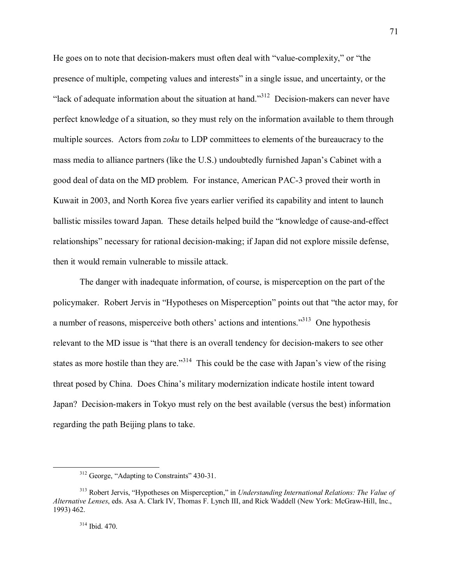He goes on to note that decision-makers must often deal with "value-complexity," or "the presence of multiple, competing values and interests" in a single issue, and uncertainty, or the "lack of adequate information about the situation at hand."<sup>312</sup> Decision-makers can never have perfect knowledge of a situation, so they must rely on the information available to them through multiple sources. Actors from *zoku* to LDP committees to elements of the bureaucracy to the mass media to alliance partners (like the U.S.) undoubtedly furnished Japan's Cabinet with a good deal of data on the MD problem. For instance, American PAC-3 proved their worth in Kuwait in 2003, and North Korea five years earlier verified its capability and intent to launch ballistic missiles toward Japan. These details helped build the "knowledge of cause-and-effect relationships" necessary for rational decision-making; if Japan did not explore missile defense, then it would remain vulnerable to missile attack.

 The danger with inadequate information, of course, is misperception on the part of the policymaker. Robert Jervis in "Hypotheses on Misperception" points out that "the actor may, for a number of reasons, misperceive both others' actions and intentions.<sup>313</sup> One hypothesis relevant to the MD issue is "that there is an overall tendency for decision-makers to see other states as more hostile than they are.<sup>314</sup> This could be the case with Japan's view of the rising threat posed by China. Does China's military modernization indicate hostile intent toward Japan? Decision-makers in Tokyo must rely on the best available (versus the best) information regarding the path Beijing plans to take.

 $312$  George, "Adapting to Constraints" 430-31.

<sup>&</sup>lt;sup>313</sup> Robert Jervis, "Hypotheses on Misperception," in *Understanding International Relations: The Value of Alternative Lenses*, eds. Asa A. Clark IV, Thomas F. Lynch III, and Rick Waddell (New York: McGraw-Hill, Inc., 1993) 462.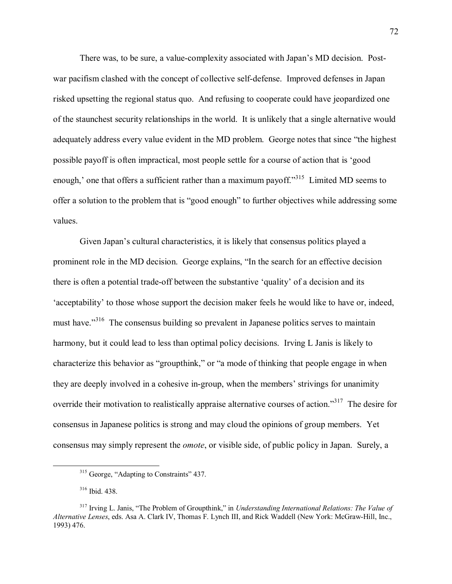There was, to be sure, a value-complexity associated with Japan's MD decision. Postwar pacifism clashed with the concept of collective self-defense. Improved defenses in Japan risked upsetting the regional status quo. And refusing to cooperate could have jeopardized one of the staunchest security relationships in the world. It is unlikely that a single alternative would adequately address every value evident in the MD problem. George notes that since "the highest" possible payoff is often impractical, most people settle for a course of action that is 'good enough,' one that offers a sufficient rather than a maximum payoff. $\frac{315}{12}$  Limited MD seems to offer a solution to the problem that is "good enough" to further objectives while addressing some values.

Given Japan's cultural characteristics, it is likely that consensus politics played a prominent role in the MD decision. George explains, "In the search for an effective decision there is often a potential trade-off between the substantive 'quality' of a decision and its 'acceptability' to those whose support the decision maker feels he would like to have or, indeed, must have.<sup>3316</sup> The consensus building so prevalent in Japanese politics serves to maintain harmony, but it could lead to less than optimal policy decisions. Irving L Janis is likely to characterize this behavior as "groupthink," or "a mode of thinking that people engage in when they are deeply involved in a cohesive in-group, when the members' strivings for unanimity override their motivation to realistically appraise alternative courses of action.<sup>317</sup> The desire for consensus in Japanese politics is strong and may cloud the opinions of group members. Yet consensus may simply represent the *omote*, or visible side, of public policy in Japan. Surely, a

 $315$  George, "Adapting to Constraints" 437.

<sup>316</sup> Ibid. 438.

<sup>&</sup>lt;sup>317</sup> Irving L. Janis, "The Problem of Groupthink," in *Understanding International Relations: The Value of Alternative Lenses*, eds. Asa A. Clark IV, Thomas F. Lynch III, and Rick Waddell (New York: McGraw-Hill, Inc., 1993) 476.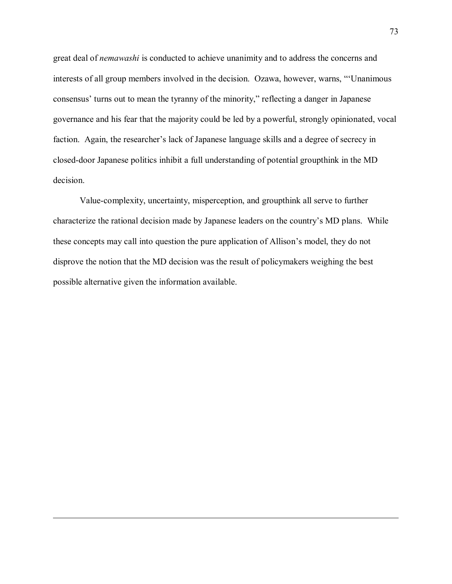great deal of *nemawashi* is conducted to achieve unanimity and to address the concerns and interests of all group members involved in the decision. Ozawa, however, warns, "'Unanimous consensus' turns out to mean the tyranny of the minority," reflecting a danger in Japanese governance and his fear that the majority could be led by a powerful, strongly opinionated, vocal faction. Again, the researcher's lack of Japanese language skills and a degree of secrecy in closed-door Japanese politics inhibit a full understanding of potential groupthink in the MD decision.

 Value-complexity, uncertainty, misperception, and groupthink all serve to further characterize the rational decision made by Japanese leaders on the country's MD plans. While these concepts may call into question the pure application of Allison's model, they do not disprove the notion that the MD decision was the result of policymakers weighing the best possible alternative given the information available.

1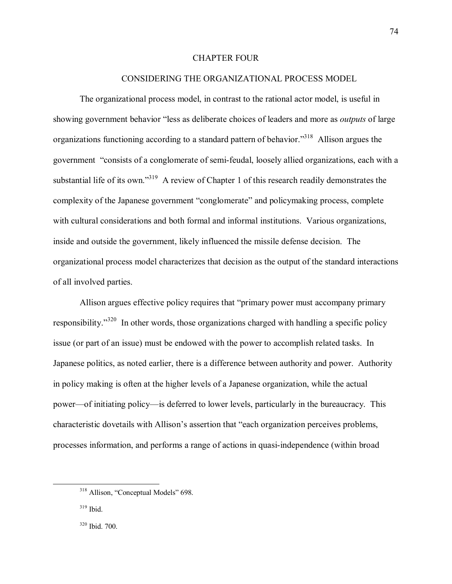#### CHAPTER FOUR

## CONSIDERING THE ORGANIZATIONAL PROCESS MODEL

The organizational process model, in contrast to the rational actor model, is useful in showing government behavior "less as deliberate choices of leaders and more as *outputs* of large organizations functioning according to a standard pattern of behavior.<sup>318</sup> Allison argues the government "consists of a conglomerate of semi-feudal, loosely allied organizations, each with a substantial life of its own.<sup>319</sup> A review of Chapter 1 of this research readily demonstrates the complexity of the Japanese government "conglomerate" and policymaking process, complete with cultural considerations and both formal and informal institutions. Various organizations, inside and outside the government, likely influenced the missile defense decision. The organizational process model characterizes that decision as the output of the standard interactions of all involved parties.

Allison argues effective policy requires that "primary power must accompany primary responsibility.<sup> $320$ </sup> In other words, those organizations charged with handling a specific policy issue (or part of an issue) must be endowed with the power to accomplish related tasks. In Japanese politics, as noted earlier, there is a difference between authority and power. Authority in policy making is often at the higher levels of a Japanese organization, while the actual power—of initiating policy—is deferred to lower levels, particularly in the bureaucracy. This characteristic dovetails with Allison's assertion that "each organization perceives problems, processes information, and performs a range of actions in quasi-independence (within broad

<sup>&</sup>lt;sup>318</sup> Allison, "Conceptual Models" 698.

 $319$  Ibid.

<sup>320</sup> Ibid. 700.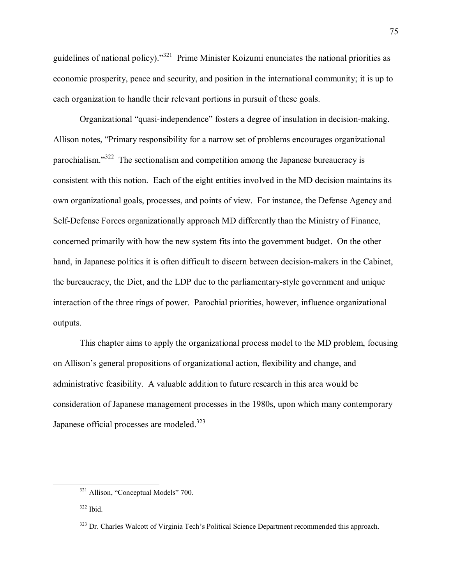guidelines of national policy).<sup>321</sup> Prime Minister Koizumi enunciates the national priorities as economic prosperity, peace and security, and position in the international community; it is up to each organization to handle their relevant portions in pursuit of these goals.

Organizational "quasi-independence" fosters a degree of insulation in decision-making. Allison notes, "Primary responsibility for a narrow set of problems encourages organizational parochialism. $1322$  The sectionalism and competition among the Japanese bureaucracy is consistent with this notion. Each of the eight entities involved in the MD decision maintains its own organizational goals, processes, and points of view. For instance, the Defense Agency and Self-Defense Forces organizationally approach MD differently than the Ministry of Finance, concerned primarily with how the new system fits into the government budget. On the other hand, in Japanese politics it is often difficult to discern between decision-makers in the Cabinet, the bureaucracy, the Diet, and the LDP due to the parliamentary-style government and unique interaction of the three rings of power. Parochial priorities, however, influence organizational outputs.

This chapter aims to apply the organizational process model to the MD problem, focusing on Allison's general propositions of organizational action, flexibility and change, and administrative feasibility. A valuable addition to future research in this area would be consideration of Japanese management processes in the 1980s, upon which many contemporary Japanese official processes are modeled.<sup>323</sup>

 $321$  Allison, "Conceptual Models" 700.

 $322$  Ibid.

<sup>&</sup>lt;sup>323</sup> Dr. Charles Walcott of Virginia Tech's Political Science Department recommended this approach.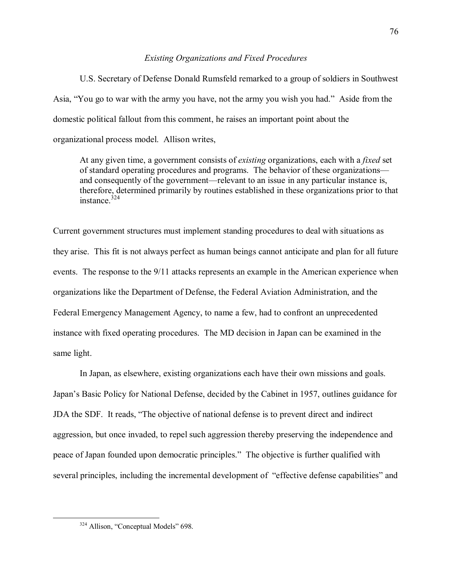# *Existing Organizations and Fixed Procedures*

U.S. Secretary of Defense Donald Rumsfeld remarked to a group of soldiers in Southwest Asia, "You go to war with the army you have, not the army you wish you had." Aside from the domestic political fallout from this comment, he raises an important point about the organizational process model. Allison writes,

At any given time, a government consists of *existing* organizations, each with a *fixed* set of standard operating procedures and programs. The behavior of these organizations and consequently of the government—relevant to an issue in any particular instance is, therefore, determined primarily by routines established in these organizations prior to that instance  $324$ 

Current government structures must implement standing procedures to deal with situations as they arise. This fit is not always perfect as human beings cannot anticipate and plan for all future events. The response to the 9/11 attacks represents an example in the American experience when organizations like the Department of Defense, the Federal Aviation Administration, and the Federal Emergency Management Agency, to name a few, had to confront an unprecedented instance with fixed operating procedures. The MD decision in Japan can be examined in the same light.

 In Japan, as elsewhere, existing organizations each have their own missions and goals. Japan's Basic Policy for National Defense, decided by the Cabinet in 1957, outlines guidance for JDA the SDF. It reads, "The objective of national defense is to prevent direct and indirect aggression, but once invaded, to repel such aggression thereby preserving the independence and peace of Japan founded upon democratic principles." The objective is further qualified with several principles, including the incremental development of "effective defense capabilities" and

 $324$  Allison, "Conceptual Models" 698.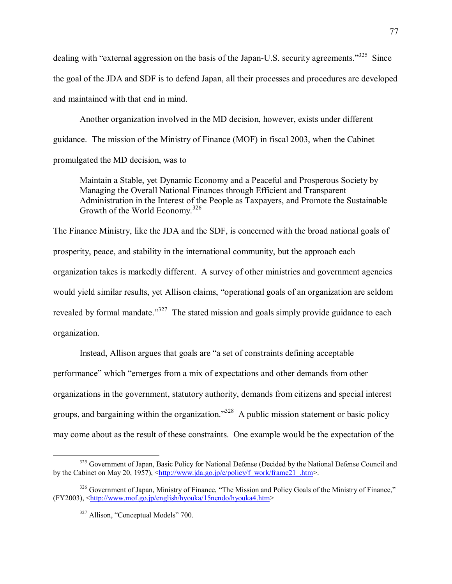dealing with "external aggression on the basis of the Japan-U.S. security agreements.<sup>325</sup> Since the goal of the JDA and SDF is to defend Japan, all their processes and procedures are developed and maintained with that end in mind.

 Another organization involved in the MD decision, however, exists under different guidance. The mission of the Ministry of Finance (MOF) in fiscal 2003, when the Cabinet promulgated the MD decision, was to

Maintain a Stable, yet Dynamic Economy and a Peaceful and Prosperous Society by Managing the Overall National Finances through Efficient and Transparent Administration in the Interest of the People as Taxpayers, and Promote the Sustainable Growth of the World Economy.<sup>326</sup>

The Finance Ministry, like the JDA and the SDF, is concerned with the broad national goals of prosperity, peace, and stability in the international community, but the approach each organization takes is markedly different. A survey of other ministries and government agencies would yield similar results, yet Allison claims, "operational goals of an organization are seldom revealed by formal mandate.<sup>3327</sup> The stated mission and goals simply provide guidance to each organization.

Instead, Allison argues that goals are "a set of constraints defining acceptable performance" which "emerges from a mix of expectations and other demands from other organizations in the government, statutory authority, demands from citizens and special interest groups, and bargaining within the organization.<sup>328</sup> A public mission statement or basic policy may come about as the result of these constraints. One example would be the expectation of the

<sup>&</sup>lt;sup>325</sup> Government of Japan, Basic Policy for National Defense (Decided by the National Defense Council and by the Cabinet on May 20, 1957), <http://www.jda.go.jp/e/policy/f\_work/frame21\_.htm>.

 $326$  Government of Japan, Ministry of Finance, "The Mission and Policy Goals of the Ministry of Finance," (FY2003), <http://www.mof.go.jp/english/hyouka/15nendo/hyouka4.htm>

 $327$  Allison, "Conceptual Models" 700.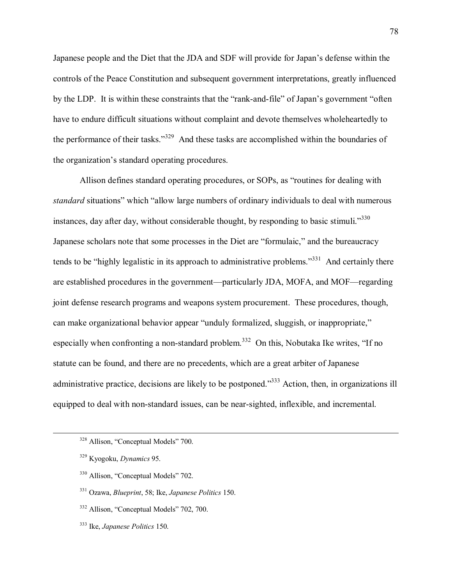Japanese people and the Diet that the JDA and SDF will provide for Japanís defense within the controls of the Peace Constitution and subsequent government interpretations, greatly influenced by the LDP. It is within these constraints that the "rank-and-file" of Japan's government "often have to endure difficult situations without complaint and devote themselves wholeheartedly to the performance of their tasks.<sup>3329</sup> And these tasks are accomplished within the boundaries of the organization's standard operating procedures.

Allison defines standard operating procedures, or SOPs, as "routines for dealing with *standard* situations" which "allow large numbers of ordinary individuals to deal with numerous instances, day after day, without considerable thought, by responding to basic stimuli.<sup>330</sup> Japanese scholars note that some processes in the Diet are "formulaic," and the bureaucracy tends to be "highly legalistic in its approach to administrative problems. $\frac{331}{10}$  And certainly there are established procedures in the government—particularly JDA, MOFA, and MOF—regarding joint defense research programs and weapons system procurement. These procedures, though, can make organizational behavior appear "unduly formalized, sluggish, or inappropriate," especially when confronting a non-standard problem.<sup>332</sup> On this, Nobutaka Ike writes, "If no statute can be found, and there are no precedents, which are a great arbiter of Japanese administrative practice, decisions are likely to be postponed.<sup>333</sup> Action, then, in organizations ill equipped to deal with non-standard issues, can be near-sighted, inflexible, and incremental.

333 Ike, *Japanese Politics* 150.

 $328$  Allison, "Conceptual Models" 700.

<sup>329</sup> Kyogoku, *Dynamics* 95.

 $330$  Allison, "Conceptual Models" 702.

<sup>331</sup> Ozawa, *Blueprint*, 58; Ike, *Japanese Politics* 150.

 $332$  Allison, "Conceptual Models" 702, 700.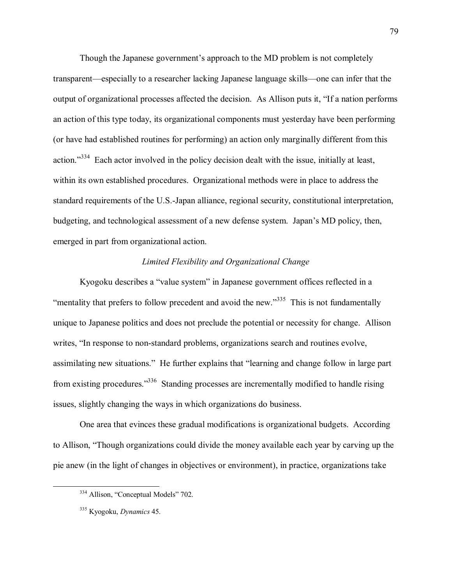Though the Japanese government's approach to the MD problem is not completely transparent—especially to a researcher lacking Japanese language skills—one can infer that the output of organizational processes affected the decision. As Allison puts it, "If a nation performs" an action of this type today, its organizational components must yesterday have been performing (or have had established routines for performing) an action only marginally different from this action.<sup>334</sup> Each actor involved in the policy decision dealt with the issue, initially at least, within its own established procedures. Organizational methods were in place to address the standard requirements of the U.S.-Japan alliance, regional security, constitutional interpretation, budgeting, and technological assessment of a new defense system. Japan's MD policy, then, emerged in part from organizational action.

# *Limited Flexibility and Organizational Change*

Kyogoku describes a "value system" in Japanese government offices reflected in a  $\cdot$ mentality that prefers to follow precedent and avoid the new.<sup>335</sup> This is not fundamentally unique to Japanese politics and does not preclude the potential or necessity for change. Allison writes, "In response to non-standard problems, organizations search and routines evolve, assimilating new situations." He further explains that "learning and change follow in large part from existing procedures.<sup>336</sup> Standing processes are incrementally modified to handle rising issues, slightly changing the ways in which organizations do business.

One area that evinces these gradual modifications is organizational budgets. According to Allison, "Though organizations could divide the money available each year by carving up the pie anew (in the light of changes in objectives or environment), in practice, organizations take

<sup>&</sup>lt;sup>334</sup> Allison, "Conceptual Models" 702.

<sup>335</sup> Kyogoku, *Dynamics* 45.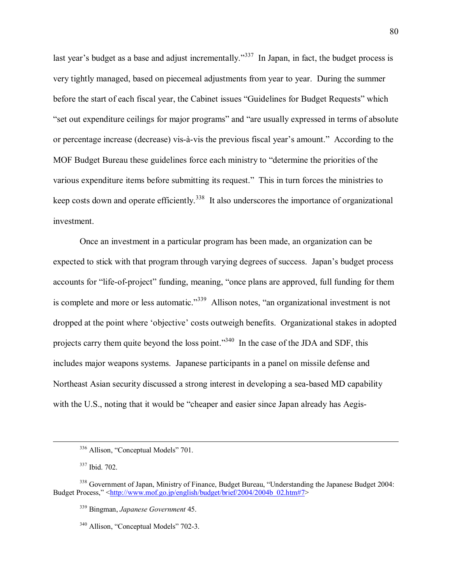last year's budget as a base and adjust incrementally.<sup> $337$ </sup> In Japan, in fact, the budget process is very tightly managed, based on piecemeal adjustments from year to year. During the summer before the start of each fiscal year, the Cabinet issues "Guidelines for Budget Requests" which Experience is in terms of absolute is the realist or major programs" and "are usually expressed in terms of absolute" or percentage increase (decrease) vis-à-vis the previous fiscal year's amount." According to the MOF Budget Bureau these guidelines force each ministry to "determine the priorities of the various expenditure items before submitting its request." This in turn forces the ministries to keep costs down and operate efficiently.<sup>338</sup> It also underscores the importance of organizational investment.

Once an investment in a particular program has been made, an organization can be expected to stick with that program through varying degrees of success. Japan's budget process accounts for "life-of-project" funding, meaning, "once plans are approved, full funding for them is complete and more or less automatic.<sup>339</sup> Allison notes, "an organizational investment is not dropped at the point where 'objective' costs outweigh benefits. Organizational stakes in adopted projects carry them quite beyond the loss point.<sup> $340$ </sup> In the case of the JDA and SDF, this includes major weapons systems. Japanese participants in a panel on missile defense and Northeast Asian security discussed a strong interest in developing a sea-based MD capability with the U.S., noting that it would be "cheaper and easier since Japan already has Aegis-

<sup>&</sup>lt;sup>336</sup> Allison, "Conceptual Models" 701.

<sup>337</sup> Ibid. 702.

<sup>&</sup>lt;sup>338</sup> Government of Japan, Ministry of Finance, Budget Bureau, "Understanding the Japanese Budget 2004: Budget Process," <http://www.mof.go.jp/english/budget/brief/2004/2004b\_02.htm#7>

<sup>339</sup> Bingman, *Japanese Government* 45.

 $340$  Allison, "Conceptual Models" 702-3.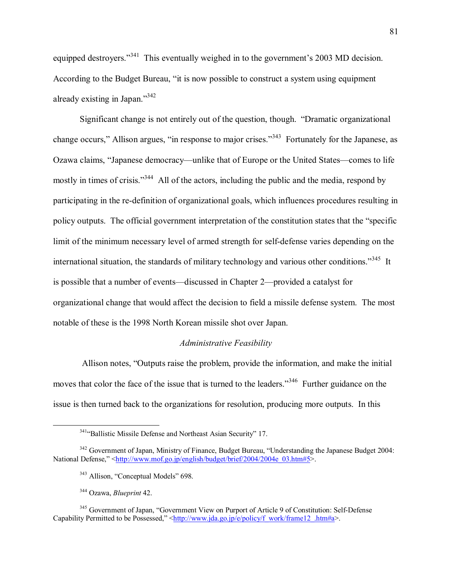equipped destroyers.<sup>341</sup> This eventually weighed in to the government's 2003 MD decision. According to the Budget Bureau, "it is now possible to construct a system using equipment already existing in Japan. $1342$ 

Significant change is not entirely out of the question, though. "Dramatic organizational change occurs," Allison argues, "in response to major crises."<sup>343</sup> Fortunately for the Japanese, as Ozawa claims, "Japanese democracy—unlike that of Europe or the United States—comes to life mostly in times of crisis.<sup>344</sup> All of the actors, including the public and the media, respond by participating in the re-definition of organizational goals, which influences procedures resulting in policy outputs. The official government interpretation of the constitution states that the "specific limit of the minimum necessary level of armed strength for self-defense varies depending on the international situation, the standards of military technology and various other conditions.<sup>345</sup> It is possible that a number of events—discussed in Chapter 2—provided a catalyst for organizational change that would affect the decision to field a missile defense system. The most notable of these is the 1998 North Korean missile shot over Japan.

## *Administrative Feasibility*

Allison notes, "Outputs raise the problem, provide the information, and make the initial moves that color the face of the issue that is turned to the leaders.<sup>346</sup> Further guidance on the issue is then turned back to the organizations for resolution, producing more outputs. In this

<sup>&</sup>lt;sup>341</sup><sup>4</sup>Ballistic Missile Defense and Northeast Asian Security<sup>"</sup> 17.

<sup>&</sup>lt;sup>342</sup> Government of Japan, Ministry of Finance, Budget Bureau, "Understanding the Japanese Budget 2004: National Defense," <http://www.mof.go.jp/english/budget/brief/2004/2004e\_03.htm#5>.

 $343$  Allison, "Conceptual Models" 698.

<sup>344</sup> Ozawa, *Blueprint* 42.

<sup>&</sup>lt;sup>345</sup> Government of Japan, "Government View on Purport of Article 9 of Constitution: Self-Defense Capability Permitted to be Possessed," <http://www.jda.go.jp/e/policy/f\_work/frame12\_.htm#a>.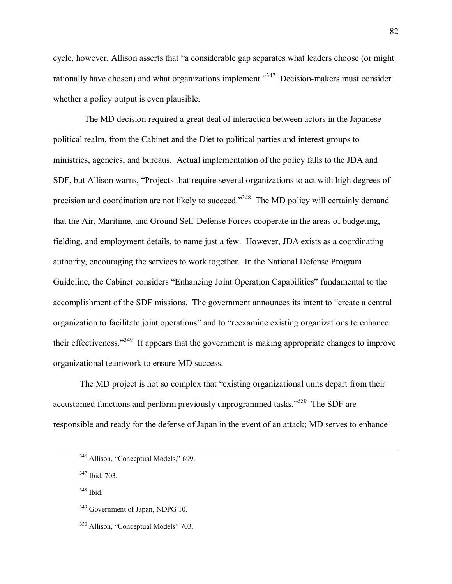cycle, however, Allison asserts that "a considerable gap separates what leaders choose (or might rationally have chosen) and what organizations implement.<sup> $347$ </sup> Decision-makers must consider whether a policy output is even plausible.

 The MD decision required a great deal of interaction between actors in the Japanese political realm, from the Cabinet and the Diet to political parties and interest groups to ministries, agencies, and bureaus. Actual implementation of the policy falls to the JDA and SDF, but Allison warns, "Projects that require several organizations to act with high degrees of precision and coordination are not likely to succeed.<sup>3348</sup> The MD policy will certainly demand that the Air, Maritime, and Ground Self-Defense Forces cooperate in the areas of budgeting, fielding, and employment details, to name just a few. However, JDA exists as a coordinating authority, encouraging the services to work together. In the National Defense Program Guideline, the Cabinet considers "Enhancing Joint Operation Capabilities" fundamental to the accomplishment of the SDF missions. The government announces its intent to "create a central organization to facilitate joint operations" and to "reexamine existing organizations to enhance their effectiveness."<sup>349</sup> It appears that the government is making appropriate changes to improve organizational teamwork to ensure MD success.

The MD project is not so complex that "existing organizational units depart from their accustomed functions and perform previously unprogrammed tasks.<sup>350</sup> The SDF are responsible and ready for the defense of Japan in the event of an attack; MD serves to enhance

347 Ibid. 703.

 $348$  Ibid.

<sup>349</sup> Government of Japan, NDPG 10.

 $346$  Allison, "Conceptual Models," 699.

 $350$  Allison, "Conceptual Models" 703.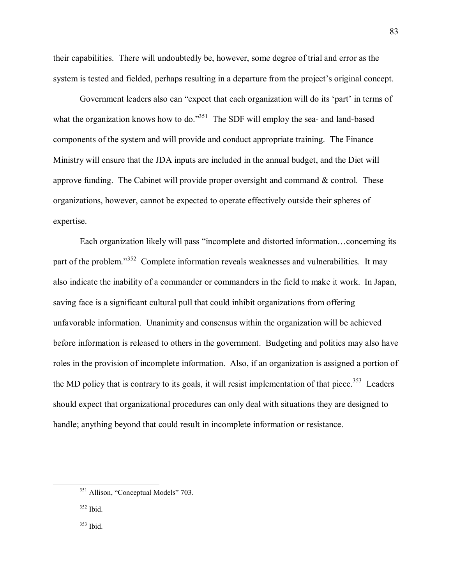their capabilities. There will undoubtedly be, however, some degree of trial and error as the system is tested and fielded, perhaps resulting in a departure from the project's original concept.

Government leaders also can "expect that each organization will do its 'part' in terms of what the organization knows how to do.<sup>351</sup> The SDF will employ the sea- and land-based components of the system and will provide and conduct appropriate training. The Finance Ministry will ensure that the JDA inputs are included in the annual budget, and the Diet will approve funding. The Cabinet will provide proper oversight and command  $\&$  control. These organizations, however, cannot be expected to operate effectively outside their spheres of expertise.

Each organization likely will pass "incomplete and distorted information...concerning its part of the problem.<sup>352</sup> Complete information reveals weaknesses and vulnerabilities. It may also indicate the inability of a commander or commanders in the field to make it work. In Japan, saving face is a significant cultural pull that could inhibit organizations from offering unfavorable information. Unanimity and consensus within the organization will be achieved before information is released to others in the government. Budgeting and politics may also have roles in the provision of incomplete information. Also, if an organization is assigned a portion of the MD policy that is contrary to its goals, it will resist implementation of that piece.<sup>353</sup> Leaders should expect that organizational procedures can only deal with situations they are designed to handle; anything beyond that could result in incomplete information or resistance.

<sup>&</sup>lt;sup>351</sup> Allison, "Conceptual Models" 703.

 $352$  Ibid.

<sup>353</sup> Ibid.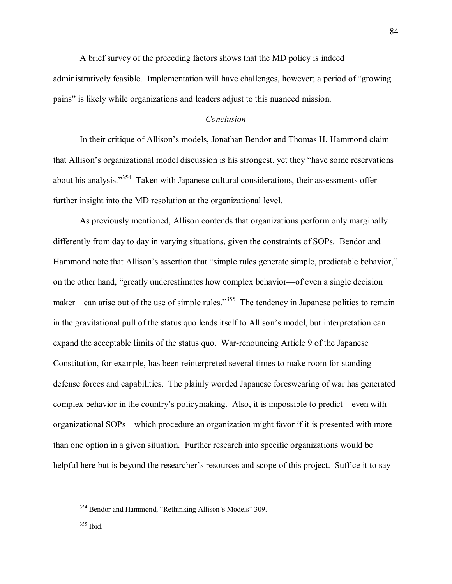A brief survey of the preceding factors shows that the MD policy is indeed administratively feasible. Implementation will have challenges, however; a period of "growing" painsî is likely while organizations and leaders adjust to this nuanced mission.

# *Conclusion*

In their critique of Allison's models, Jonathan Bendor and Thomas H. Hammond claim that Allison's organizational model discussion is his strongest, yet they "have some reservations" about his analysis.<sup> $354$ </sup> Taken with Japanese cultural considerations, their assessments offer further insight into the MD resolution at the organizational level.

As previously mentioned, Allison contends that organizations perform only marginally differently from day to day in varying situations, given the constraints of SOPs. Bendor and Hammond note that Allison's assertion that "simple rules generate simple, predictable behavior," on the other hand, "greatly underestimates how complex behavior—of even a single decision maker—can arise out of the use of simple rules.<sup>355</sup> The tendency in Japanese politics to remain in the gravitational pull of the status quo lends itself to Allison's model, but interpretation can expand the acceptable limits of the status quo. War-renouncing Article 9 of the Japanese Constitution, for example, has been reinterpreted several times to make room for standing defense forces and capabilities. The plainly worded Japanese foreswearing of war has generated complex behavior in the country's policymaking. Also, it is impossible to predict—even with organizational SOPs—which procedure an organization might favor if it is presented with more than one option in a given situation. Further research into specific organizations would be helpful here but is beyond the researcher's resources and scope of this project. Suffice it to say

 $354$  Bendor and Hammond, "Rethinking Allison's Models" 309.

<sup>355</sup> Ibid.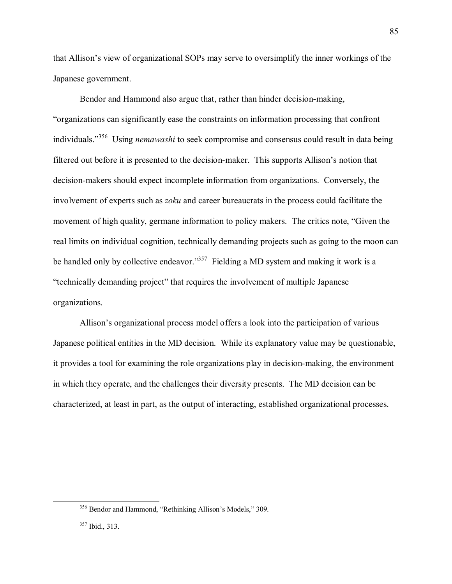that Allison's view of organizational SOPs may serve to oversimplify the inner workings of the Japanese government.

Bendor and Hammond also argue that, rather than hinder decision-making, ìorganizations can significantly ease the constraints on information processing that confront individuals.<sup>3356</sup> Using *nemawashi* to seek compromise and consensus could result in data being filtered out before it is presented to the decision-maker. This supports Allison's notion that decision-makers should expect incomplete information from organizations. Conversely, the involvement of experts such as *zoku* and career bureaucrats in the process could facilitate the movement of high quality, germane information to policy makers. The critics note, "Given the real limits on individual cognition, technically demanding projects such as going to the moon can be handled only by collective endeavor.<sup>357</sup> Fielding a MD system and making it work is a *itechnically demanding project*" that requires the involvement of multiple Japanese organizations.

Allison's organizational process model offers a look into the participation of various Japanese political entities in the MD decision. While its explanatory value may be questionable, it provides a tool for examining the role organizations play in decision-making, the environment in which they operate, and the challenges their diversity presents. The MD decision can be characterized, at least in part, as the output of interacting, established organizational processes.

 $356$  Bendor and Hammond, "Rethinking Allison's Models," 309.

<sup>357</sup> Ibid., 313.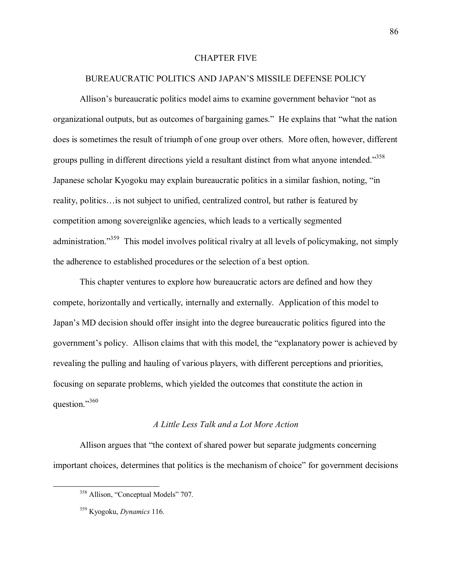#### CHAPTER FIVE

#### BUREAUCRATIC POLITICS AND JAPAN'S MISSILE DEFENSE POLICY

Allison's bureaucratic politics model aims to examine government behavior "not as organizational outputs, but as outcomes of bargaining games." He explains that "what the nation does is sometimes the result of triumph of one group over others. More often, however, different groups pulling in different directions yield a resultant distinct from what anyone intended.<sup>358</sup> Japanese scholar Kyogoku may explain bureaucratic politics in a similar fashion, noting, "in reality, politics... is not subject to unified, centralized control, but rather is featured by competition among sovereignlike agencies, which leads to a vertically segmented administration.<sup>359</sup> This model involves political rivalry at all levels of policymaking, not simply the adherence to established procedures or the selection of a best option.

This chapter ventures to explore how bureaucratic actors are defined and how they compete, horizontally and vertically, internally and externally. Application of this model to Japanís MD decision should offer insight into the degree bureaucratic politics figured into the government's policy. Allison claims that with this model, the "explanatory power is achieved by revealing the pulling and hauling of various players, with different perceptions and priorities, focusing on separate problems, which yielded the outcomes that constitute the action in question."<sup>360</sup>

## *A Little Less Talk and a Lot More Action*

Allison argues that "the context of shared power but separate judgments concerning important choices, determines that politics is the mechanism of choice" for government decisions

<sup>&</sup>lt;sup>358</sup> Allison, "Conceptual Models" 707.

<sup>359</sup> Kyogoku, *Dynamics* 116.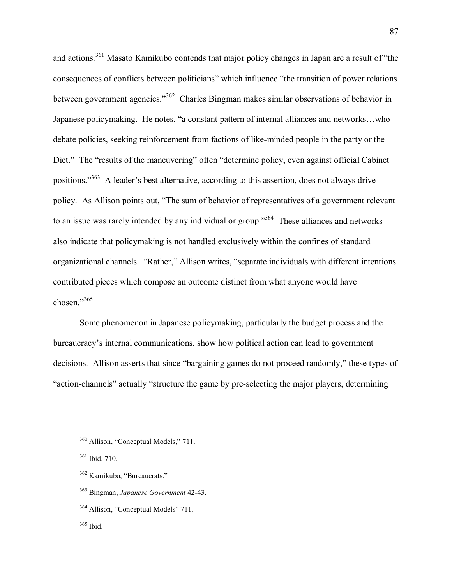and actions.<sup>361</sup> Masato Kamikubo contends that major policy changes in Japan are a result of "the consequences of conflicts between politicians" which influence "the transition of power relations between government agencies.<sup>362</sup> Charles Bingman makes similar observations of behavior in Japanese policymaking. He notes, "a constant pattern of internal alliances and networks...who debate policies, seeking reinforcement from factions of like-minded people in the party or the Diet." The "results of the maneuvering" often "determine policy, even against official Cabinet positions.<sup> $363$ </sup> A leader's best alternative, according to this assertion, does not always drive policy. As Allison points out, "The sum of behavior of representatives of a government relevant to an issue was rarely intended by any individual or group.<sup>364</sup> These alliances and networks also indicate that policymaking is not handled exclusively within the confines of standard organizational channels. "Rather," Allison writes, "separate individuals with different intentions contributed pieces which compose an outcome distinct from what anyone would have chosen $^{365}$ 

Some phenomenon in Japanese policymaking, particularly the budget process and the bureaucracy's internal communications, show how political action can lead to government decisions. Allison asserts that since "bargaining games do not proceed randomly," these types of "action-channels" actually "structure the game by pre-selecting the major players, determining

 $360$  Allison, "Conceptual Models," 711.

<sup>361</sup> Ibid. 710.

 $362$  Kamikubo, "Bureaucrats."

<sup>363</sup> Bingman, *Japanese Government* 42-43.

 $364$  Allison, "Conceptual Models" 711.

<sup>365</sup> Ibid.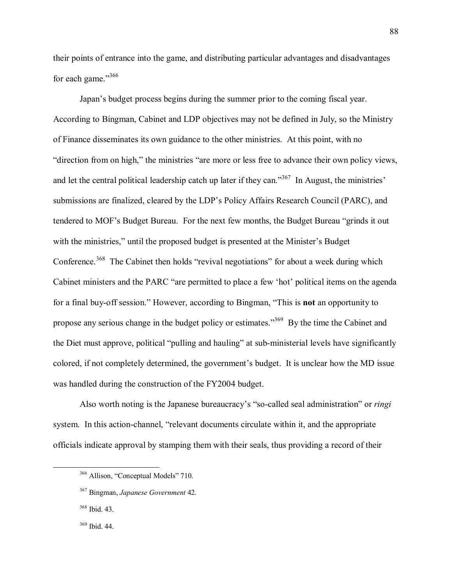their points of entrance into the game, and distributing particular advantages and disadvantages for each game. $1366$ 

Japan's budget process begins during the summer prior to the coming fiscal year. According to Bingman, Cabinet and LDP objectives may not be defined in July, so the Ministry of Finance disseminates its own guidance to the other ministries. At this point, with no "direction from on high," the ministries "are more or less free to advance their own policy views, and let the central political leadership catch up later if they can.<sup>367</sup> In August, the ministries<sup> $\cdot$ </sup> submissions are finalized, cleared by the LDP's Policy Affairs Research Council (PARC), and tendered to MOF's Budget Bureau. For the next few months, the Budget Bureau "grinds it out with the ministries," until the proposed budget is presented at the Minister's Budget Conference.<sup>368</sup> The Cabinet then holds "revival negotiations" for about a week during which Cabinet ministers and the PARC "are permitted to place a few 'hot' political items on the agenda for a final buy-off session." However, according to Bingman, "This is **not** an opportunity to propose any serious change in the budget policy or estimates.<sup>369</sup> By the time the Cabinet and the Diet must approve, political "pulling and hauling" at sub-ministerial levels have significantly colored, if not completely determined, the government's budget. It is unclear how the MD issue was handled during the construction of the FY2004 budget.

Also worth noting is the Japanese bureaucracy's "so-called seal administration" or *ringi* system. In this action-channel, "relevant documents circulate within it, and the appropriate officials indicate approval by stamping them with their seals, thus providing a record of their

<sup>&</sup>lt;sup>366</sup> Allison, "Conceptual Models" 710.

<sup>367</sup> Bingman, *Japanese Government* 42.

<sup>368</sup> Ibid. 43.

<sup>369</sup> Ibid. 44.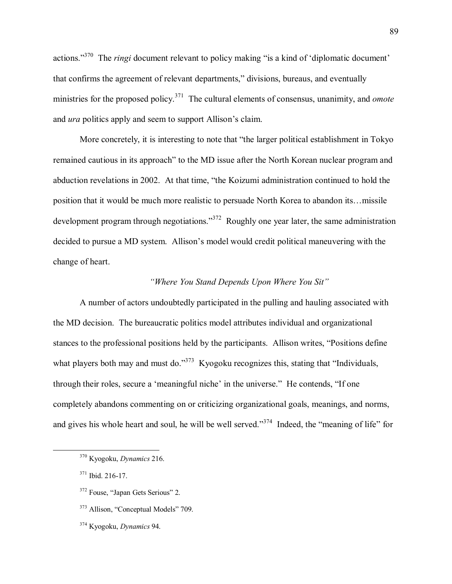actions.<sup>370</sup> The *ringi* document relevant to policy making "is a kind of 'diplomatic document' that confirms the agreement of relevant departments," divisions, bureaus, and eventually ministries for the proposed policy.<sup>371</sup> The cultural elements of consensus, unanimity, and *omote* and *ura* politics apply and seem to support Allison's claim.

More concretely, it is interesting to note that "the larger political establishment in Tokyo remained cautious in its approach" to the MD issue after the North Korean nuclear program and abduction revelations in 2002. At that time, "the Koizumi administration continued to hold the position that it would be much more realistic to persuade North Korea to abandon its... missile development program through negotiations.<sup>372</sup> Roughly one year later, the same administration decided to pursue a MD system. Allison's model would credit political maneuvering with the change of heart.

# *<sup>8</sup>Where You Stand Depends Upon Where You Sit*<sup>"</sup>

A number of actors undoubtedly participated in the pulling and hauling associated with the MD decision. The bureaucratic politics model attributes individual and organizational stances to the professional positions held by the participants. Allison writes, "Positions define" what players both may and must do.<sup>373</sup> Kyogoku recognizes this, stating that "Individuals, through their roles, secure a 'meaningful niche' in the universe." He contends, "If one completely abandons commenting on or criticizing organizational goals, meanings, and norms, and gives his whole heart and soul, he will be well served.<sup>374</sup> Indeed, the "meaning of life" for

374 Kyogoku, *Dynamics* 94.

 <sup>370</sup> Kyogoku, *Dynamics* 216.

<sup>371</sup> Ibid. 216-17.

<sup>&</sup>lt;sup>372</sup> Fouse, "Japan Gets Serious" 2.

<sup>&</sup>lt;sup>373</sup> Allison, "Conceptual Models" 709.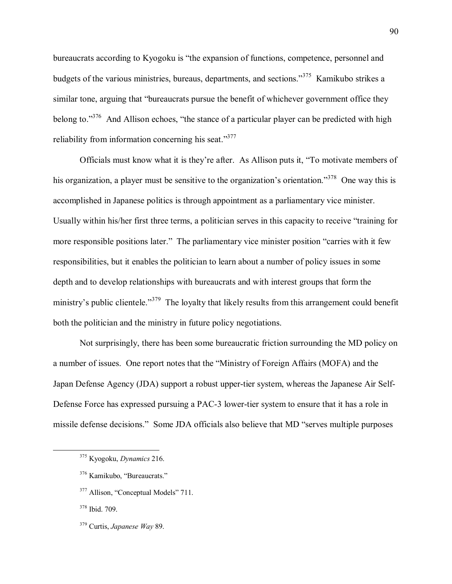bureaucrats according to Kyogoku is "the expansion of functions, competence, personnel and budgets of the various ministries, bureaus, departments, and sections.<sup>375</sup> Kamikubo strikes a similar tone, arguing that "bureaucrats pursue the benefit of whichever government office they belong to. $1376$  And Allison echoes, "the stance of a particular player can be predicted with high reliability from information concerning his seat. $1377$ 

Officials must know what it is they're after. As Allison puts it, "To motivate members of his organization, a player must be sensitive to the organization's orientation.<sup>378</sup> One way this is accomplished in Japanese politics is through appointment as a parliamentary vice minister. Usually within his/her first three terms, a politician serves in this capacity to receive "training for more responsible positions later." The parliamentary vice minister position "carries with it few responsibilities, but it enables the politician to learn about a number of policy issues in some depth and to develop relationships with bureaucrats and with interest groups that form the ministry's public clientele.<sup>379</sup> The loyalty that likely results from this arrangement could benefit both the politician and the ministry in future policy negotiations.

Not surprisingly, there has been some bureaucratic friction surrounding the MD policy on a number of issues. One report notes that the "Ministry of Foreign Affairs (MOFA) and the Japan Defense Agency (JDA) support a robust upper-tier system, whereas the Japanese Air Self-Defense Force has expressed pursuing a PAC-3 lower-tier system to ensure that it has a role in missile defense decisions." Some JDA officials also believe that MD "serves multiple purposes

 <sup>375</sup> Kyogoku, *Dynamics* 216.

 $376$  Kamikubo, "Bureaucrats."

<sup>&</sup>lt;sup>377</sup> Allison, "Conceptual Models" 711.

<sup>378</sup> Ibid. 709.

<sup>379</sup> Curtis, *Japanese Way* 89.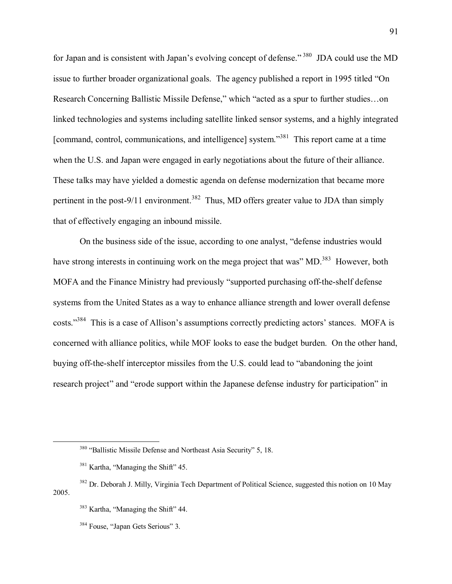for Japan and is consistent with Japan's evolving concept of defense.<sup>7380</sup> JDA could use the MD issue to further broader organizational goals. The agency published a report in 1995 titled "On Research Concerning Ballistic Missile Defense," which "acted as a spur to further studies...on linked technologies and systems including satellite linked sensor systems, and a highly integrated [command, control, communications, and intelligence] system.<sup>381</sup> This report came at a time when the U.S. and Japan were engaged in early negotiations about the future of their alliance. These talks may have yielded a domestic agenda on defense modernization that became more pertinent in the post-9/11 environment.<sup>382</sup> Thus, MD offers greater value to JDA than simply that of effectively engaging an inbound missile.

On the business side of the issue, according to one analyst, "defense industries would have strong interests in continuing work on the mega project that was" MD.<sup>383</sup> However, both MOFA and the Finance Ministry had previously "supported purchasing off-the-shelf defense systems from the United States as a way to enhance alliance strength and lower overall defense costs.<sup>384</sup> This is a case of Allison's assumptions correctly predicting actors' stances. MOFA is concerned with alliance politics, while MOF looks to ease the budget burden. On the other hand, buying off-the-shelf interceptor missiles from the U.S. could lead to "abandoning the joint research project" and "erode support within the Japanese defense industry for participation" in

<sup>&</sup>lt;sup>380</sup> "Ballistic Missile Defense and Northeast Asia Security" 5, 18.

 $381$  Kartha, "Managing the Shift" 45.

<sup>&</sup>lt;sup>382</sup> Dr. Deborah J. Milly, Virginia Tech Department of Political Science, suggested this notion on 10 May 2005.

 $383$  Kartha, "Managing the Shift" 44.

<sup>&</sup>lt;sup>384</sup> Fouse, "Japan Gets Serious" 3.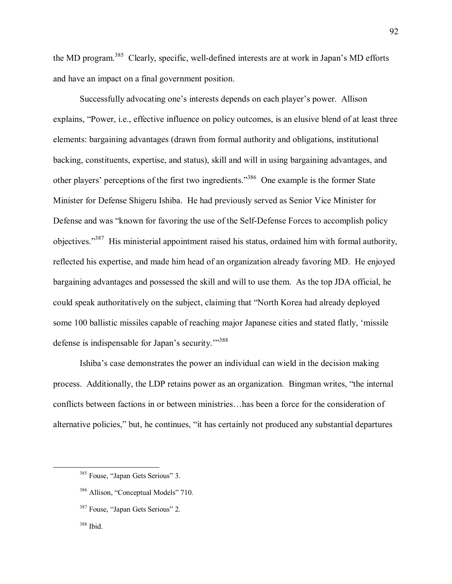the MD program.<sup>385</sup> Clearly, specific, well-defined interests are at work in Japan's MD efforts and have an impact on a final government position.

Successfully advocating one's interests depends on each player's power. Allison explains, "Power, i.e., effective influence on policy outcomes, is an elusive blend of at least three elements: bargaining advantages (drawn from formal authority and obligations, institutional backing, constituents, expertise, and status), skill and will in using bargaining advantages, and other players' perceptions of the first two ingredients.<sup>3386</sup> One example is the former State Minister for Defense Shigeru Ishiba. He had previously served as Senior Vice Minister for Defense and was "known for favoring the use of the Self-Defense Forces to accomplish policy objectives.<sup>387</sup> His ministerial appointment raised his status, ordained him with formal authority, reflected his expertise, and made him head of an organization already favoring MD. He enjoyed bargaining advantages and possessed the skill and will to use them. As the top JDA official, he could speak authoritatively on the subject, claiming that "North Korea had already deployed some 100 ballistic missiles capable of reaching major Japanese cities and stated flatly, 'missile defense is indispensable for Japan's security."<sup>388</sup>

Ishiba's case demonstrates the power an individual can wield in the decision making process. Additionally, the LDP retains power as an organization. Bingman writes, "the internal conflicts between factions in or between ministries... has been a force for the consideration of alternative policies," but, he continues, "it has certainly not produced any substantial departures

<sup>&</sup>lt;sup>385</sup> Fouse, "Japan Gets Serious" 3.

 $386$  Allison, "Conceptual Models" 710.

<sup>&</sup>lt;sup>387</sup> Fouse, "Japan Gets Serious" 2.

<sup>388</sup> Ibid.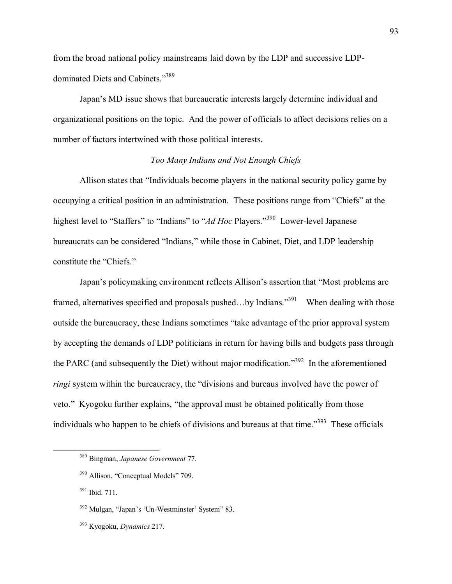from the broad national policy mainstreams laid down by the LDP and successive LDPdominated Diets and Cabinets."389

Japan's MD issue shows that bureaucratic interests largely determine individual and organizational positions on the topic. And the power of officials to affect decisions relies on a number of factors intertwined with those political interests.

# *Too Many Indians and Not Enough Chiefs*

Allison states that "Individuals become players in the national security policy game by occupying a critical position in an administration. These positions range from "Chiefs" at the highest level to "Staffers" to "Indians" to "*Ad Hoc* Players.<sup>"390</sup> Lower-level Japanese bureaucrats can be considered "Indians," while those in Cabinet, Diet, and LDP leadership constitute the "Chiefs."

Japan's policymaking environment reflects Allison's assertion that "Most problems are framed, alternatives specified and proposals pushed...by Indians.<sup>391</sup> When dealing with those outside the bureaucracy, these Indians sometimes "take advantage of the prior approval system by accepting the demands of LDP politicians in return for having bills and budgets pass through the PARC (and subsequently the Diet) without major modification.<sup>3392</sup> In the aforementioned *ringi* system within the bureaucracy, the "divisions and bureaus involved have the power of veto." Kyogoku further explains, "the approval must be obtained politically from those individuals who happen to be chiefs of divisions and bureaus at that time.<sup>7393</sup> These officials

 <sup>389</sup> Bingman, *Japanese Government* 77.

<sup>&</sup>lt;sup>390</sup> Allison, "Conceptual Models" 709.

<sup>391</sup> Ibid. 711.

 $392$  Mulgan, "Japan's 'Un-Westminster' System<sup>"</sup> 83.

<sup>393</sup> Kyogoku, *Dynamics* 217.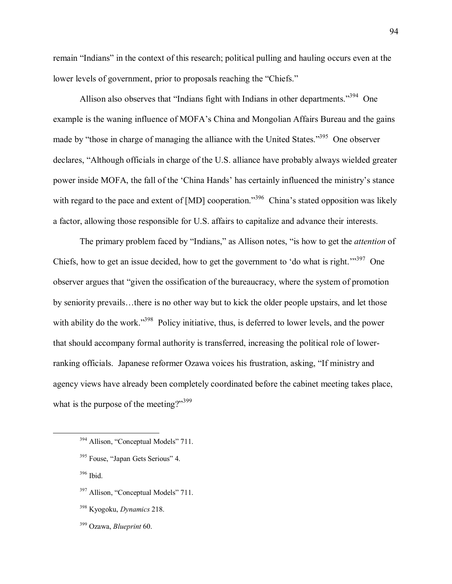remain "Indians" in the context of this research; political pulling and hauling occurs even at the lower levels of government, prior to proposals reaching the "Chiefs."

Allison also observes that "Indians fight with Indians in other departments.<sup>394</sup> One example is the waning influence of MOFA's China and Mongolian Affairs Bureau and the gains made by "those in charge of managing the alliance with the United States.<sup>395</sup> One observer declares, "Although officials in charge of the U.S. alliance have probably always wielded greater power inside MOFA, the fall of the 'China Hands' has certainly influenced the ministry's stance with regard to the pace and extent of [MD] cooperation.<sup>396</sup> China's stated opposition was likely a factor, allowing those responsible for U.S. affairs to capitalize and advance their interests.

The primary problem faced by "Indians," as Allison notes, "is how to get the *attention* of Chiefs, how to get an issue decided, how to get the government to 'do what is right.<sup> $1397$ </sup> One observer argues that "given the ossification of the bureaucracy, where the system of promotion by seniority prevails...there is no other way but to kick the older people upstairs, and let those with ability do the work.<sup>398</sup> Policy initiative, thus, is deferred to lower levels, and the power that should accompany formal authority is transferred, increasing the political role of lowerranking officials. Japanese reformer Ozawa voices his frustration, asking, "If ministry and agency views have already been completely coordinated before the cabinet meeting takes place, what is the purpose of the meeting?" $399$ 

- $394$  Allison, "Conceptual Models" 711.
- <sup>395</sup> Fouse, "Japan Gets Serious" 4.
- 396 Ibid.
- $397$  Allison, "Conceptual Models" 711.
- 398 Kyogoku, *Dynamics* 218.

94

399 Ozawa, *Blueprint* 60.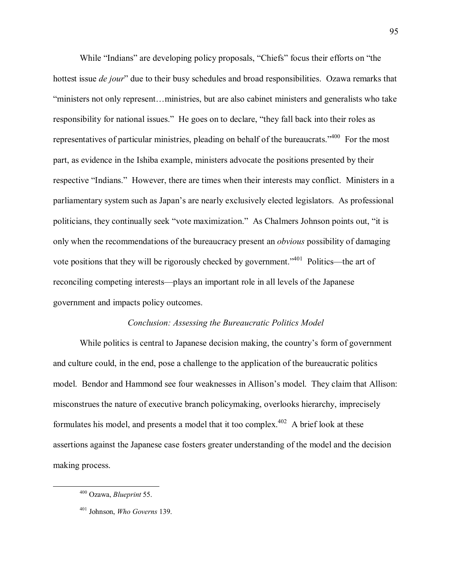While "Indians" are developing policy proposals, "Chiefs" focus their efforts on "the hottest issue *de jour*" due to their busy schedules and broad responsibilities. Ozawa remarks that *iministers not only represent... ministries, but are also cabinet ministers and generalists who take* responsibility for national issues." He goes on to declare, "they fall back into their roles as representatives of particular ministries, pleading on behalf of the bureaucrats.<sup>7400</sup> For the most part, as evidence in the Ishiba example, ministers advocate the positions presented by their respective "Indians." However, there are times when their interests may conflict. Ministers in a parliamentary system such as Japan's are nearly exclusively elected legislators. As professional politicians, they continually seek "vote maximization." As Chalmers Johnson points out, "it is only when the recommendations of the bureaucracy present an *obvious* possibility of damaging vote positions that they will be rigorously checked by government.<sup> $3401$ </sup> Politics—the art of reconciling competing interests—plays an important role in all levels of the Japanese government and impacts policy outcomes.

## *Conclusion: Assessing the Bureaucratic Politics Model*

While politics is central to Japanese decision making, the country's form of government and culture could, in the end, pose a challenge to the application of the bureaucratic politics model. Bendor and Hammond see four weaknesses in Allison's model. They claim that Allison: misconstrues the nature of executive branch policymaking, overlooks hierarchy, imprecisely formulates his model, and presents a model that it too complex.<sup> $402$ </sup> A brief look at these assertions against the Japanese case fosters greater understanding of the model and the decision making process.

 <sup>400</sup> Ozawa, *Blueprint* 55.

<sup>401</sup> Johnson, *Who Governs* 139.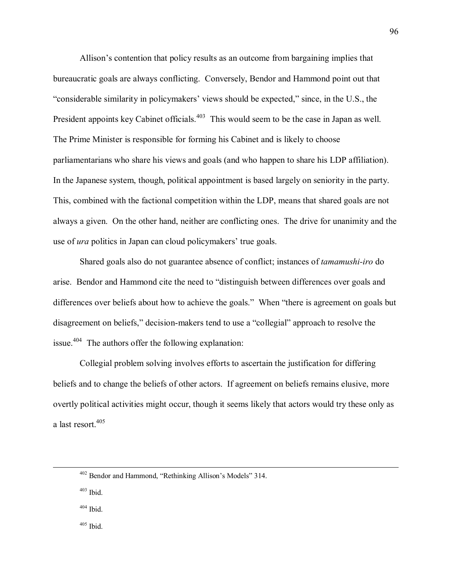Allison's contention that policy results as an outcome from bargaining implies that bureaucratic goals are always conflicting. Conversely, Bendor and Hammond point out that "considerable similarity in policymakers' views should be expected," since, in the U.S., the President appoints key Cabinet officials.<sup>403</sup> This would seem to be the case in Japan as well. The Prime Minister is responsible for forming his Cabinet and is likely to choose parliamentarians who share his views and goals (and who happen to share his LDP affiliation). In the Japanese system, though, political appointment is based largely on seniority in the party. This, combined with the factional competition within the LDP, means that shared goals are not always a given. On the other hand, neither are conflicting ones. The drive for unanimity and the use of *ura* politics in Japan can cloud policymakers' true goals.

Shared goals also do not guarantee absence of conflict; instances of *tamamushi-iro* do arise. Bendor and Hammond cite the need to "distinguish between differences over goals and differences over beliefs about how to achieve the goals." When "there is agreement on goals but disagreement on beliefs," decision-makers tend to use a "collegial" approach to resolve the issue.<sup>404</sup> The authors offer the following explanation:

Collegial problem solving involves efforts to ascertain the justification for differing beliefs and to change the beliefs of other actors. If agreement on beliefs remains elusive, more overtly political activities might occur, though it seems likely that actors would try these only as a last resort.<sup>405</sup>

 $404$  Ibid.

405 Ibid.

 $402$  Bendor and Hammond, "Rethinking Allison's Models" 314.

<sup>403</sup> Ibid.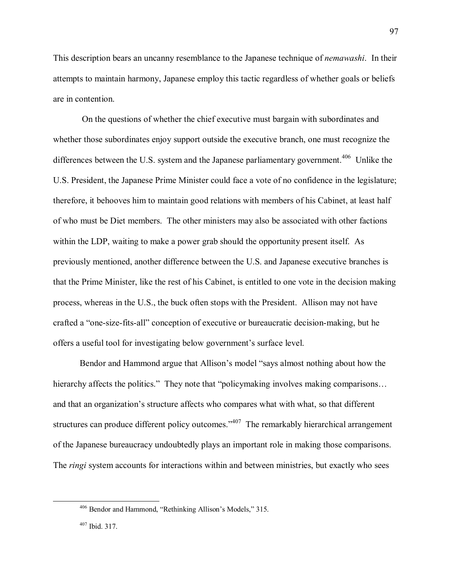This description bears an uncanny resemblance to the Japanese technique of *nemawashi*. In their attempts to maintain harmony, Japanese employ this tactic regardless of whether goals or beliefs are in contention.

 On the questions of whether the chief executive must bargain with subordinates and whether those subordinates enjoy support outside the executive branch, one must recognize the differences between the U.S. system and the Japanese parliamentary government.<sup>406</sup> Unlike the U.S. President, the Japanese Prime Minister could face a vote of no confidence in the legislature; therefore, it behooves him to maintain good relations with members of his Cabinet, at least half of who must be Diet members. The other ministers may also be associated with other factions within the LDP, waiting to make a power grab should the opportunity present itself. As previously mentioned, another difference between the U.S. and Japanese executive branches is that the Prime Minister, like the rest of his Cabinet, is entitled to one vote in the decision making process, whereas in the U.S., the buck often stops with the President. Allison may not have crafted a "one-size-fits-all" conception of executive or bureaucratic decision-making, but he offers a useful tool for investigating below government's surface level.

Bendor and Hammond argue that Allison's model "says almost nothing about how the hierarchy affects the politics." They note that "policymaking involves making comparisons... and that an organization's structure affects who compares what with what, so that different structures can produce different policy outcomes.<sup> $3407$ </sup> The remarkably hierarchical arrangement of the Japanese bureaucracy undoubtedly plays an important role in making those comparisons. The *ringi* system accounts for interactions within and between ministries, but exactly who sees

<sup>&</sup>lt;sup>406</sup> Bendor and Hammond, "Rethinking Allison's Models," 315.

<sup>407</sup> Ibid. 317.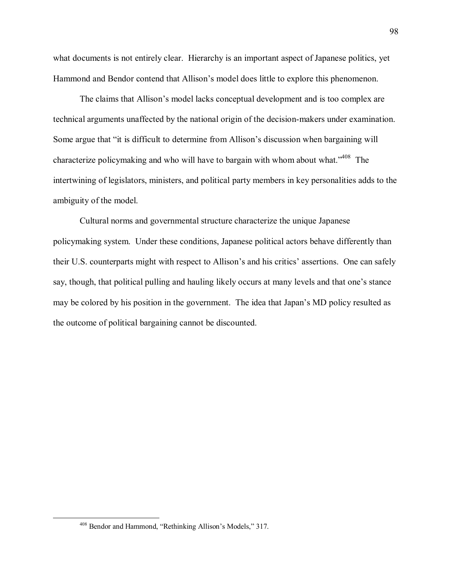what documents is not entirely clear. Hierarchy is an important aspect of Japanese politics, yet Hammond and Bendor contend that Allison's model does little to explore this phenomenon.

The claims that Allison's model lacks conceptual development and is too complex are technical arguments unaffected by the national origin of the decision-makers under examination. Some argue that "it is difficult to determine from Allison's discussion when bargaining will characterize policymaking and who will have to bargain with whom about what.<sup> $408$ </sup> The intertwining of legislators, ministers, and political party members in key personalities adds to the ambiguity of the model.

 Cultural norms and governmental structure characterize the unique Japanese policymaking system. Under these conditions, Japanese political actors behave differently than their U.S. counterparts might with respect to Allison's and his critics' assertions. One can safely say, though, that political pulling and hauling likely occurs at many levels and that one's stance may be colored by his position in the government. The idea that Japan's MD policy resulted as the outcome of political bargaining cannot be discounted.

<sup>&</sup>lt;sup>408</sup> Bendor and Hammond, "Rethinking Allison's Models," 317.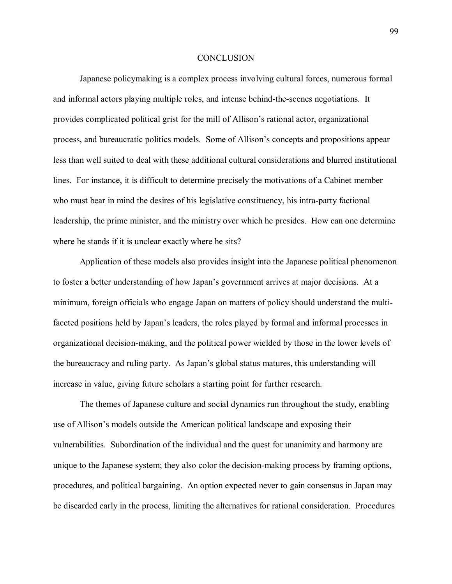#### **CONCLUSION**

Japanese policymaking is a complex process involving cultural forces, numerous formal and informal actors playing multiple roles, and intense behind-the-scenes negotiations. It provides complicated political grist for the mill of Allison's rational actor, organizational process, and bureaucratic politics models. Some of Allison's concepts and propositions appear less than well suited to deal with these additional cultural considerations and blurred institutional lines. For instance, it is difficult to determine precisely the motivations of a Cabinet member who must bear in mind the desires of his legislative constituency, his intra-party factional leadership, the prime minister, and the ministry over which he presides. How can one determine where he stands if it is unclear exactly where he sits?

Application of these models also provides insight into the Japanese political phenomenon to foster a better understanding of how Japan's government arrives at major decisions. At a minimum, foreign officials who engage Japan on matters of policy should understand the multifaceted positions held by Japan's leaders, the roles played by formal and informal processes in organizational decision-making, and the political power wielded by those in the lower levels of the bureaucracy and ruling party. As Japan's global status matures, this understanding will increase in value, giving future scholars a starting point for further research.

The themes of Japanese culture and social dynamics run throughout the study, enabling use of Allison's models outside the American political landscape and exposing their vulnerabilities. Subordination of the individual and the quest for unanimity and harmony are unique to the Japanese system; they also color the decision-making process by framing options, procedures, and political bargaining. An option expected never to gain consensus in Japan may be discarded early in the process, limiting the alternatives for rational consideration. Procedures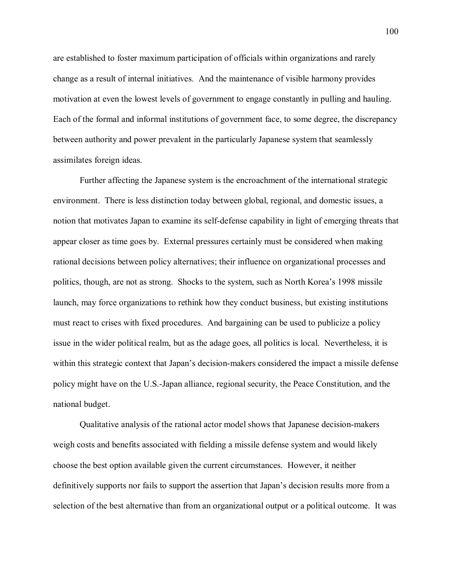are established to foster maximum participation of officials within organizations and rarely change as a result of internal initiatives. And the maintenance of visible harmony provides motivation at even the lowest levels of government to engage constantly in pulling and hauling. Each of the formal and informal institutions of government face, to some degree, the discrepancy between authority and power prevalent in the particularly Japanese system that seamlessly assimilates foreign ideas.

Further affecting the Japanese system is the encroachment of the international strategic environment. There is less distinction today between global, regional, and domestic issues, a notion that motivates Japan to examine its self-defense capability in light of emerging threats that appear closer as time goes by. External pressures certainly must be considered when making rational decisions between policy alternatives; their influence on organizational processes and politics, though, are not as strong. Shocks to the system, such as North Korea's 1998 missile launch, may force organizations to rethink how they conduct business, but existing institutions must react to crises with fixed procedures. And bargaining can be used to publicize a policy issue in the wider political realm, but as the adage goes, all politics is local. Nevertheless, it is within this strategic context that Japan's decision-makers considered the impact a missile defense policy might have on the U.S.-Japan alliance, regional security, the Peace Constitution, and the national budget.

Qualitative analysis of the rational actor model shows that Japanese decision-makers weigh costs and benefits associated with fielding a missile defense system and would likely choose the best option available given the current circumstances. However, it neither definitively supports nor fails to support the assertion that Japan's decision results more from a selection of the best alternative than from an organizational output or a political outcome. It was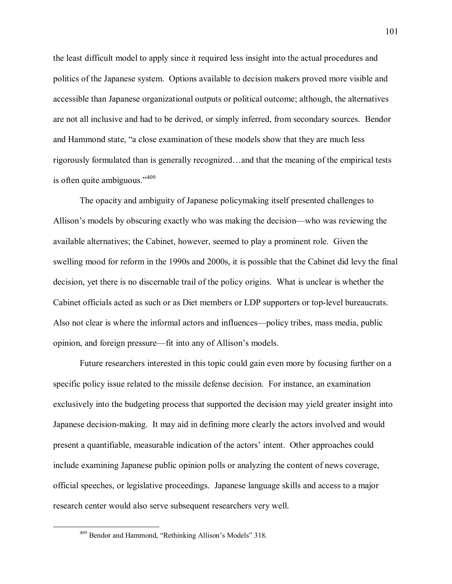the least difficult model to apply since it required less insight into the actual procedures and politics of the Japanese system. Options available to decision makers proved more visible and accessible than Japanese organizational outputs or political outcome; although, the alternatives are not all inclusive and had to be derived, or simply inferred, from secondary sources. Bendor and Hammond state, "a close examination of these models show that they are much less rigorously formulated than is generally recognized...and that the meaning of the empirical tests is often quite ambiguous.<sup> $1409$ </sup>

The opacity and ambiguity of Japanese policymaking itself presented challenges to Allison's models by obscuring exactly who was making the decision—who was reviewing the available alternatives; the Cabinet, however, seemed to play a prominent role. Given the swelling mood for reform in the 1990s and 2000s, it is possible that the Cabinet did levy the final decision, yet there is no discernable trail of the policy origins. What is unclear is whether the Cabinet officials acted as such or as Diet members or LDP supporters or top-level bureaucrats. Also not clear is where the informal actors and influences—policy tribes, mass media, public opinion, and foreign pressure—fit into any of Allison's models.

Future researchers interested in this topic could gain even more by focusing further on a specific policy issue related to the missile defense decision. For instance, an examination exclusively into the budgeting process that supported the decision may yield greater insight into Japanese decision-making. It may aid in defining more clearly the actors involved and would present a quantifiable, measurable indication of the actors' intent. Other approaches could include examining Japanese public opinion polls or analyzing the content of news coverage, official speeches, or legislative proceedings. Japanese language skills and access to a major research center would also serve subsequent researchers very well.

<sup>&</sup>lt;sup>409</sup> Bendor and Hammond, "Rethinking Allison's Models" 318.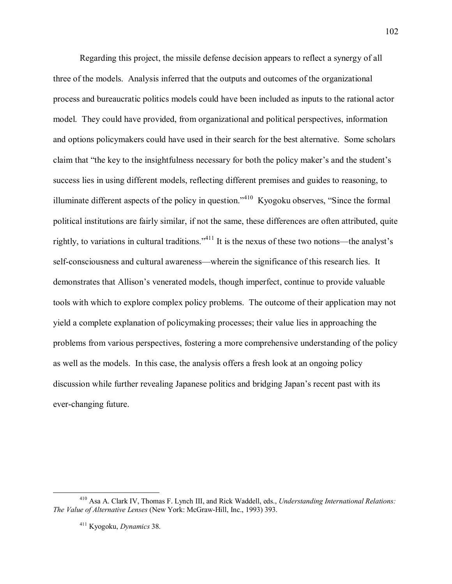Regarding this project, the missile defense decision appears to reflect a synergy of all three of the models. Analysis inferred that the outputs and outcomes of the organizational process and bureaucratic politics models could have been included as inputs to the rational actor model. They could have provided, from organizational and political perspectives, information and options policymakers could have used in their search for the best alternative. Some scholars claim that "the key to the insightfulness necessary for both the policy maker's and the student's success lies in using different models, reflecting different premises and guides to reasoning, to illuminate different aspects of the policy in question.<sup> $3410$ </sup> Kyogoku observes, "Since the formal political institutions are fairly similar, if not the same, these differences are often attributed, quite rightly, to variations in cultural traditions.<sup> $1411$ </sup> It is the nexus of these two notions—the analyst<sup>'</sup>s self-consciousness and cultural awareness—wherein the significance of this research lies. It demonstrates that Allison's venerated models, though imperfect, continue to provide valuable tools with which to explore complex policy problems. The outcome of their application may not yield a complete explanation of policymaking processes; their value lies in approaching the problems from various perspectives, fostering a more comprehensive understanding of the policy as well as the models. In this case, the analysis offers a fresh look at an ongoing policy discussion while further revealing Japanese politics and bridging Japan's recent past with its ever-changing future.

 <sup>410</sup> Asa A. Clark IV, Thomas F. Lynch III, and Rick Waddell, eds., *Understanding International Relations: The Value of Alternative Lenses* (New York: McGraw-Hill, Inc., 1993) 393.

<sup>411</sup> Kyogoku, *Dynamics* 38.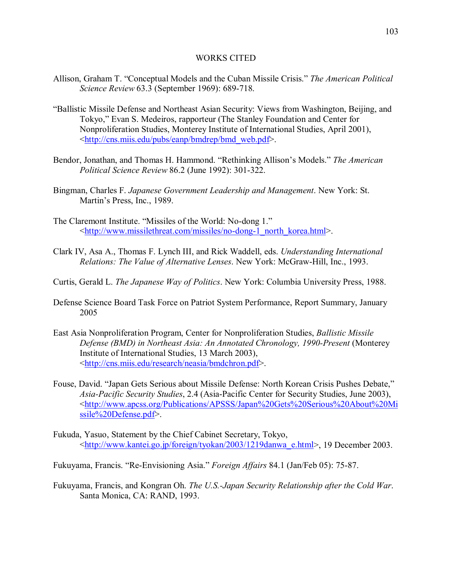# WORKS CITED

- Allison, Graham T. "Conceptual Models and the Cuban Missile Crisis." *The American Political Science Review* 63.3 (September 1969): 689-718.
- ìBallistic Missile Defense and Northeast Asian Security: Views from Washington, Beijing, and Tokyo," Evan S. Medeiros, rapporteur (The Stanley Foundation and Center for Nonproliferation Studies, Monterey Institute of International Studies, April 2001), <http://cns.miis.edu/pubs/eanp/bmdrep/bmd\_web.pdf>.
- Bendor, Jonathan, and Thomas H. Hammond. "Rethinking Allison's Models." *The American Political Science Review* 86.2 (June 1992): 301-322.
- Bingman, Charles F. *Japanese Government Leadership and Management*. New York: St. Martin's Press, Inc., 1989.
- The Claremont Institute. "Missiles of the World: No-dong 1." <http://www.missilethreat.com/missiles/no-dong-1\_north\_korea.html>.
- Clark IV, Asa A., Thomas F. Lynch III, and Rick Waddell, eds. *Understanding International Relations: The Value of Alternative Lenses*. New York: McGraw-Hill, Inc., 1993.
- Curtis, Gerald L. *The Japanese Way of Politics*. New York: Columbia University Press, 1988.
- Defense Science Board Task Force on Patriot System Performance, Report Summary, January 2005
- East Asia Nonproliferation Program, Center for Nonproliferation Studies, *Ballistic Missile Defense (BMD) in Northeast Asia: An Annotated Chronology, 1990-Present* (Monterey Institute of International Studies, 13 March 2003), <http://cns.miis.edu/research/neasia/bmdchron.pdf>.
- Fouse, David. "Japan Gets Serious about Missile Defense: North Korean Crisis Pushes Debate," *Asia-Pacific Security Studies*, 2.4 (Asia-Pacific Center for Security Studies, June 2003), <http://www.apcss.org/Publications/APSSS/Japan%20Gets%20Serious%20About%20Mi ssile%20Defense.pdf>.
- Fukuda, Yasuo, Statement by the Chief Cabinet Secretary, Tokyo, <http://www.kantei.go.jp/foreign/tyokan/2003/1219danwa\_e.html>, 19 December 2003.
- Fukuyama, Francis. "Re-Envisioning Asia." *Foreign Affairs* 84.1 (Jan/Feb 05): 75-87.
- Fukuyama, Francis, and Kongran Oh. *The U.S.-Japan Security Relationship after the Cold War*. Santa Monica, CA: RAND, 1993.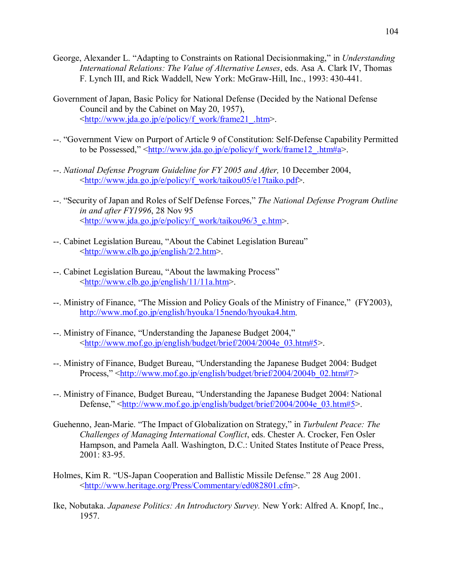- George, Alexander L. "Adapting to Constraints on Rational Decisionmaking," in *Understanding International Relations: The Value of Alternative Lenses*, eds. Asa A. Clark IV, Thomas F. Lynch III, and Rick Waddell, New York: McGraw-Hill, Inc., 1993: 430-441.
- Government of Japan, Basic Policy for National Defense (Decided by the National Defense Council and by the Cabinet on May 20, 1957), <http://www.jda.go.jp/e/policy/f\_work/frame21\_.htm>.
- --. "Government View on Purport of Article 9 of Constitution: Self-Defense Capability Permitted to be Possessed,"  $\frac{\text{http://www.jda.gov.jp/e/policy/f}}{\text{wo.k/framel2}}$ .htm#a>.
- --. *National Defense Program Guideline for FY 2005 and After,* 10 December 2004, <http://www.jda.go.jp/e/policy/f\_work/taikou05/e17taiko.pdf>.
- --. "Security of Japan and Roles of Self Defense Forces," *The National Defense Program Outline in and after FY1996*, 28 Nov 95 <http://www.jda.go.jp/e/policy/f\_work/taikou96/3\_e.htm>.
- --. Cabinet Legislation Bureau, "About the Cabinet Legislation Bureau" <http://www.clb.go.jp/english/2/2.htm>.
- --. Cabinet Legislation Bureau, "About the lawmaking Process" <http://www.clb.go.jp/english/11/11a.htm>.
- --. Ministry of Finance, "The Mission and Policy Goals of the Ministry of Finance," (FY2003), http://www.mof.go.jp/english/hyouka/15nendo/hyouka4.htm.
- --. Ministry of Finance, "Understanding the Japanese Budget 2004," <http://www.mof.go.jp/english/budget/brief/2004/2004e\_03.htm#5>.
- --. Ministry of Finance, Budget Bureau, "Understanding the Japanese Budget 2004: Budget Process," <http://www.mof.go.jp/english/budget/brief/2004/2004b\_02.htm#7>
- --. Ministry of Finance, Budget Bureau, "Understanding the Japanese Budget 2004: National Defense," <http://www.mof.go.jp/english/budget/brief/2004/2004e\_03.htm#5>.
- Guehenno, Jean-Marie. "The Impact of Globalization on Strategy," in *Turbulent Peace: The Challenges of Managing International Conflict*, eds. Chester A. Crocker, Fen Osler Hampson, and Pamela Aall. Washington, D.C.: United States Institute of Peace Press, 2001: 83-95.
- Holmes, Kim R. "US-Japan Cooperation and Ballistic Missile Defense." 28 Aug 2001. <http://www.heritage.org/Press/Commentary/ed082801.cfm>.
- Ike, Nobutaka. *Japanese Politics: An Introductory Survey.* New York: Alfred A. Knopf, Inc., 1957.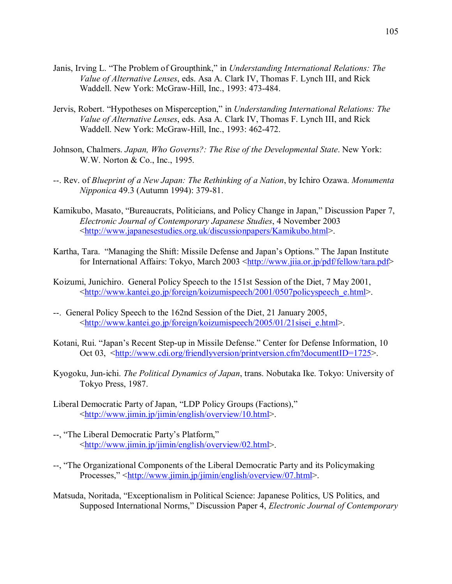- Janis, Irving L. "The Problem of Groupthink," in *Understanding International Relations: The Value of Alternative Lenses*, eds. Asa A. Clark IV, Thomas F. Lynch III, and Rick Waddell. New York: McGraw-Hill, Inc., 1993: 473-484.
- Jervis, Robert. "Hypotheses on Misperception," in *Understanding International Relations: The Value of Alternative Lenses*, eds. Asa A. Clark IV, Thomas F. Lynch III, and Rick Waddell. New York: McGraw-Hill, Inc., 1993: 462-472.
- Johnson, Chalmers. *Japan, Who Governs?: The Rise of the Developmental State*. New York: W.W. Norton & Co., Inc., 1995.
- --. Rev. of *Blueprint of a New Japan: The Rethinking of a Nation*, by Ichiro Ozawa. *Monumenta Nipponica* 49.3 (Autumn 1994): 379-81.
- Kamikubo, Masato, "Bureaucrats, Politicians, and Policy Change in Japan," Discussion Paper 7, *Electronic Journal of Contemporary Japanese Studies*, 4 November 2003 <http://www.japanesestudies.org.uk/discussionpapers/Kamikubo.html>.
- Kartha, Tara. "Managing the Shift: Missile Defense and Japan's Options." The Japan Institute for International Affairs: Tokyo, March 2003 <http://www.jiia.or.jp/pdf/fellow/tara.pdf>
- Koizumi, Junichiro. General Policy Speech to the 151st Session of the Diet, 7 May 2001, <http://www.kantei.go.jp/foreign/koizumispeech/2001/0507policyspeech\_e.html>.
- --. General Policy Speech to the 162nd Session of the Diet, 21 January 2005, <http://www.kantei.go.jp/foreign/koizumispeech/2005/01/21sisei\_e.html>.
- Kotani, Rui. "Japan's Recent Step-up in Missile Defense." Center for Defense Information, 10 Oct 03, <http://www.cdi.org/friendlyversion/printversion.cfm?documentID=1725>.
- Kyogoku, Jun-ichi. *The Political Dynamics of Japan*, trans. Nobutaka Ike. Tokyo: University of Tokyo Press, 1987.
- Liberal Democratic Party of Japan, "LDP Policy Groups (Factions)," <http://www.jimin.jp/jimin/english/overview/10.html>.
- --, "The Liberal Democratic Party's Platform," <http://www.jimin.jp/jimin/english/overview/02.html>.
- --, "The Organizational Components of the Liberal Democratic Party and its Policymaking Processes," <http://www.jimin.jp/jimin/english/overview/07.html>.
- Matsuda, Noritada, "Exceptionalism in Political Science: Japanese Politics, US Politics, and Supposed International Norms," Discussion Paper 4, *Electronic Journal of Contemporary*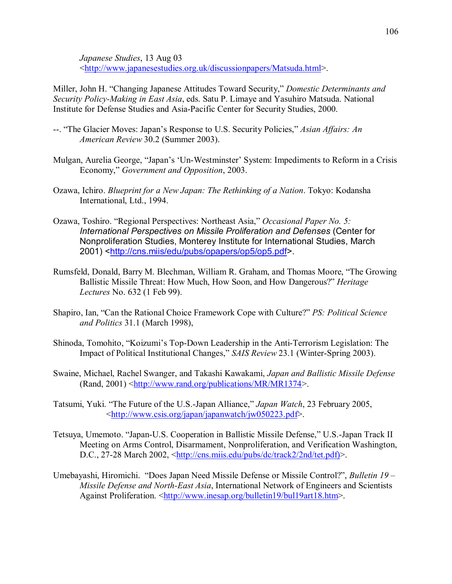*Japanese Studies*, 13 Aug 03 <http://www.japanesestudies.org.uk/discussionpapers/Matsuda.html>.

Miller, John H. "Changing Japanese Attitudes Toward Security," *Domestic Determinants and Security Policy-Making in East Asia*, eds. Satu P. Limaye and Yasuhiro Matsuda. National Institute for Defense Studies and Asia-Pacific Center for Security Studies, 2000.

- --. "The Glacier Moves: Japan's Response to U.S. Security Policies," *Asian Affairs: An American Review* 30.2 (Summer 2003).
- Mulgan, Aurelia George, "Japan's 'Un-Westminster' System: Impediments to Reform in a Crisis Economy," *Government and Opposition*, 2003.
- Ozawa, Ichiro. *Blueprint for a New Japan: The Rethinking of a Nation*. Tokyo: Kodansha International, Ltd., 1994.
- Ozawa, Toshiro. "Regional Perspectives: Northeast Asia," *Occasional Paper No. 5: International Perspectives on Missile Proliferation and Defenses* (Center for Nonproliferation Studies, Monterey Institute for International Studies, March 2001) <http://cns.miis/edu/pubs/opapers/op5/op5.pdf>.
- Rumsfeld, Donald, Barry M. Blechman, William R. Graham, and Thomas Moore, "The Growing Ballistic Missile Threat: How Much, How Soon, and How Dangerous?" *Heritage Lectures* No. 632 (1 Feb 99).
- Shapiro, Ian, "Can the Rational Choice Framework Cope with Culture?" *PS: Political Science and Politics* 31.1 (March 1998),
- Shinoda, Tomohito, "Koizumi's Top-Down Leadership in the Anti-Terrorism Legislation: The Impact of Political Institutional Changes," *SAIS Review* 23.1 (Winter-Spring 2003).
- Swaine, Michael, Rachel Swanger, and Takashi Kawakami, *Japan and Ballistic Missile Defense*  $(Rand, 2001) \leq \frac{http://www.random.org/publications/MR/MR1374>}{http://www.random.org/publications/MR/MR1374>}.$
- Tatsumi, Yuki. "The Future of the U.S.-Japan Alliance," *Japan Watch*, 23 February 2005, <http://www.csis.org/japan/japanwatch/jw050223.pdf>.
- Tetsuya, Umemoto. "Japan-U.S. Cooperation in Ballistic Missile Defense," U.S.-Japan Track II Meeting on Arms Control, Disarmament, Nonproliferation, and Verification Washington, D.C., 27-28 March 2002, <http://cns.miis.edu/pubs/dc/track2/2nd/tet.pdf)>.
- Umebayashi, Hiromichi. "Does Japan Need Missile Defense or Missile Control?", *Bulletin 19 Missile Defense and North-East Asia*, International Network of Engineers and Scientists Against Proliferation. <http://www.inesap.org/bulletin19/bul19art18.htm>.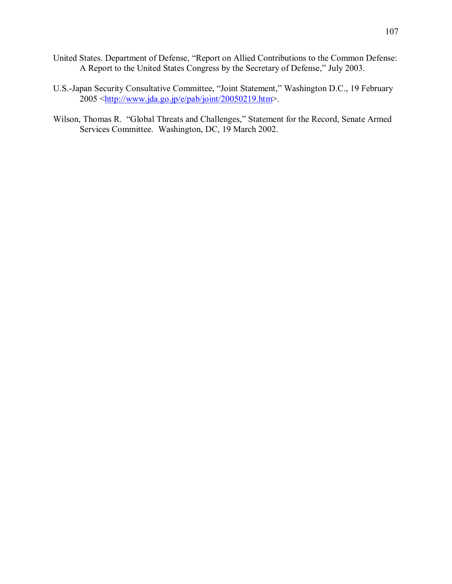- United States. Department of Defense, "Report on Allied Contributions to the Common Defense: A Report to the United States Congress by the Secretary of Defense," July 2003.
- U.S.-Japan Security Consultative Committee, "Joint Statement," Washington D.C., 19 February  $2005 \leq \frac{\text{http://www.jda.gov.jp/e/pab/joint/20050219.htm}}{10005 \leq \frac{\text{http://www.jda.gov.jp/e/pab/joint/20050219.htm}}{10000 \leq \frac{\text{http://www.jda.gov.jp/e/pab/joint/20050219.htm}}{10000 \leq \frac{\text{http://www.jda.gov.jp/e/pab/joint/20050219.htm}}{10000 \leq \frac{\text{http://www.jda.gov.jp/e/pab/joint/20050219.htm}}{10000 \leq \frac{\text{http://www.jda.gov.jp/e/pab/joint/20050219.htm}}$
- Wilson, Thomas R. "Global Threats and Challenges," Statement for the Record, Senate Armed Services Committee. Washington, DC, 19 March 2002.